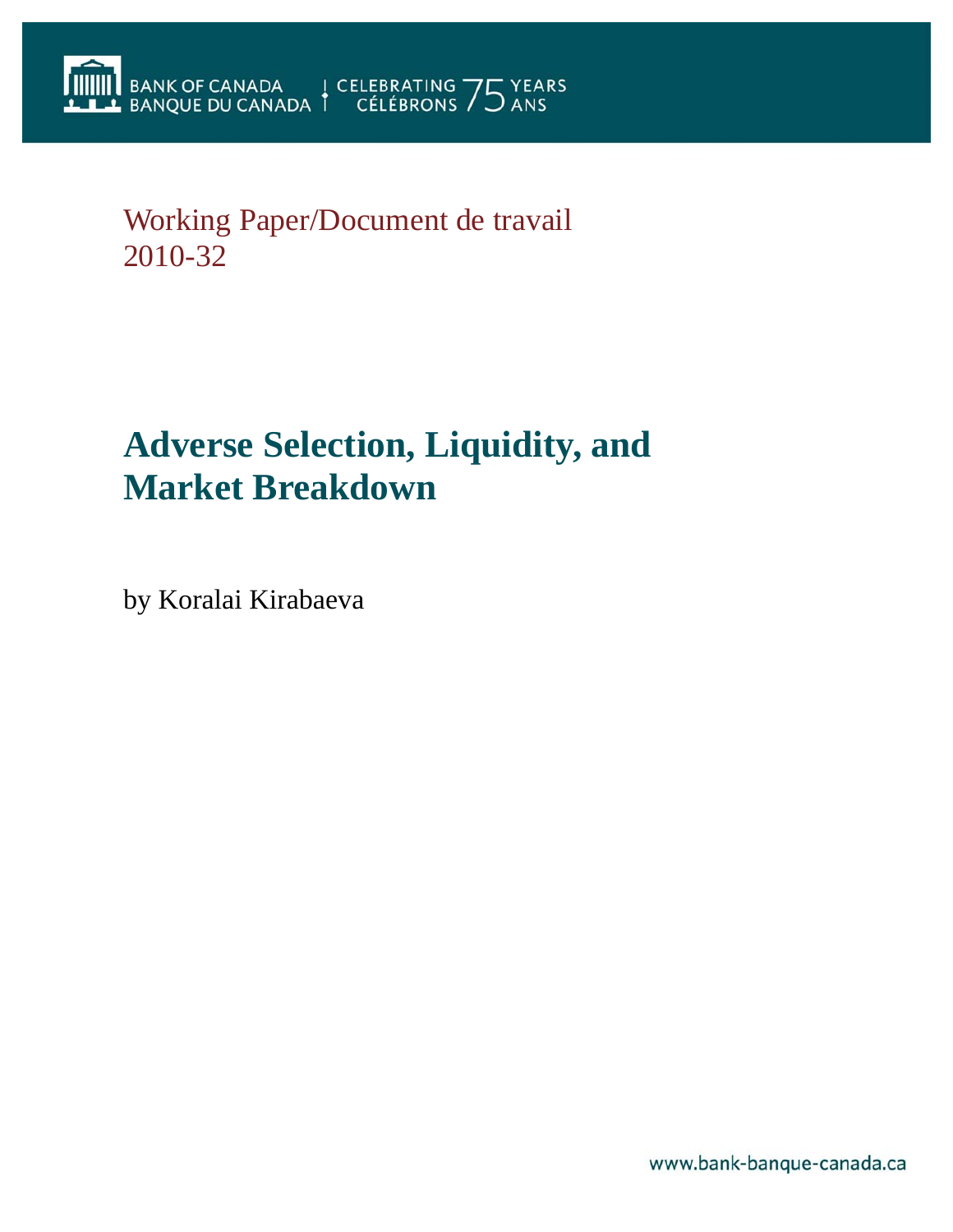# Working Paper/Document de travail 2010-32

# **Adverse Selection, Liquidity, and Market Breakdown**

by Koralai Kirabaeva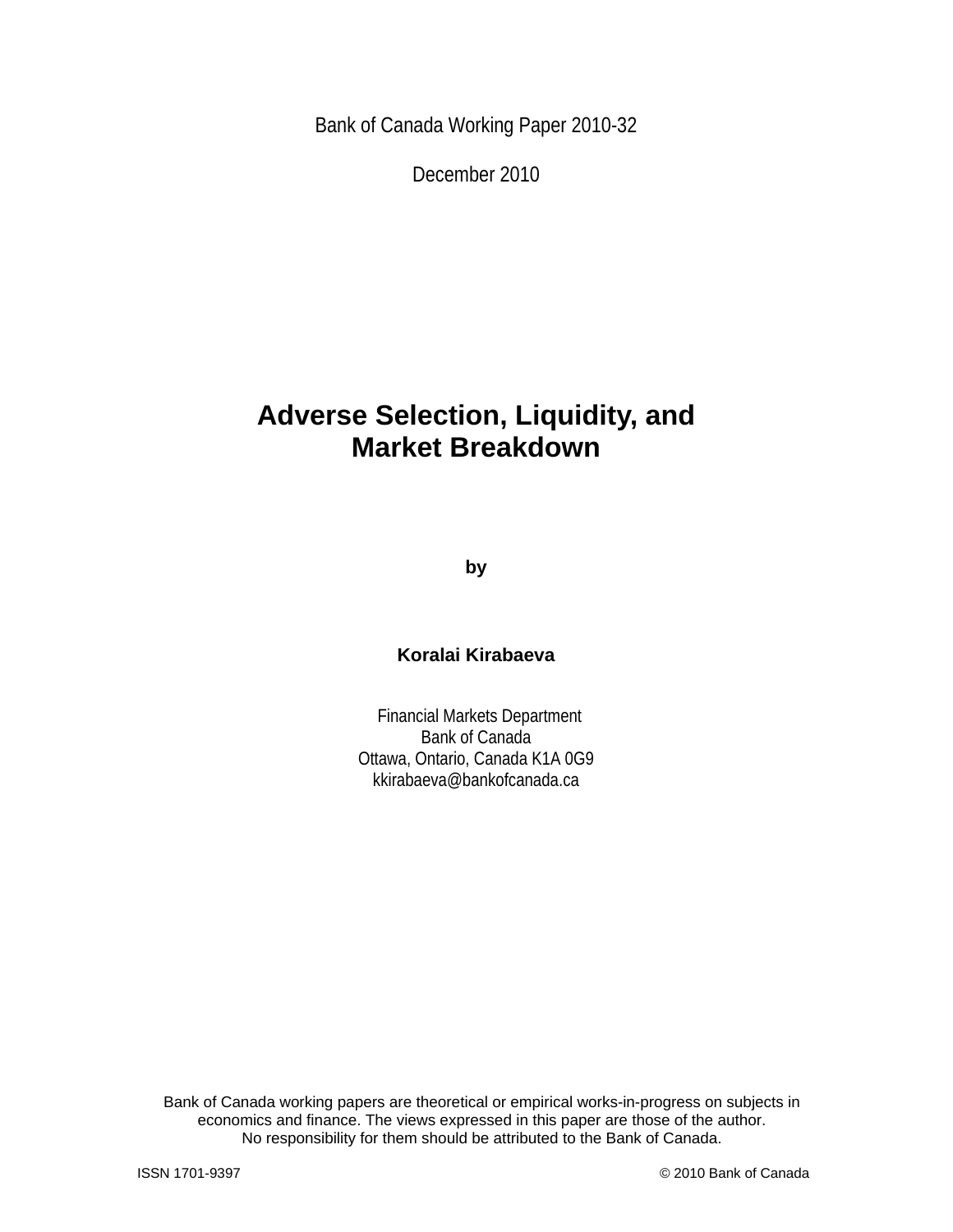Bank of Canada Working Paper 2010-32

December 2010

# **Adverse Selection, Liquidity, and Market Breakdown**

**by** 

## **Koralai Kirabaeva**

 Financial Markets Department Bank of Canada Ottawa, Ontario, Canada K1A 0G9 kkirabaeva@bankofcanada.ca

Bank of Canada working papers are theoretical or empirical works-in-progress on subjects in economics and finance. The views expressed in this paper are those of the author. No responsibility for them should be attributed to the Bank of Canada.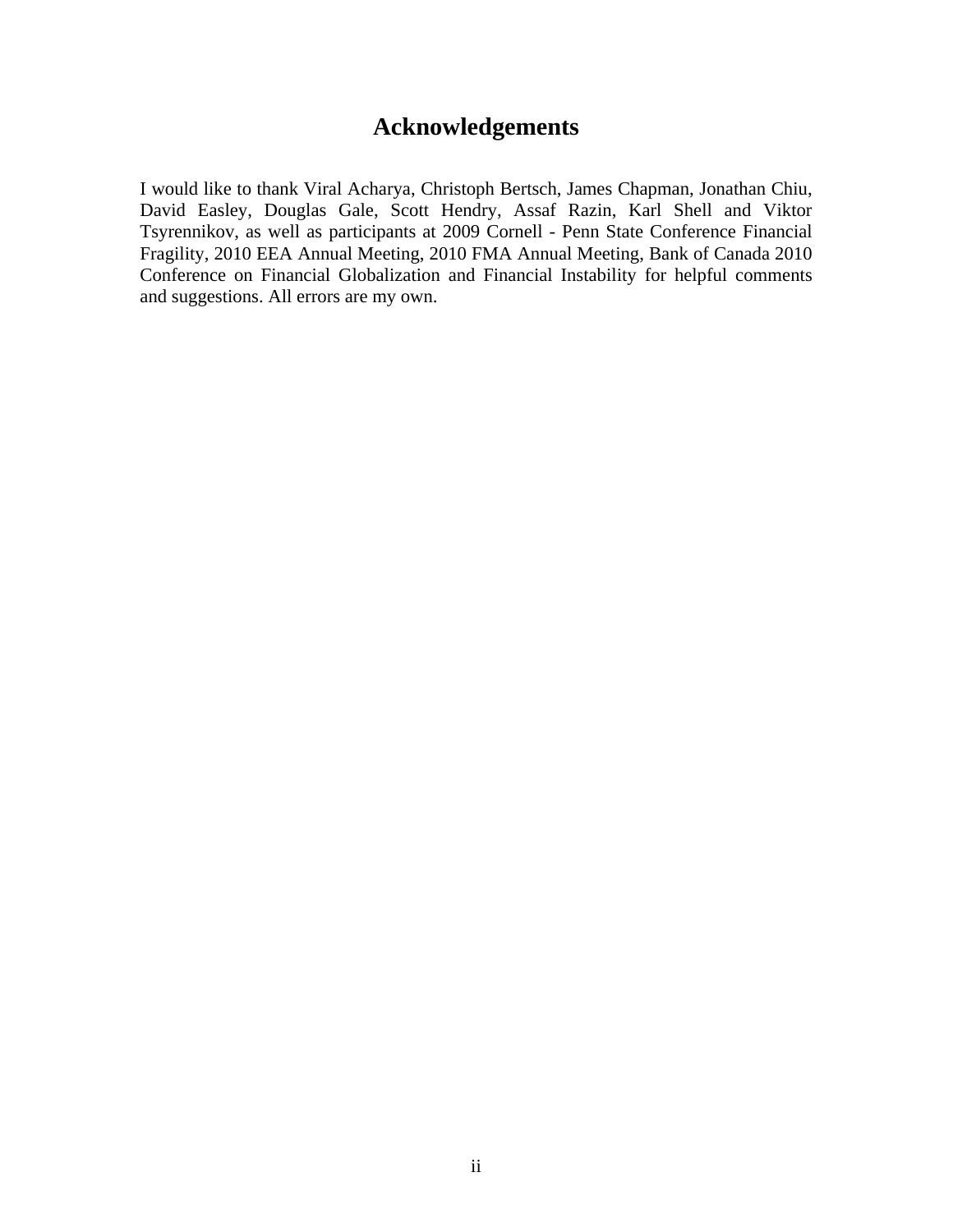# **Acknowledgements**

I would like to thank Viral Acharya, Christoph Bertsch, James Chapman, Jonathan Chiu, David Easley, Douglas Gale, Scott Hendry, Assaf Razin, Karl Shell and Viktor Tsyrennikov, as well as participants at 2009 Cornell - Penn State Conference Financial Fragility, 2010 EEA Annual Meeting, 2010 FMA Annual Meeting, Bank of Canada 2010 Conference on Financial Globalization and Financial Instability for helpful comments and suggestions. All errors are my own.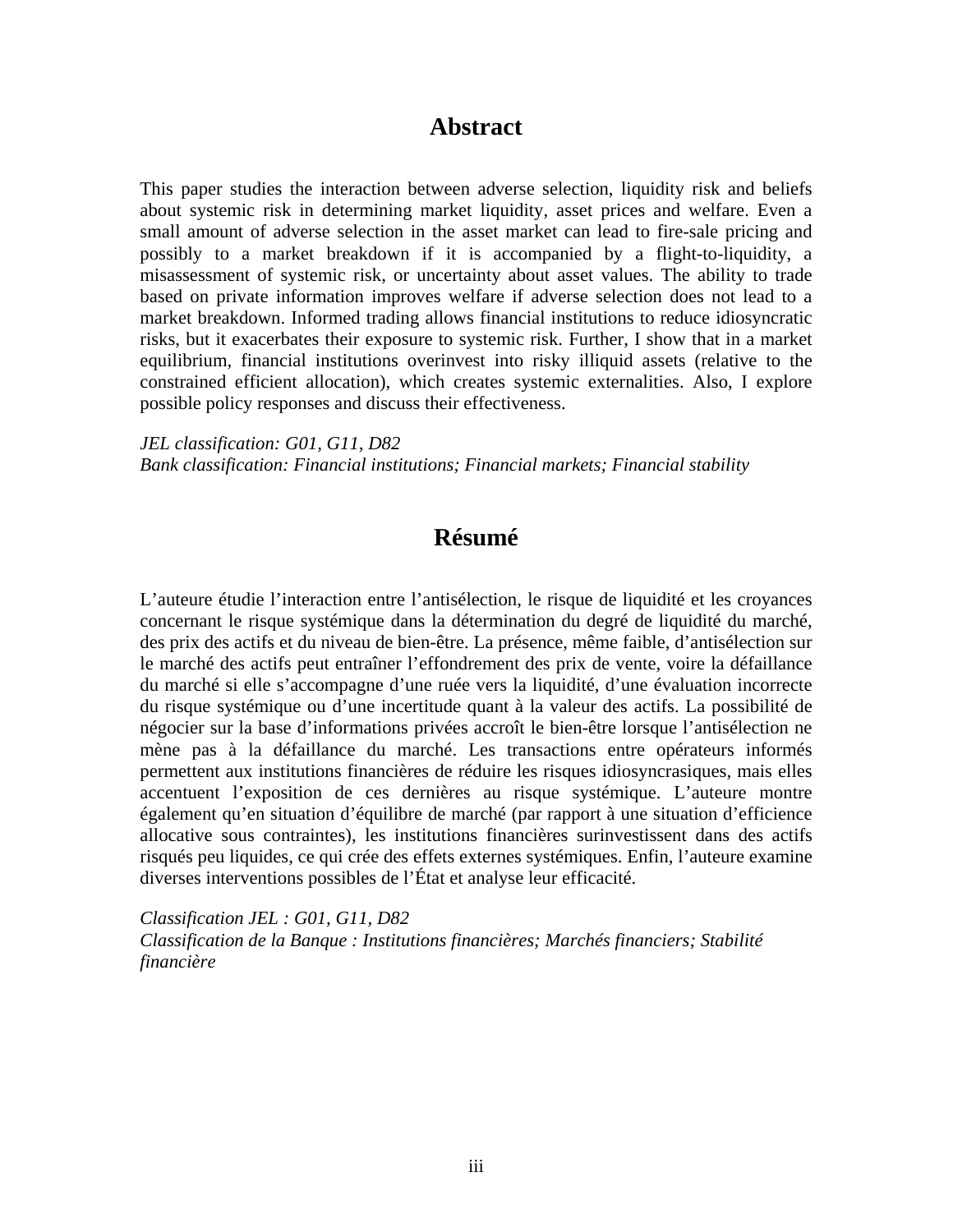# **Abstract**

This paper studies the interaction between adverse selection, liquidity risk and beliefs about systemic risk in determining market liquidity, asset prices and welfare. Even a small amount of adverse selection in the asset market can lead to fire-sale pricing and possibly to a market breakdown if it is accompanied by a flight-to-liquidity, a misassessment of systemic risk, or uncertainty about asset values. The ability to trade based on private information improves welfare if adverse selection does not lead to a market breakdown. Informed trading allows financial institutions to reduce idiosyncratic risks, but it exacerbates their exposure to systemic risk. Further, I show that in a market equilibrium, financial institutions overinvest into risky illiquid assets (relative to the constrained efficient allocation), which creates systemic externalities. Also, I explore possible policy responses and discuss their effectiveness.

*JEL classification: G01, G11, D82 Bank classification: Financial institutions; Financial markets; Financial stability* 

# **Résumé**

L'auteure étudie l'interaction entre l'antisélection, le risque de liquidité et les croyances concernant le risque systémique dans la détermination du degré de liquidité du marché, des prix des actifs et du niveau de bien-être. La présence, même faible, d'antisélection sur le marché des actifs peut entraîner l'effondrement des prix de vente, voire la défaillance du marché si elle s'accompagne d'une ruée vers la liquidité, d'une évaluation incorrecte du risque systémique ou d'une incertitude quant à la valeur des actifs. La possibilité de négocier sur la base d'informations privées accroît le bien-être lorsque l'antisélection ne mène pas à la défaillance du marché. Les transactions entre opérateurs informés permettent aux institutions financières de réduire les risques idiosyncrasiques, mais elles accentuent l'exposition de ces dernières au risque systémique. L'auteure montre également qu'en situation d'équilibre de marché (par rapport à une situation d'efficience allocative sous contraintes), les institutions financières surinvestissent dans des actifs risqués peu liquides, ce qui crée des effets externes systémiques. Enfin, l'auteure examine diverses interventions possibles de l'État et analyse leur efficacité.

*Classification JEL : G01, G11, D82 Classification de la Banque : Institutions financières; Marchés financiers; Stabilité financière*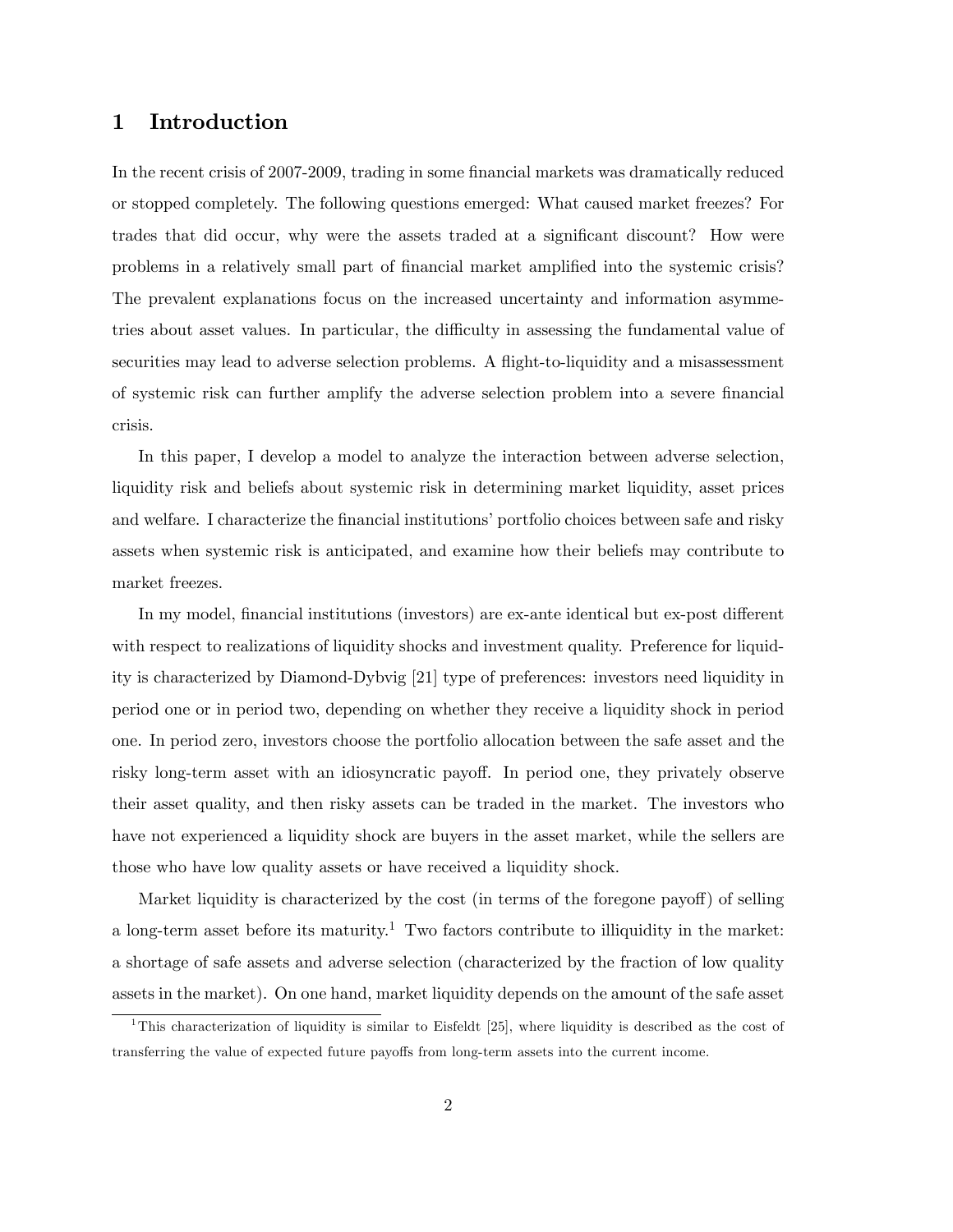### 1 Introduction

In the recent crisis of 2007-2009, trading in some financial markets was dramatically reduced or stopped completely. The following questions emerged: What caused market freezes? For trades that did occur, why were the assets traded at a significant discount? How were problems in a relatively small part of financial market amplified into the systemic crisis? The prevalent explanations focus on the increased uncertainty and information asymmetries about asset values. In particular, the difficulty in assessing the fundamental value of securities may lead to adverse selection problems. A flight-to-liquidity and a misassessment of systemic risk can further amplify the adverse selection problem into a severe Önancial crisis.

In this paper, I develop a model to analyze the interaction between adverse selection, liquidity risk and beliefs about systemic risk in determining market liquidity, asset prices and welfare. I characterize the financial institutions' portfolio choices between safe and risky assets when systemic risk is anticipated, and examine how their beliefs may contribute to market freezes.

In my model, financial institutions (investors) are ex-ante identical but ex-post different with respect to realizations of liquidity shocks and investment quality. Preference for liquidity is characterized by Diamond-Dybvig [21] type of preferences: investors need liquidity in period one or in period two, depending on whether they receive a liquidity shock in period one. In period zero, investors choose the portfolio allocation between the safe asset and the risky long-term asset with an idiosyncratic payoff. In period one, they privately observe their asset quality, and then risky assets can be traded in the market. The investors who have not experienced a liquidity shock are buyers in the asset market, while the sellers are those who have low quality assets or have received a liquidity shock.

Market liquidity is characterized by the cost (in terms of the foregone payoff) of selling a long-term asset before its maturity.<sup>1</sup> Two factors contribute to illiquidity in the market: a shortage of safe assets and adverse selection (characterized by the fraction of low quality assets in the market). On one hand, market liquidity depends on the amount of the safe asset

<sup>&</sup>lt;sup>1</sup>This characterization of liquidity is similar to Eisfeldt [25], where liquidity is described as the cost of transferring the value of expected future payoffs from long-term assets into the current income.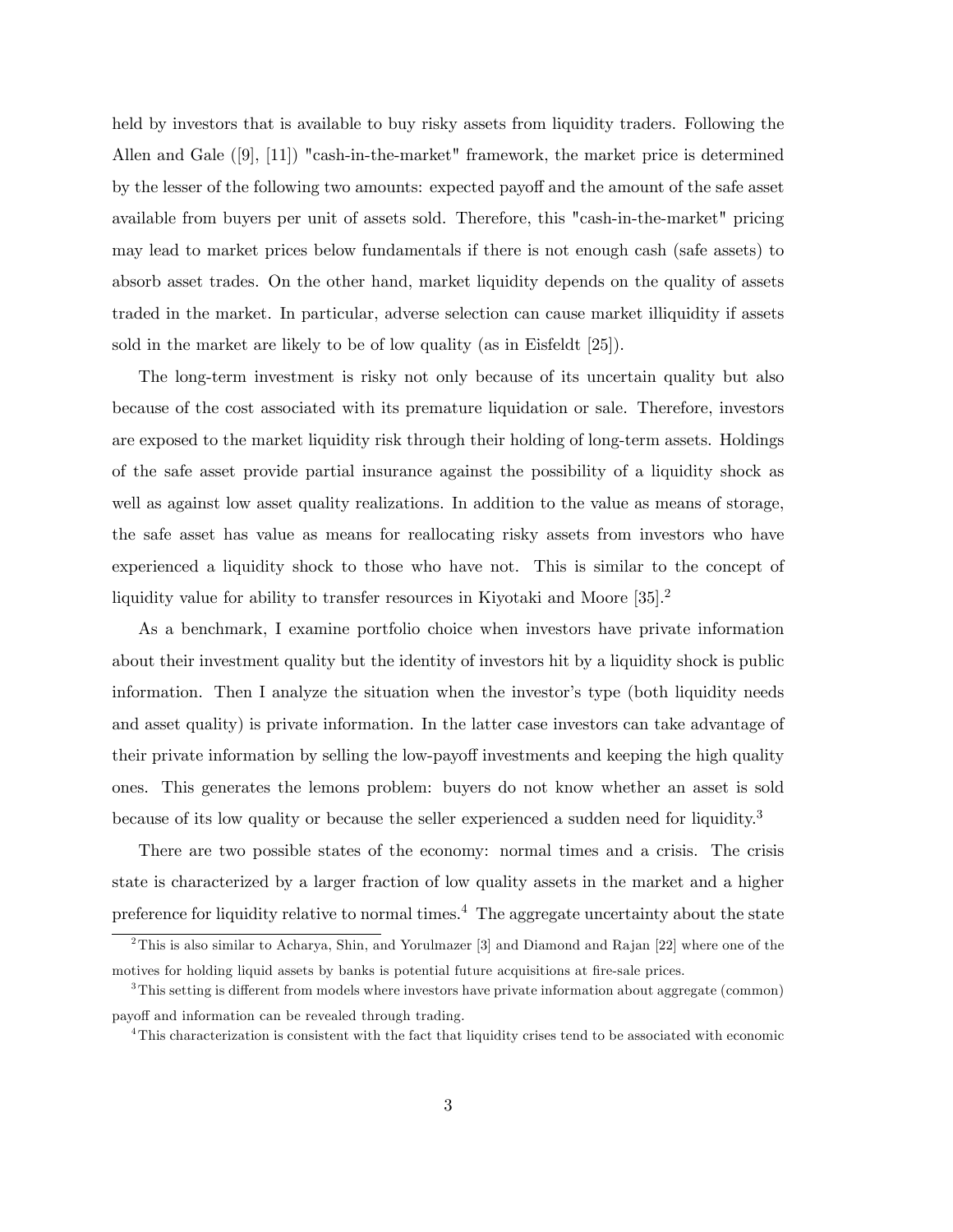held by investors that is available to buy risky assets from liquidity traders. Following the Allen and Gale ([9], [11]) "cash-in-the-market" framework, the market price is determined by the lesser of the following two amounts: expected payoff and the amount of the safe asset available from buyers per unit of assets sold. Therefore, this "cash-in-the-market" pricing may lead to market prices below fundamentals if there is not enough cash (safe assets) to absorb asset trades. On the other hand, market liquidity depends on the quality of assets traded in the market. In particular, adverse selection can cause market illiquidity if assets sold in the market are likely to be of low quality (as in Eisfeldt [25]).

The long-term investment is risky not only because of its uncertain quality but also because of the cost associated with its premature liquidation or sale. Therefore, investors are exposed to the market liquidity risk through their holding of long-term assets. Holdings of the safe asset provide partial insurance against the possibility of a liquidity shock as well as against low asset quality realizations. In addition to the value as means of storage, the safe asset has value as means for reallocating risky assets from investors who have experienced a liquidity shock to those who have not. This is similar to the concept of liquidity value for ability to transfer resources in Kiyotaki and Moore [35].<sup>2</sup>

As a benchmark, I examine portfolio choice when investors have private information about their investment quality but the identity of investors hit by a liquidity shock is public information. Then I analyze the situation when the investor's type (both liquidity needs and asset quality) is private information. In the latter case investors can take advantage of their private information by selling the low-payoff investments and keeping the high quality ones. This generates the lemons problem: buyers do not know whether an asset is sold because of its low quality or because the seller experienced a sudden need for liquidity.<sup>3</sup>

There are two possible states of the economy: normal times and a crisis. The crisis state is characterized by a larger fraction of low quality assets in the market and a higher preference for liquidity relative to normal times.<sup>4</sup> The aggregate uncertainty about the state

<sup>&</sup>lt;sup>2</sup>This is also similar to Acharya, Shin, and Yorulmazer [3] and Diamond and Rajan [22] where one of the motives for holding liquid assets by banks is potential future acquisitions at fire-sale prices.

 $3$ This setting is different from models where investors have private information about aggregate (common) payoff and information can be revealed through trading.

<sup>4</sup>This characterization is consistent with the fact that liquidity crises tend to be associated with economic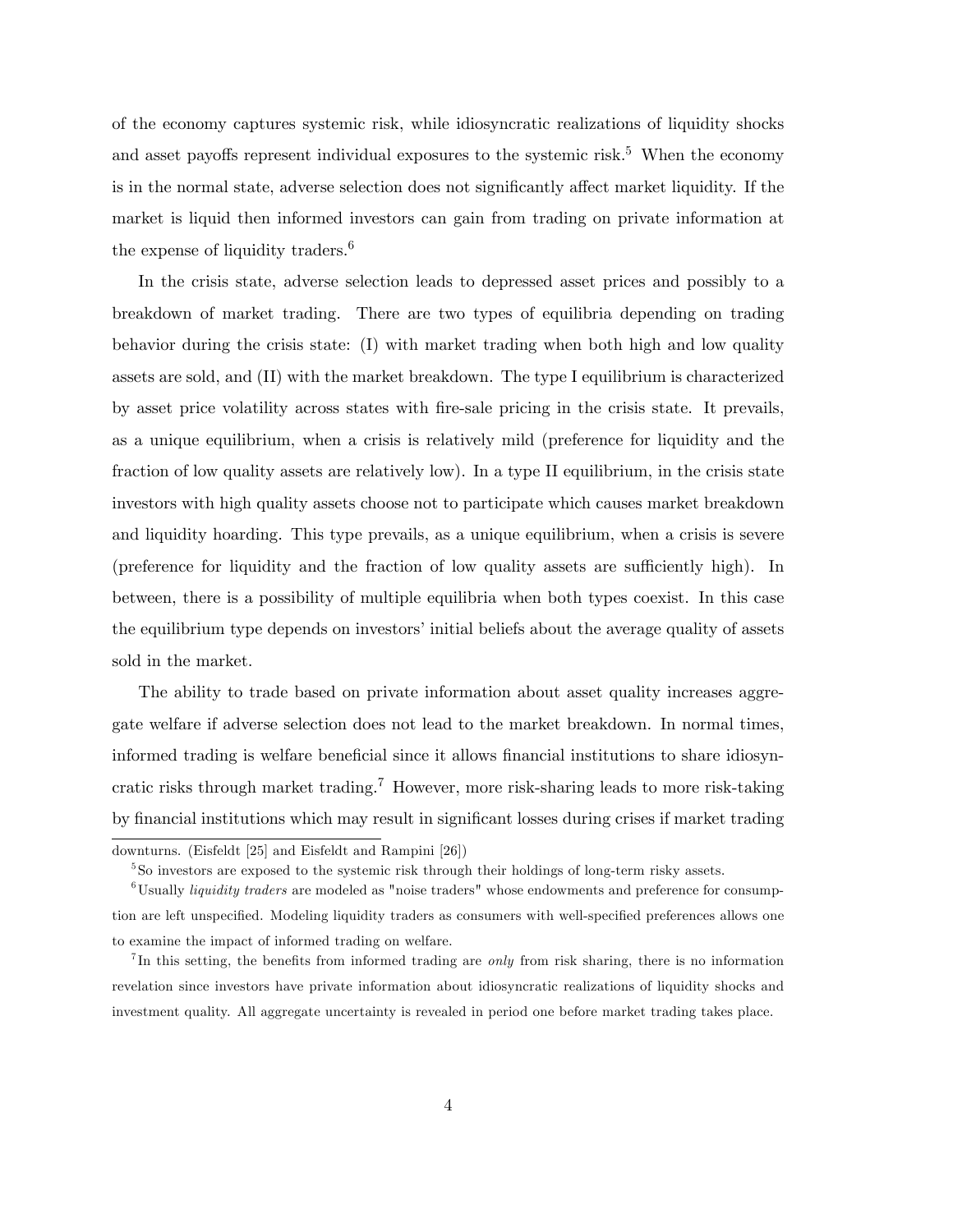of the economy captures systemic risk, while idiosyncratic realizations of liquidity shocks and asset payoffs represent individual exposures to the systemic risk.<sup>5</sup> When the economy is in the normal state, adverse selection does not significantly affect market liquidity. If the market is liquid then informed investors can gain from trading on private information at the expense of liquidity traders.<sup>6</sup>

In the crisis state, adverse selection leads to depressed asset prices and possibly to a breakdown of market trading. There are two types of equilibria depending on trading behavior during the crisis state: (I) with market trading when both high and low quality assets are sold, and (II) with the market breakdown. The type I equilibrium is characterized by asset price volatility across states with Öre-sale pricing in the crisis state. It prevails, as a unique equilibrium, when a crisis is relatively mild (preference for liquidity and the fraction of low quality assets are relatively low). In a type II equilibrium, in the crisis state investors with high quality assets choose not to participate which causes market breakdown and liquidity hoarding. This type prevails, as a unique equilibrium, when a crisis is severe (preference for liquidity and the fraction of low quality assets are sufficiently high). In between, there is a possibility of multiple equilibria when both types coexist. In this case the equilibrium type depends on investors' initial beliefs about the average quality of assets sold in the market.

The ability to trade based on private information about asset quality increases aggregate welfare if adverse selection does not lead to the market breakdown. In normal times, informed trading is welfare beneficial since it allows financial institutions to share idiosyncratic risks through market trading.<sup>7</sup> However, more risk-sharing leads to more risk-taking by financial institutions which may result in significant losses during crises if market trading

downturns. (Eisfeldt [25] and Eisfeldt and Rampini [26])

<sup>5</sup> So investors are exposed to the systemic risk through their holdings of long-term risky assets.

 $6$ Usually *liquidity traders* are modeled as "noise traders" whose endowments and preference for consumption are left unspecified. Modeling liquidity traders as consumers with well-specified preferences allows one to examine the impact of informed trading on welfare.

In this setting, the benefits from informed trading are *only* from risk sharing, there is no information revelation since investors have private information about idiosyncratic realizations of liquidity shocks and investment quality. All aggregate uncertainty is revealed in period one before market trading takes place.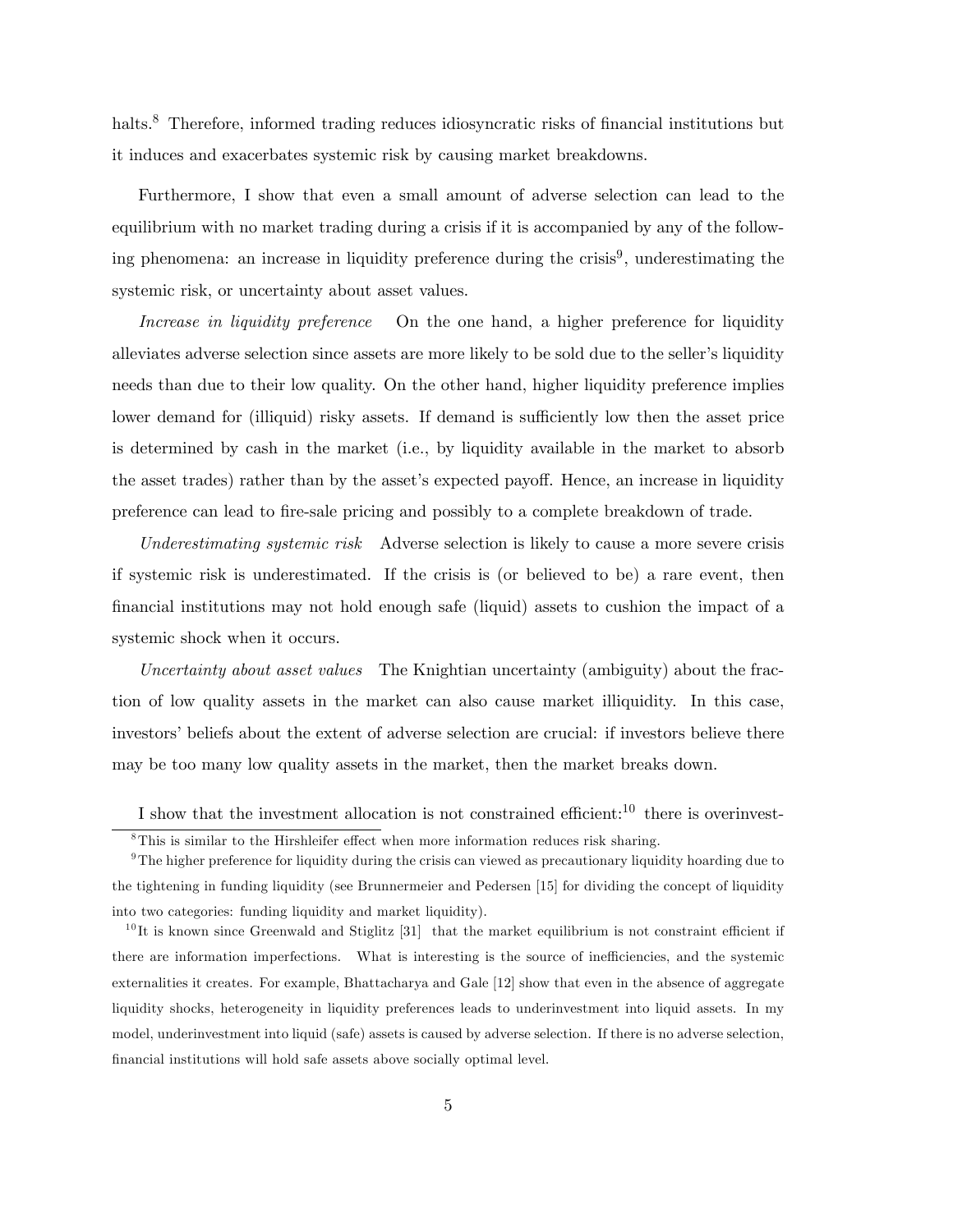halts.<sup>8</sup> Therefore, informed trading reduces idiosyncratic risks of financial institutions but it induces and exacerbates systemic risk by causing market breakdowns.

Furthermore, I show that even a small amount of adverse selection can lead to the equilibrium with no market trading during a crisis if it is accompanied by any of the following phenomena: an increase in liquidity preference during the crisis<sup>9</sup>, underestimating the systemic risk, or uncertainty about asset values.

Increase in liquidity preference On the one hand, a higher preference for liquidity alleviates adverse selection since assets are more likely to be sold due to the seller's liquidity needs than due to their low quality. On the other hand, higher liquidity preference implies lower demand for (illiquid) risky assets. If demand is sufficiently low then the asset price is determined by cash in the market (i.e., by liquidity available in the market to absorb the asset trades) rather than by the asset's expected payoff. Hence, an increase in liquidity preference can lead to Öre-sale pricing and possibly to a complete breakdown of trade.

Underestimating systemic risk Adverse selection is likely to cause a more severe crisis if systemic risk is underestimated. If the crisis is (or believed to be) a rare event, then financial institutions may not hold enough safe (liquid) assets to cushion the impact of a systemic shock when it occurs.

Uncertainty about asset values The Knightian uncertainty (ambiguity) about the fraction of low quality assets in the market can also cause market illiquidity. In this case, investors' beliefs about the extent of adverse selection are crucial: if investors believe there may be too many low quality assets in the market, then the market breaks down.

I show that the investment allocation is not constrained efficient:<sup>10</sup> there is overinvest-

 $8$ This is similar to the Hirshleifer effect when more information reduces risk sharing.

<sup>9</sup>The higher preference for liquidity during the crisis can viewed as precautionary liquidity hoarding due to the tightening in funding liquidity (see Brunnermeier and Pedersen [15] for dividing the concept of liquidity into two categories: funding liquidity and market liquidity).

 $10$  It is known since Greenwald and Stiglitz [31] that the market equilibrium is not constraint efficient if there are information imperfections. What is interesting is the source of inefficiencies, and the systemic externalities it creates. For example, Bhattacharya and Gale [12] show that even in the absence of aggregate liquidity shocks, heterogeneity in liquidity preferences leads to underinvestment into liquid assets. In my model, underinvestment into liquid (safe) assets is caused by adverse selection. If there is no adverse selection, Önancial institutions will hold safe assets above socially optimal level.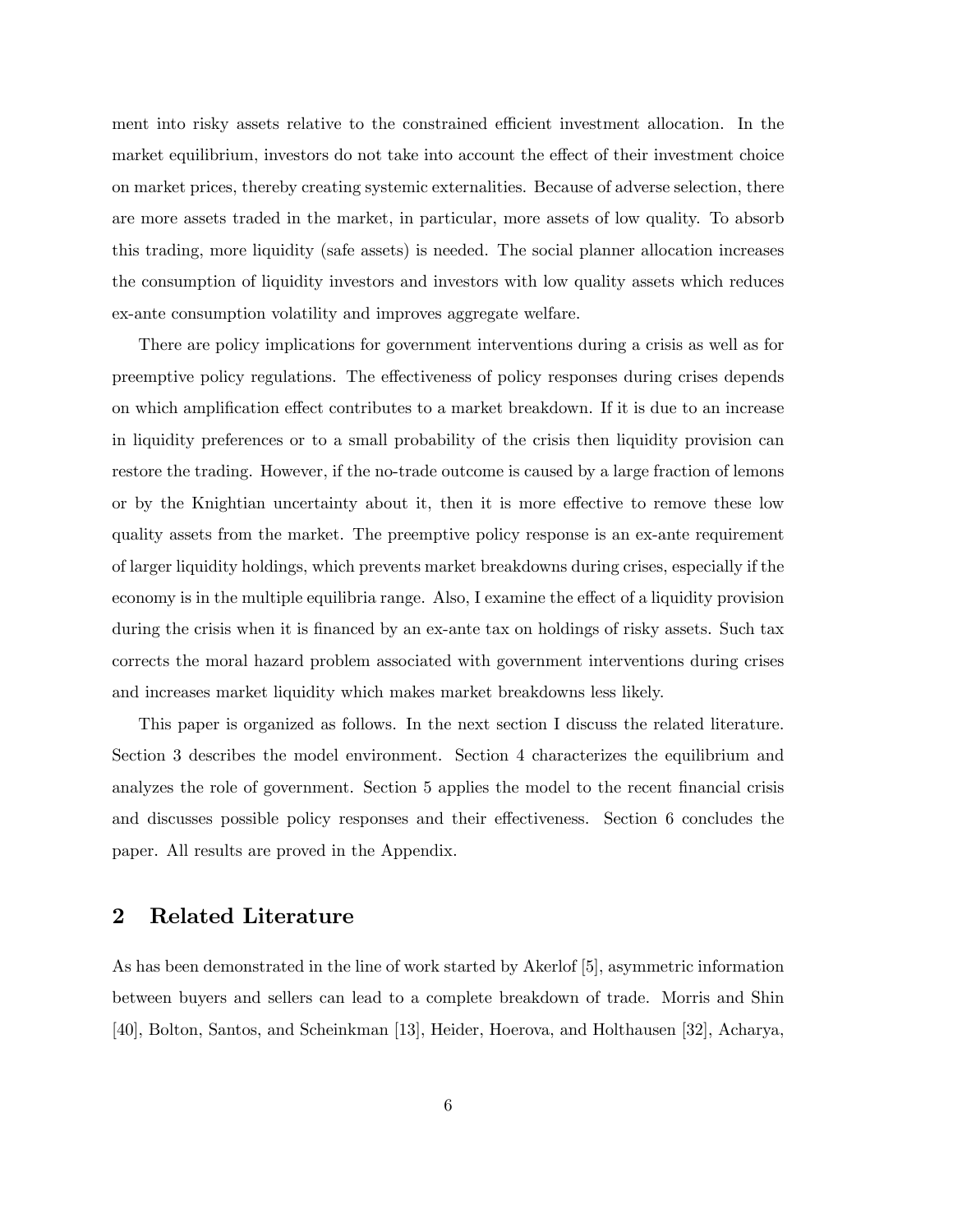ment into risky assets relative to the constrained efficient investment allocation. In the market equilibrium, investors do not take into account the effect of their investment choice on market prices, thereby creating systemic externalities. Because of adverse selection, there are more assets traded in the market, in particular, more assets of low quality. To absorb this trading, more liquidity (safe assets) is needed. The social planner allocation increases the consumption of liquidity investors and investors with low quality assets which reduces ex-ante consumption volatility and improves aggregate welfare.

There are policy implications for government interventions during a crisis as well as for preemptive policy regulations. The effectiveness of policy responses during crises depends on which amplification effect contributes to a market breakdown. If it is due to an increase in liquidity preferences or to a small probability of the crisis then liquidity provision can restore the trading. However, if the no-trade outcome is caused by a large fraction of lemons or by the Knightian uncertainty about it, then it is more effective to remove these low quality assets from the market. The preemptive policy response is an ex-ante requirement of larger liquidity holdings, which prevents market breakdowns during crises, especially if the economy is in the multiple equilibria range. Also, I examine the effect of a liquidity provision during the crisis when it is financed by an ex-ante tax on holdings of risky assets. Such tax corrects the moral hazard problem associated with government interventions during crises and increases market liquidity which makes market breakdowns less likely.

This paper is organized as follows. In the next section I discuss the related literature. Section 3 describes the model environment. Section 4 characterizes the equilibrium and analyzes the role of government. Section 5 applies the model to the recent financial crisis and discusses possible policy responses and their effectiveness. Section  $6$  concludes the paper. All results are proved in the Appendix.

### 2 Related Literature

As has been demonstrated in the line of work started by Akerlof [5], asymmetric information between buyers and sellers can lead to a complete breakdown of trade. Morris and Shin [40], Bolton, Santos, and Scheinkman [13], Heider, Hoerova, and Holthausen [32], Acharya,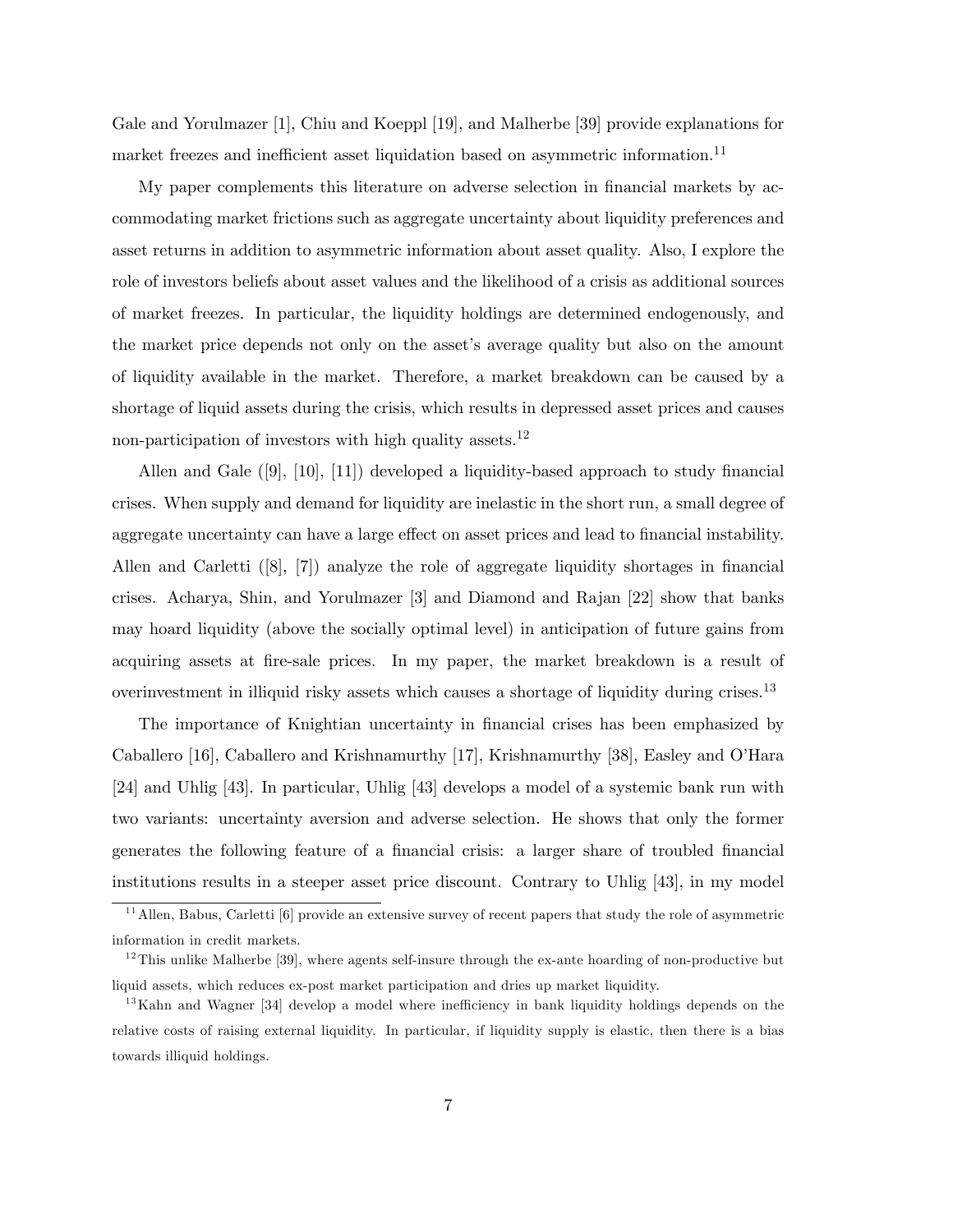Gale and Yorulmazer [1], Chiu and Koeppl [19], and Malherbe [39] provide explanations for market freezes and inefficient asset liquidation based on asymmetric information.<sup>11</sup>

My paper complements this literature on adverse selection in financial markets by accommodating market frictions such as aggregate uncertainty about liquidity preferences and asset returns in addition to asymmetric information about asset quality. Also, I explore the role of investors beliefs about asset values and the likelihood of a crisis as additional sources of market freezes. In particular, the liquidity holdings are determined endogenously, and the market price depends not only on the asset's average quality but also on the amount of liquidity available in the market. Therefore, a market breakdown can be caused by a shortage of liquid assets during the crisis, which results in depressed asset prices and causes non-participation of investors with high quality assets.<sup>12</sup>

Allen and Gale  $([9], [10], [11])$  developed a liquidity-based approach to study financial crises. When supply and demand for liquidity are inelastic in the short run, a small degree of aggregate uncertainty can have a large effect on asset prices and lead to financial instability. Allen and Carletti  $([8], [7])$  analyze the role of aggregate liquidity shortages in financial crises. Acharya, Shin, and Yorulmazer [3] and Diamond and Rajan [22] show that banks may hoard liquidity (above the socially optimal level) in anticipation of future gains from acquiring assets at fire-sale prices. In my paper, the market breakdown is a result of overinvestment in illiquid risky assets which causes a shortage of liquidity during crises.<sup>13</sup>

The importance of Knightian uncertainty in financial crises has been emphasized by Caballero [16], Caballero and Krishnamurthy [17], Krishnamurthy [38], Easley and OíHara [24] and Uhlig [43]. In particular, Uhlig [43] develops a model of a systemic bank run with two variants: uncertainty aversion and adverse selection. He shows that only the former generates the following feature of a financial crisis: a larger share of troubled financial institutions results in a steeper asset price discount. Contrary to Uhlig [43], in my model

<sup>&</sup>lt;sup>11</sup> Allen, Babus, Carletti [6] provide an extensive survey of recent papers that study the role of asymmetric information in credit markets.

 $12$ This unlike Malherbe [39], where agents self-insure through the ex-ante hoarding of non-productive but liquid assets, which reduces ex-post market participation and dries up market liquidity.

<sup>&</sup>lt;sup>13</sup>Kahn and Wagner [34] develop a model where inefficiency in bank liquidity holdings depends on the relative costs of raising external liquidity. In particular, if liquidity supply is elastic, then there is a bias towards illiquid holdings.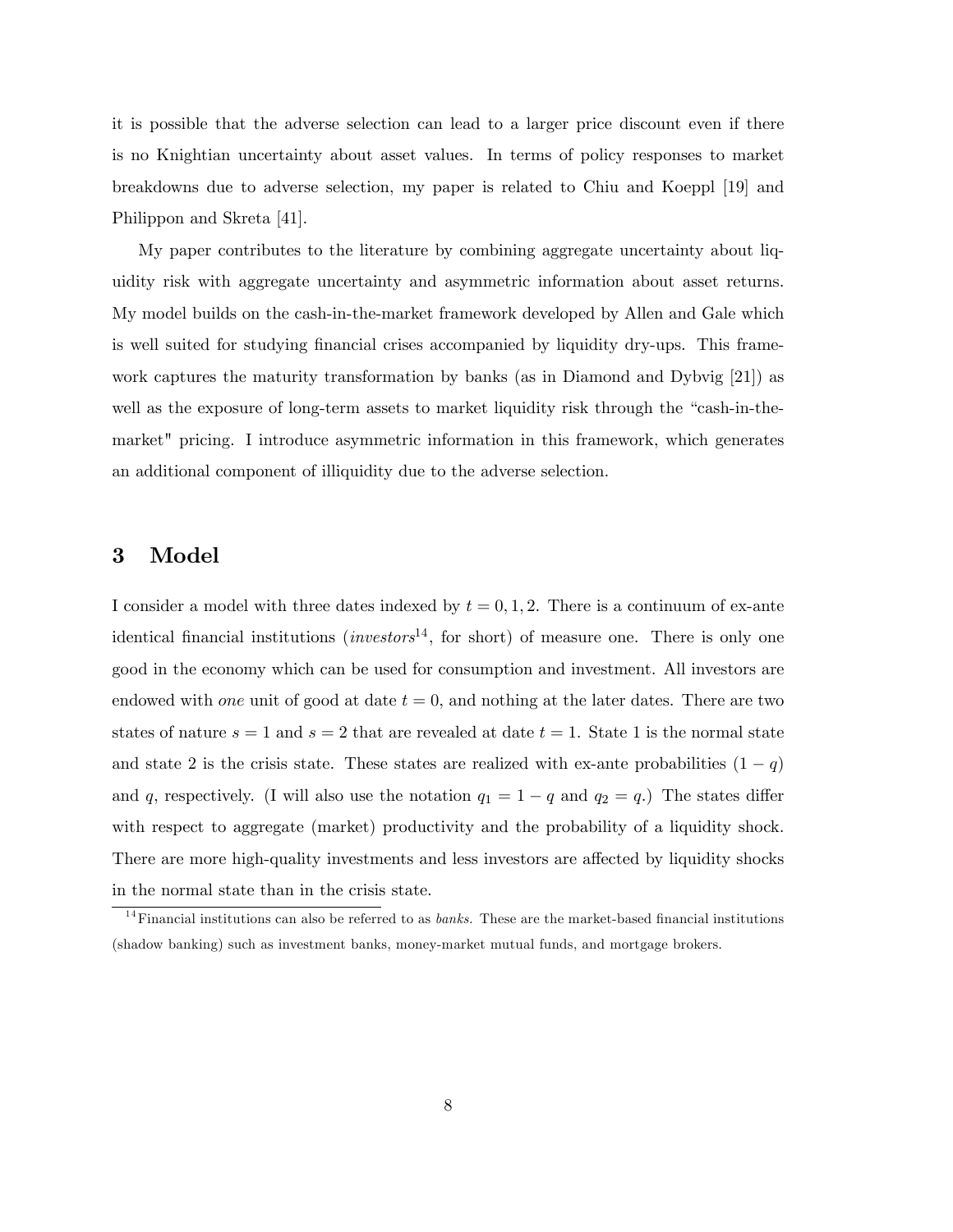it is possible that the adverse selection can lead to a larger price discount even if there is no Knightian uncertainty about asset values. In terms of policy responses to market breakdowns due to adverse selection, my paper is related to Chiu and Koeppl [19] and Philippon and Skreta [41].

My paper contributes to the literature by combining aggregate uncertainty about liquidity risk with aggregate uncertainty and asymmetric information about asset returns. My model builds on the cash-in-the-market framework developed by Allen and Gale which is well suited for studying financial crises accompanied by liquidity dry-ups. This framework captures the maturity transformation by banks (as in Diamond and Dybvig [21]) as well as the exposure of long-term assets to market liquidity risk through the "cash-in-themarket" pricing. I introduce asymmetric information in this framework, which generates an additional component of illiquidity due to the adverse selection.

### 3 Model

I consider a model with three dates indexed by  $t = 0, 1, 2$ . There is a continuum of ex-ante identical financial institutions (*investors*<sup>14</sup>, for short) of measure one. There is only one good in the economy which can be used for consumption and investment. All investors are endowed with one unit of good at date  $t = 0$ , and nothing at the later dates. There are two states of nature  $s = 1$  and  $s = 2$  that are revealed at date  $t = 1$ . State 1 is the normal state and state 2 is the crisis state. These states are realized with ex-ante probabilities  $(1 - q)$ and q, respectively. (I will also use the notation  $q_1 = 1 - q$  and  $q_2 = q$ .) The states differ with respect to aggregate (market) productivity and the probability of a liquidity shock. There are more high-quality investments and less investors are affected by liquidity shocks in the normal state than in the crisis state.

 $14$ Financial institutions can also be referred to as *banks*. These are the market-based financial institutions (shadow banking) such as investment banks, money-market mutual funds, and mortgage brokers.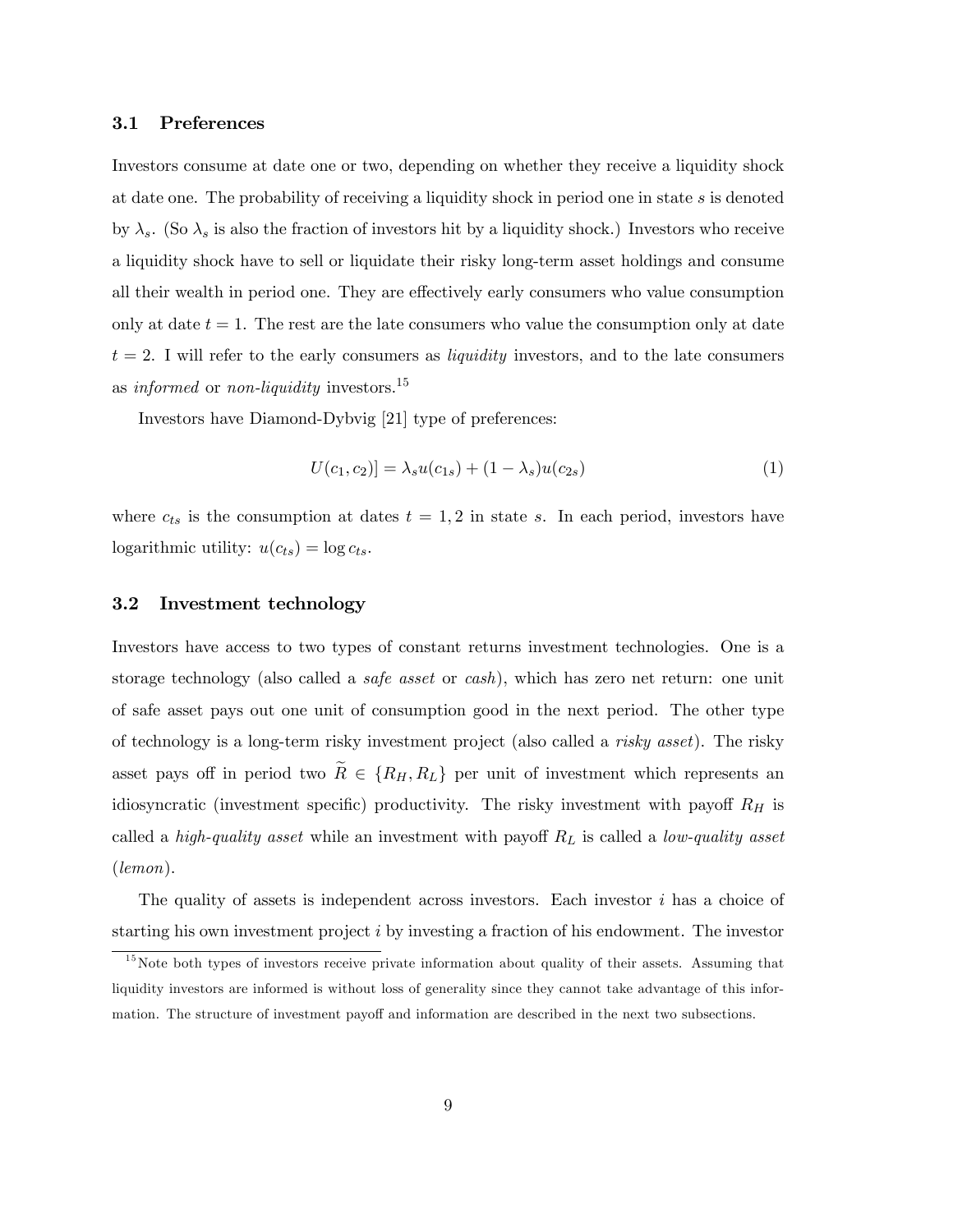#### 3.1 Preferences

Investors consume at date one or two, depending on whether they receive a liquidity shock at date one. The probability of receiving a liquidity shock in period one in state s is denoted by  $\lambda_s$ . (So  $\lambda_s$  is also the fraction of investors hit by a liquidity shock.) Investors who receive a liquidity shock have to sell or liquidate their risky long-term asset holdings and consume all their wealth in period one. They are effectively early consumers who value consumption only at date  $t = 1$ . The rest are the late consumers who value the consumption only at date  $t = 2$ . I will refer to the early consumers as *liquidity* investors, and to the late consumers as informed or non-liquidity investors.<sup>15</sup>

Investors have Diamond-Dybvig [21] type of preferences:

$$
U(c_1, c_2)] = \lambda_s u(c_{1s}) + (1 - \lambda_s) u(c_{2s})
$$
\n(1)

where  $c_{ts}$  is the consumption at dates  $t = 1, 2$  in state s. In each period, investors have logarithmic utility:  $u(c_{ts}) = \log c_{ts}$ .

#### 3.2 Investment technology

Investors have access to two types of constant returns investment technologies. One is a storage technology (also called a safe asset or cash), which has zero net return: one unit of safe asset pays out one unit of consumption good in the next period. The other type of technology is a long-term risky investment project (also called a risky asset). The risky asset pays off in period two  $\widetilde{R} \in \{R_H, R_L\}$  per unit of investment which represents an idiosyncratic (investment specific) productivity. The risky investment with payoff  $R_H$  is called a *high-quality asset* while an investment with payoff  $R_L$  is called a *low-quality asset* (lemon).

The quality of assets is independent across investors. Each investor  $i$  has a choice of starting his own investment project i by investing a fraction of his endowment. The investor

 $15$ Note both types of investors receive private information about quality of their assets. Assuming that liquidity investors are informed is without loss of generality since they cannot take advantage of this information. The structure of investment payoff and information are described in the next two subsections.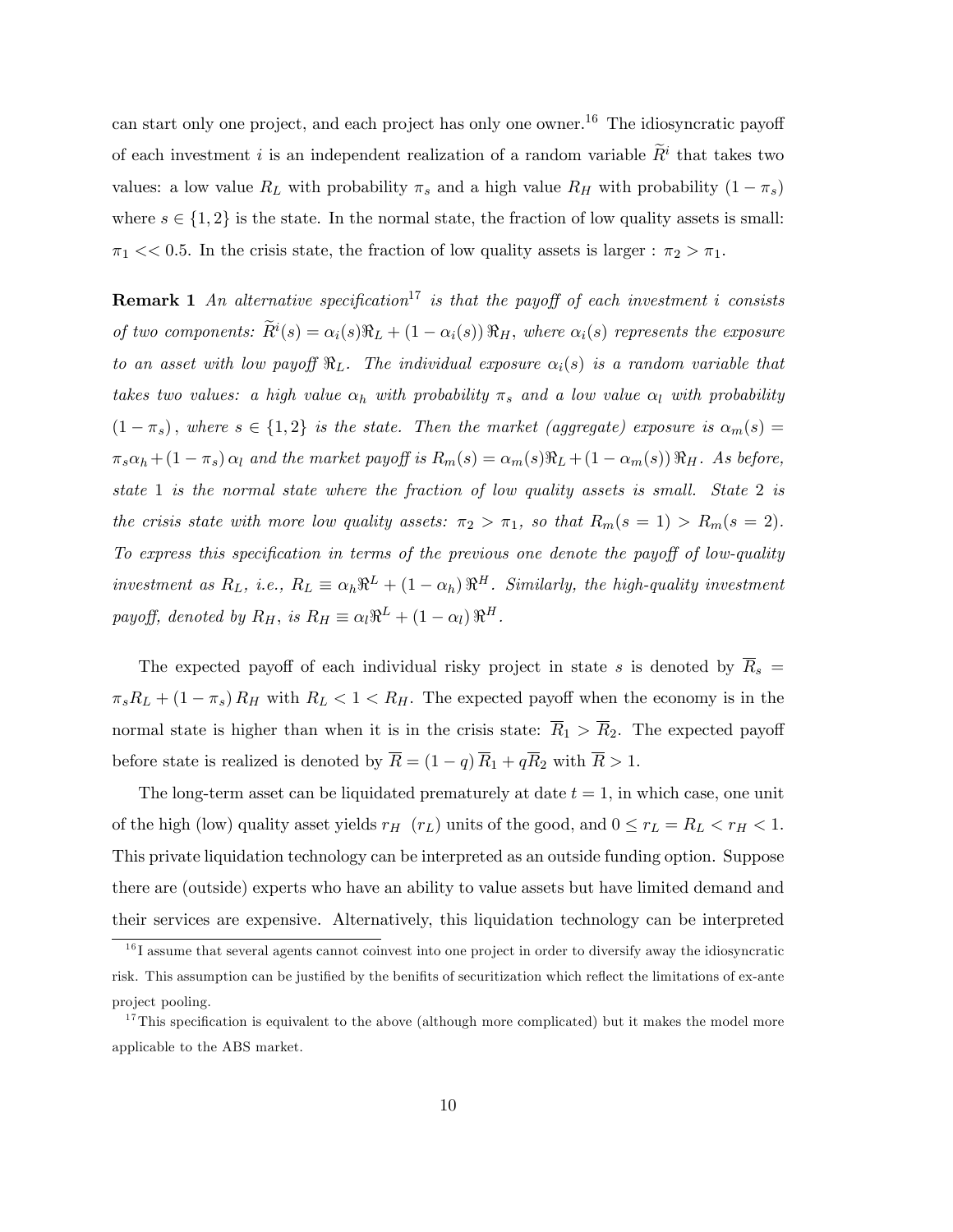can start only one project, and each project has only one owner.<sup>16</sup> The idiosyncratic payoff of each investment *i* is an independent realization of a random variable  $\tilde{R}^i$  that takes two values: a low value  $R_L$  with probability  $\pi_s$  and a high value  $R_H$  with probability  $(1 - \pi_s)$ where  $s \in \{1, 2\}$  is the state. In the normal state, the fraction of low quality assets is small:  $\pi_1 \ll 0.5$ . In the crisis state, the fraction of low quality assets is larger :  $\pi_2 > \pi_1$ .

**Remark 1** An alternative specification<sup>17</sup> is that the payoff of each investment i consists of two components:  $\widetilde{R}^i(s) = \alpha_i(s)\Re_L + (1 - \alpha_i(s))\Re_H$ , where  $\alpha_i(s)$  represents the exposure to an asset with low payoff  $\Re_L$ . The individual exposure  $\alpha_i(s)$  is a random variable that takes two values: a high value  $\alpha_h$  with probability  $\pi_s$  and a low value  $\alpha_l$  with probability  $(1 - \pi_s)$ , where  $s \in \{1, 2\}$  is the state. Then the market (aggregate) exposure is  $\alpha_m(s)$  =  $\pi_s \alpha_h + (1 - \pi_s) \alpha_l$  and the market payoff is  $R_m(s) = \alpha_m(s) \Re_L + (1 - \alpha_m(s)) \Re_H$ . As before, state 1 is the normal state where the fraction of low quality assets is small. State 2 is the crisis state with more low quality assets:  $\pi_2 > \pi_1$ , so that  $R_m(s = 1) > R_m(s = 2)$ . To express this specification in terms of the previous one denote the payoff of low-quality investment as  $R_L$ , i.e.,  $R_L \equiv \alpha_h \Re^L + (1 - \alpha_h) \Re^H$ . Similarly, the high-quality investment payoff, denoted by  $R_H$ , is  $R_H \equiv \alpha_l \Re^L + (1 - \alpha_l) \Re^H$ .

The expected payoff of each individual risky project in state s is denoted by  $\overline{R}_s$  =  $\pi_s R_L + (1 - \pi_s) R_H$  with  $R_L < 1 < R_H$ . The expected payoff when the economy is in the normal state is higher than when it is in the crisis state:  $\overline{R}_1 > \overline{R}_2$ . The expected payoff before state is realized is denoted by  $\overline{R} = (1 - q) \overline{R}_1 + q \overline{R}_2$  with  $\overline{R} > 1$ .

The long-term asset can be liquidated prematurely at date  $t = 1$ , in which case, one unit of the high (low) quality asset yields  $r_H$  ( $r_L$ ) units of the good, and  $0 \le r_L = R_L < r_H < 1$ . This private liquidation technology can be interpreted as an outside funding option. Suppose there are (outside) experts who have an ability to value assets but have limited demand and their services are expensive. Alternatively, this liquidation technology can be interpreted

 $16$  I assume that several agents cannot coinvest into one project in order to diversify away the idiosyncratic risk. This assumption can be justified by the benifits of securitization which reflect the limitations of ex-ante project pooling.

<sup>&</sup>lt;sup>17</sup>This specification is equivalent to the above (although more complicated) but it makes the model more applicable to the ABS market.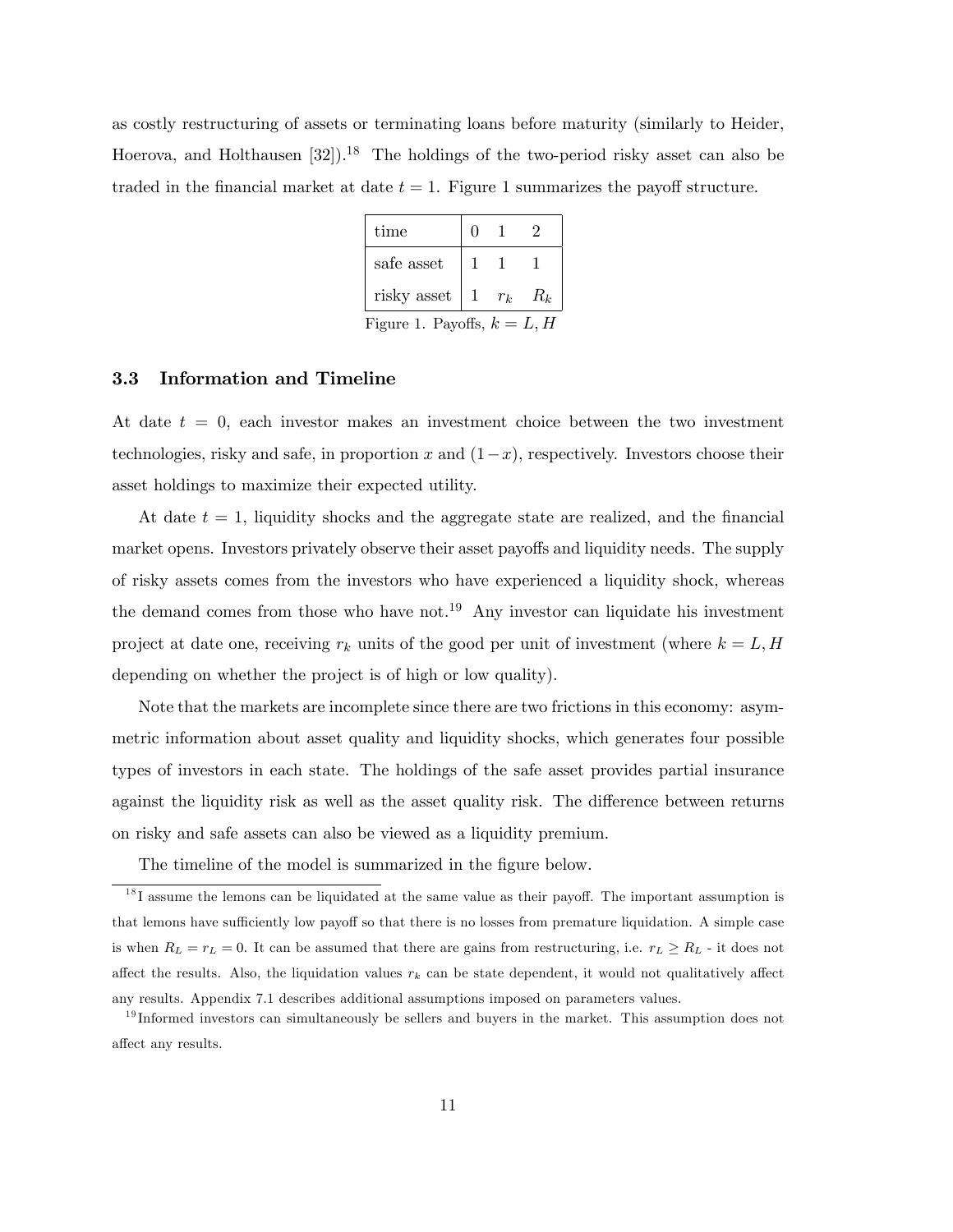as costly restructuring of assets or terminating loans before maturity (similarly to Heider, Hoerova, and Holthausen  $[32]$ .<sup>18</sup> The holdings of the two-period risky asset can also be traded in the financial market at date  $t = 1$ . Figure 1 summarizes the payoff structure.

| time                          |    |       |       |
|-------------------------------|----|-------|-------|
| safe asset                    |    |       |       |
| risky asset                   | -1 | $r_k$ | $R_k$ |
| Figure 1. Payoffs, $k = L, H$ |    |       |       |

#### 3.3 Information and Timeline

At date  $t = 0$ , each investor makes an investment choice between the two investment technologies, risky and safe, in proportion x and  $(1-x)$ , respectively. Investors choose their asset holdings to maximize their expected utility.

At date  $t = 1$ , liquidity shocks and the aggregate state are realized, and the financial market opens. Investors privately observe their asset payoffs and liquidity needs. The supply of risky assets comes from the investors who have experienced a liquidity shock, whereas the demand comes from those who have not.<sup>19</sup> Any investor can liquidate his investment project at date one, receiving  $r_k$  units of the good per unit of investment (where  $k = L, H$ depending on whether the project is of high or low quality).

Note that the markets are incomplete since there are two frictions in this economy: asymmetric information about asset quality and liquidity shocks, which generates four possible types of investors in each state. The holdings of the safe asset provides partial insurance against the liquidity risk as well as the asset quality risk. The difference between returns on risky and safe assets can also be viewed as a liquidity premium.

The timeline of the model is summarized in the figure below.

 $1<sup>8</sup>I$  assume the lemons can be liquidated at the same value as their payoff. The important assumption is that lemons have sufficiently low payoff so that there is no losses from premature liquidation. A simple case is when  $R_L = r_L = 0$ . It can be assumed that there are gains from restructuring, i.e.  $r_L \ge R_L$  - it does not affect the results. Also, the liquidation values  $r_k$  can be state dependent, it would not qualitatively affect any results. Appendix 7.1 describes additional assumptions imposed on parameters values.

 $19$  Informed investors can simultaneously be sellers and buyers in the market. This assumption does not affect any results.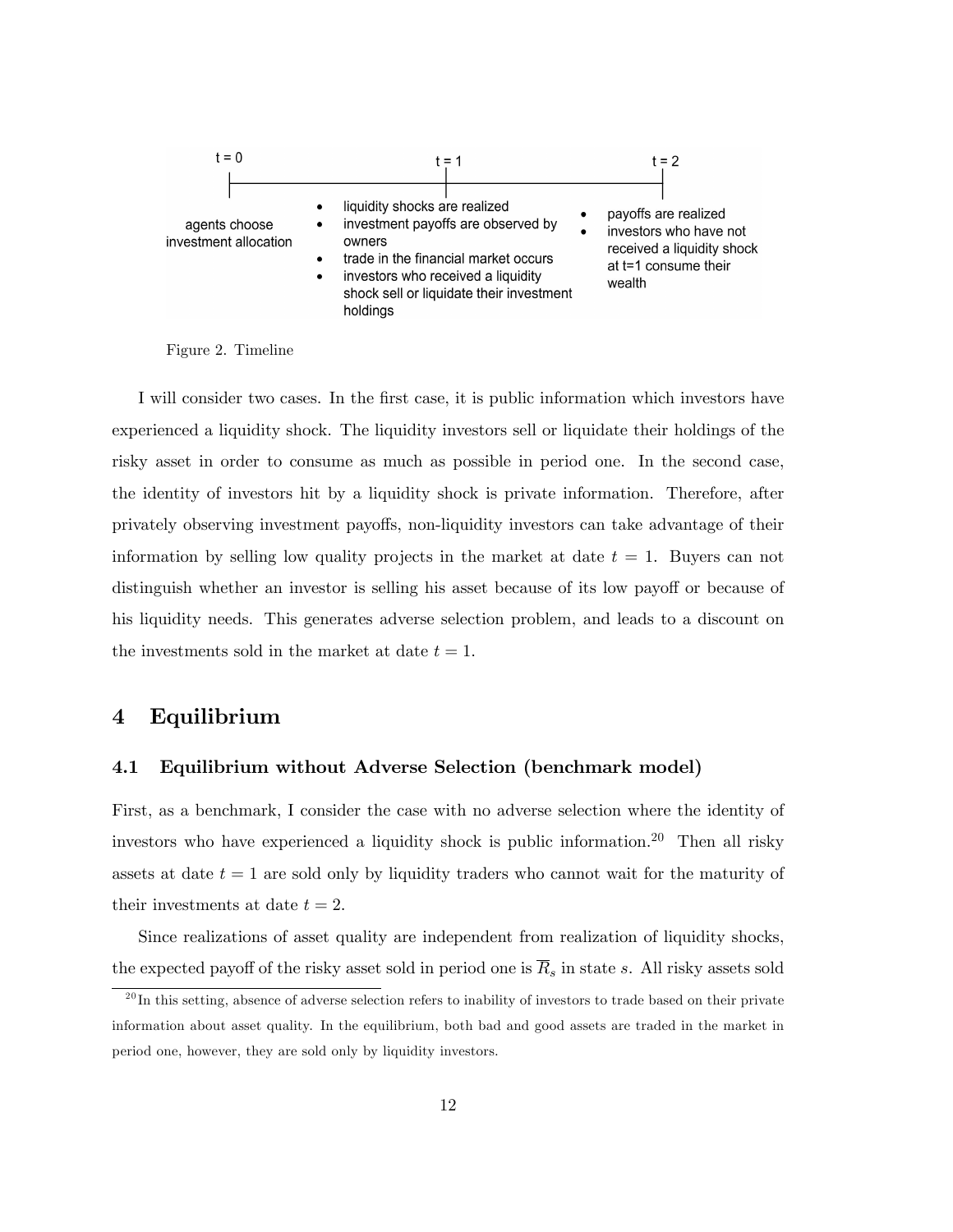

Figure 2. Timeline

I will consider two cases. In the first case, it is public information which investors have experienced a liquidity shock. The liquidity investors sell or liquidate their holdings of the risky asset in order to consume as much as possible in period one. In the second case, the identity of investors hit by a liquidity shock is private information. Therefore, after privately observing investment payo§s, non-liquidity investors can take advantage of their information by selling low quality projects in the market at date  $t = 1$ . Buyers can not distinguish whether an investor is selling his asset because of its low payoff or because of his liquidity needs. This generates adverse selection problem, and leads to a discount on the investments sold in the market at date  $t = 1$ .

### 4 Equilibrium

#### 4.1 Equilibrium without Adverse Selection (benchmark model)

First, as a benchmark, I consider the case with no adverse selection where the identity of investors who have experienced a liquidity shock is public information.<sup>20</sup> Then all risky assets at date  $t = 1$  are sold only by liquidity traders who cannot wait for the maturity of their investments at date  $t = 2$ .

Since realizations of asset quality are independent from realization of liquidity shocks, the expected payoff of the risky asset sold in period one is  $\overline{R}_s$  in state s. All risky assets sold

 $^{20}$ In this setting, absence of adverse selection refers to inability of investors to trade based on their private information about asset quality. In the equilibrium, both bad and good assets are traded in the market in period one, however, they are sold only by liquidity investors.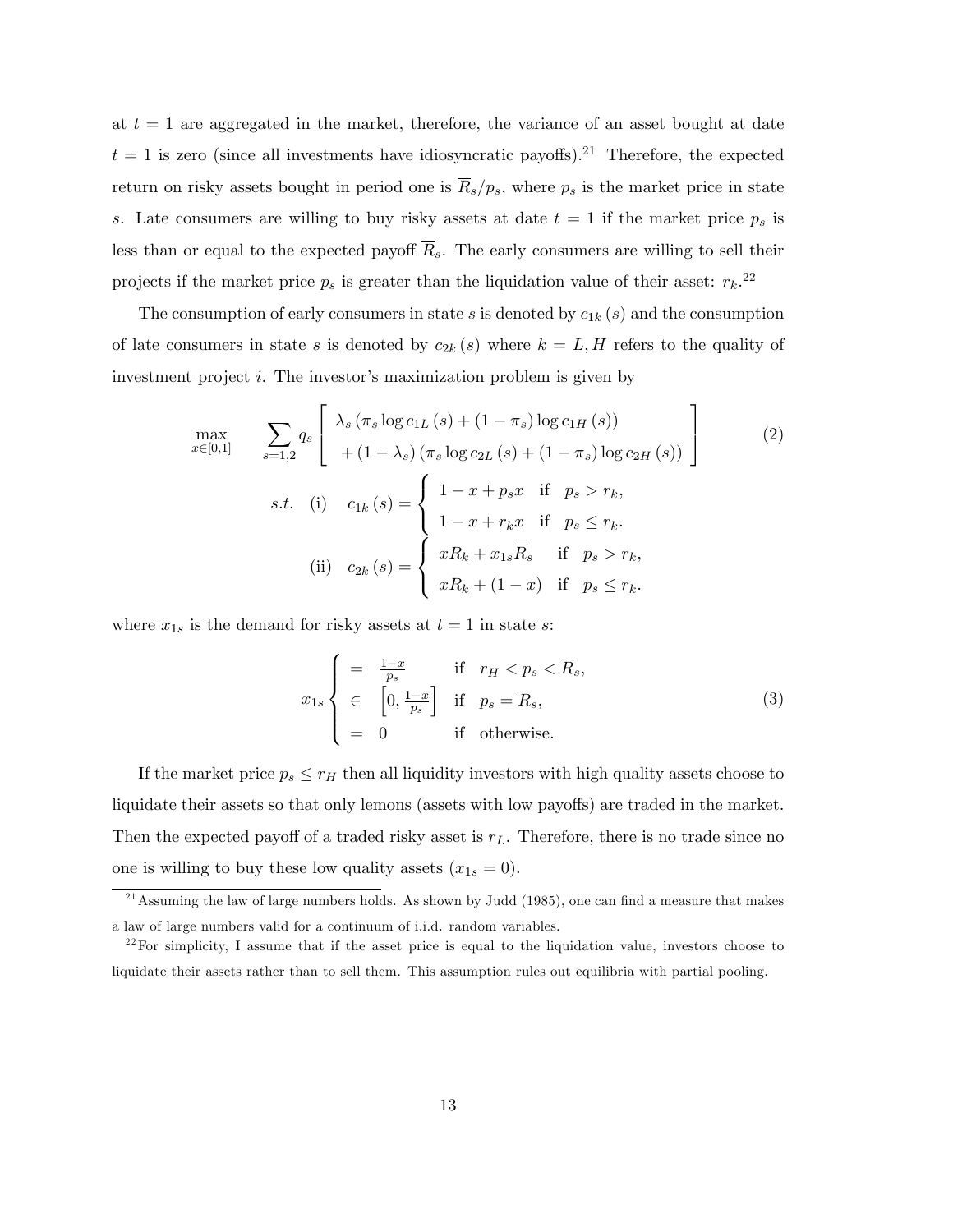at  $t = 1$  are aggregated in the market, therefore, the variance of an asset bought at date  $t = 1$  is zero (since all investments have idiosyncratic payoffs).<sup>21</sup> Therefore, the expected return on risky assets bought in period one is  $\overline{R}_s/p_s$ , where  $p_s$  is the market price in state s. Late consumers are willing to buy risky assets at date  $t = 1$  if the market price  $p_s$  is less than or equal to the expected payoff  $\overline{R}_s$ . The early consumers are willing to sell their projects if the market price  $p_s$  is greater than the liquidation value of their asset:  $r_k$ <sup>22</sup>

The consumption of early consumers in state s is denoted by  $c_{1k}(s)$  and the consumption of late consumers in state s is denoted by  $c_{2k}(s)$  where  $k = L, H$  refers to the quality of investment project  $i$ . The investor's maximization problem is given by

$$
\max_{x \in [0,1]} \sum_{s=1,2} q_s \left[ \begin{array}{l} \lambda_s (\pi_s \log c_{1L} (s) + (1 - \pi_s) \log c_{1H} (s)) \\ + (1 - \lambda_s) (\pi_s \log c_{2L} (s) + (1 - \pi_s) \log c_{2H} (s)) \end{array} \right]
$$
(2)  
s.t. (i)  $c_{1k} (s) = \begin{cases} 1 - x + p_s x & \text{if } p_s > r_k, \\ 1 - x + r_k x & \text{if } p_s \le r_k. \end{cases}$   
(ii)  $c_{2k} (s) = \begin{cases} xR_k + x_{1s} \overline{R}_s & \text{if } p_s > r_k, \\ xR_k + (1 - x) & \text{if } p_s \le r_k. \end{cases}$ 

where  $x_{1s}$  is the demand for risky assets at  $t = 1$  in state s:

$$
x_{1s} \begin{cases} = \frac{1-x}{p_s} & \text{if } r_H < p_s < \overline{R}_s, \\ \in \left[0, \frac{1-x}{p_s}\right] & \text{if } p_s = \overline{R}_s, \\ = 0 & \text{if otherwise.} \end{cases} \tag{3}
$$

If the market price  $p_s \leq r_H$  then all liquidity investors with high quality assets choose to liquidate their assets so that only lemons (assets with low payoffs) are traded in the market. Then the expected payoff of a traded risky asset is  $r<sub>L</sub>$ . Therefore, there is no trade since no one is willing to buy these low quality assets  $(x_{1s} = 0)$ .

<sup>&</sup>lt;sup>21</sup> Assuming the law of large numbers holds. As shown by Judd (1985), one can find a measure that makes a law of large numbers valid for a continuum of i.i.d. random variables.

 $2^{22}$  For simplicity, I assume that if the asset price is equal to the liquidation value, investors choose to liquidate their assets rather than to sell them. This assumption rules out equilibria with partial pooling.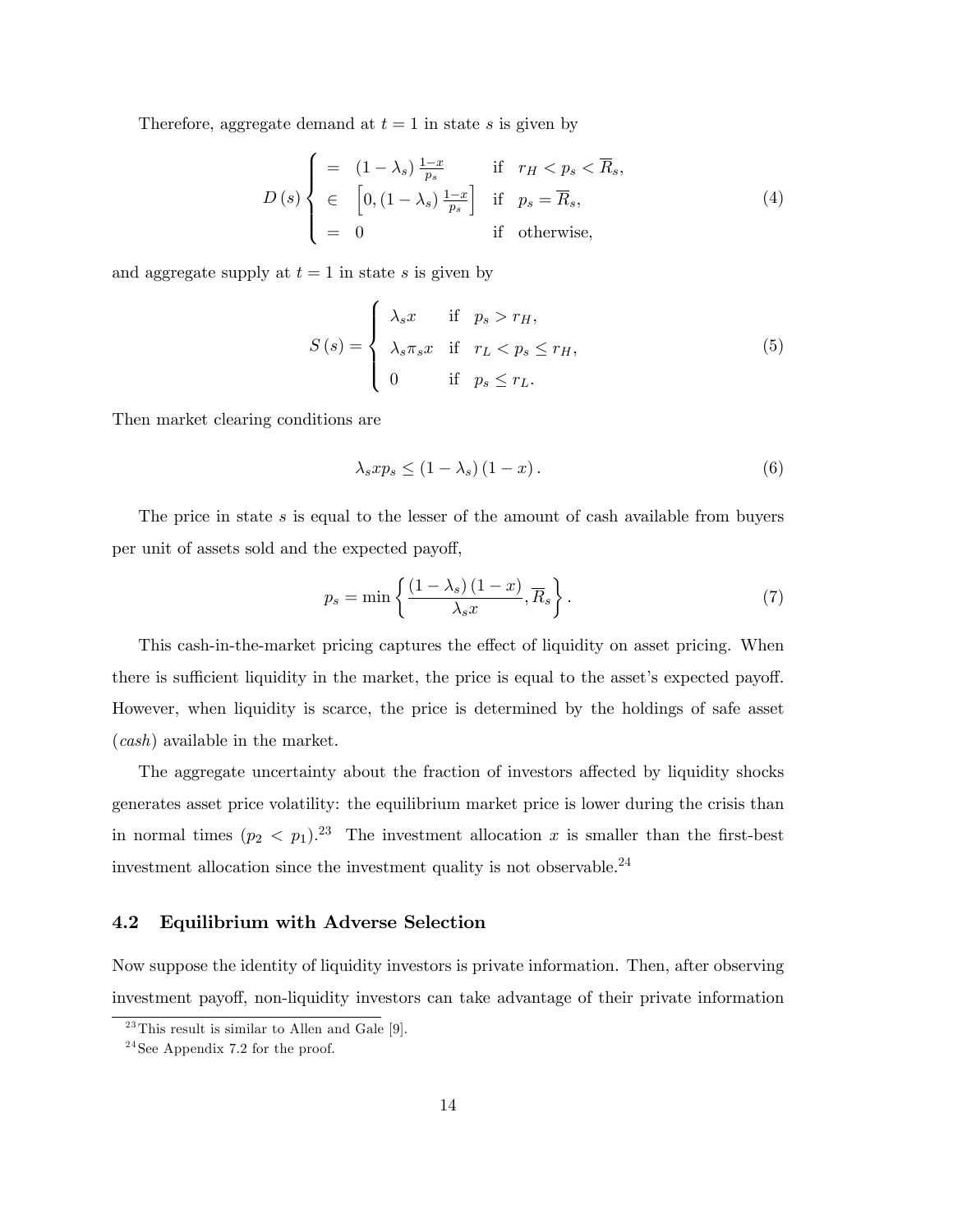Therefore, aggregate demand at  $t = 1$  in state s is given by

$$
D(s) \begin{cases} = (1 - \lambda_s) \frac{1 - x}{p_s} & \text{if } r_H < p_s < \overline{R}_s, \\ \in [0, (1 - \lambda_s) \frac{1 - x}{p_s}] & \text{if } p_s = \overline{R}_s, \\ = 0 & \text{if otherwise,} \end{cases}
$$
(4)

and aggregate supply at  $t = 1$  in state s is given by

$$
S(s) = \begin{cases} \lambda_s x & \text{if } p_s > r_H, \\ \lambda_s \pi_s x & \text{if } r_L < p_s \le r_H, \\ 0 & \text{if } p_s \le r_L. \end{cases}
$$
 (5)

Then market clearing conditions are

$$
\lambda_s x p_s \le (1 - \lambda_s) (1 - x). \tag{6}
$$

The price in state  $s$  is equal to the lesser of the amount of cash available from buyers per unit of assets sold and the expected payoff,

$$
p_s = \min\left\{\frac{(1-\lambda_s)(1-x)}{\lambda_s x}, \overline{R}_s\right\}.
$$
 (7)

This cash-in-the-market pricing captures the effect of liquidity on asset pricing. When there is sufficient liquidity in the market, the price is equal to the asset's expected payoff. However, when liquidity is scarce, the price is determined by the holdings of safe asset (cash) available in the market.

The aggregate uncertainty about the fraction of investors affected by liquidity shocks generates asset price volatility: the equilibrium market price is lower during the crisis than in normal times  $(p_2 < p_1)^{23}$  The investment allocation x is smaller than the first-best investment allocation since the investment quality is not observable.  $^{24}$ 

#### 4.2 Equilibrium with Adverse Selection

Now suppose the identity of liquidity investors is private information. Then, after observing investment payoff, non-liquidity investors can take advantage of their private information

 $^{23}$ This result is similar to Allen and Gale [9].

 $24$ See Appendix 7.2 for the proof.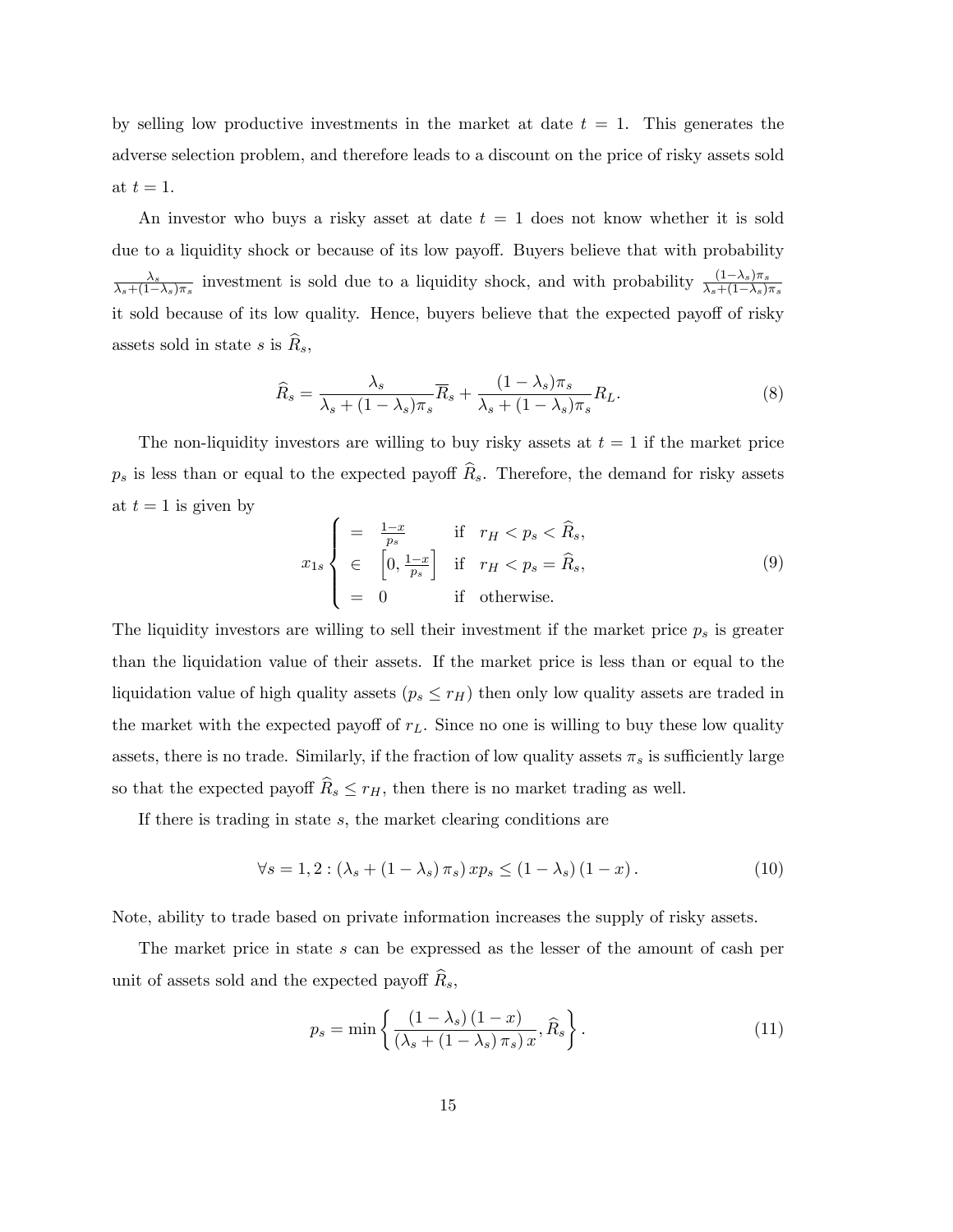by selling low productive investments in the market at date  $t = 1$ . This generates the adverse selection problem, and therefore leads to a discount on the price of risky assets sold at  $t = 1$ .

An investor who buys a risky asset at date  $t = 1$  does not know whether it is sold due to a liquidity shock or because of its low payoff. Buyers believe that with probability  $\lambda_s$  $\frac{\lambda_s}{\lambda_s + (1-\lambda_s)\pi_s}$  investment is sold due to a liquidity shock, and with probability  $\frac{(1-\lambda_s)\pi_s}{\lambda_s + (1-\lambda_s)\pi_s}$ it sold because of its low quality. Hence, buyers believe that the expected payoff of risky assets sold in state s is  $\widehat{R}_s$ ,

$$
\widehat{R}_s = \frac{\lambda_s}{\lambda_s + (1 - \lambda_s)\pi_s} \overline{R}_s + \frac{(1 - \lambda_s)\pi_s}{\lambda_s + (1 - \lambda_s)\pi_s} R_L.
$$
\n(8)

The non-liquidity investors are willing to buy risky assets at  $t = 1$  if the market price  $p_s$  is less than or equal to the expected payoff  $\widehat{R}_s$ . Therefore, the demand for risky assets at  $t = 1$  is given by

$$
x_{1s} \begin{cases} = \frac{1-x}{p_s} & \text{if } r_H < p_s < \hat{R}_s, \\ \in \left[0, \frac{1-x}{p_s}\right] & \text{if } r_H < p_s = \hat{R}_s, \\ = 0 & \text{if otherwise.} \end{cases} \tag{9}
$$

The liquidity investors are willing to sell their investment if the market price  $p_s$  is greater than the liquidation value of their assets. If the market price is less than or equal to the liquidation value of high quality assets  $(p_s \le r_H)$  then only low quality assets are traded in the market with the expected payoff of  $r<sub>L</sub>$ . Since no one is willing to buy these low quality assets, there is no trade. Similarly, if the fraction of low quality assets  $\pi_s$  is sufficiently large so that the expected payoff  $\widehat{R}_s \leq r_H$ , then there is no market trading as well.

If there is trading in state  $s$ , the market clearing conditions are

$$
\forall s = 1, 2: \left(\lambda_s + \left(1 - \lambda_s\right)\pi_s\right) x p_s \le \left(1 - \lambda_s\right) \left(1 - x\right). \tag{10}
$$

Note, ability to trade based on private information increases the supply of risky assets.

The market price in state s can be expressed as the lesser of the amount of cash per unit of assets sold and the expected payoff  $R_s$ ,

$$
p_s = \min\left\{\frac{\left(1 - \lambda_s\right)\left(1 - x\right)}{\left(\lambda_s + \left(1 - \lambda_s\right)\pi_s\right)x}, \widehat{R}_s\right\}.
$$
\n(11)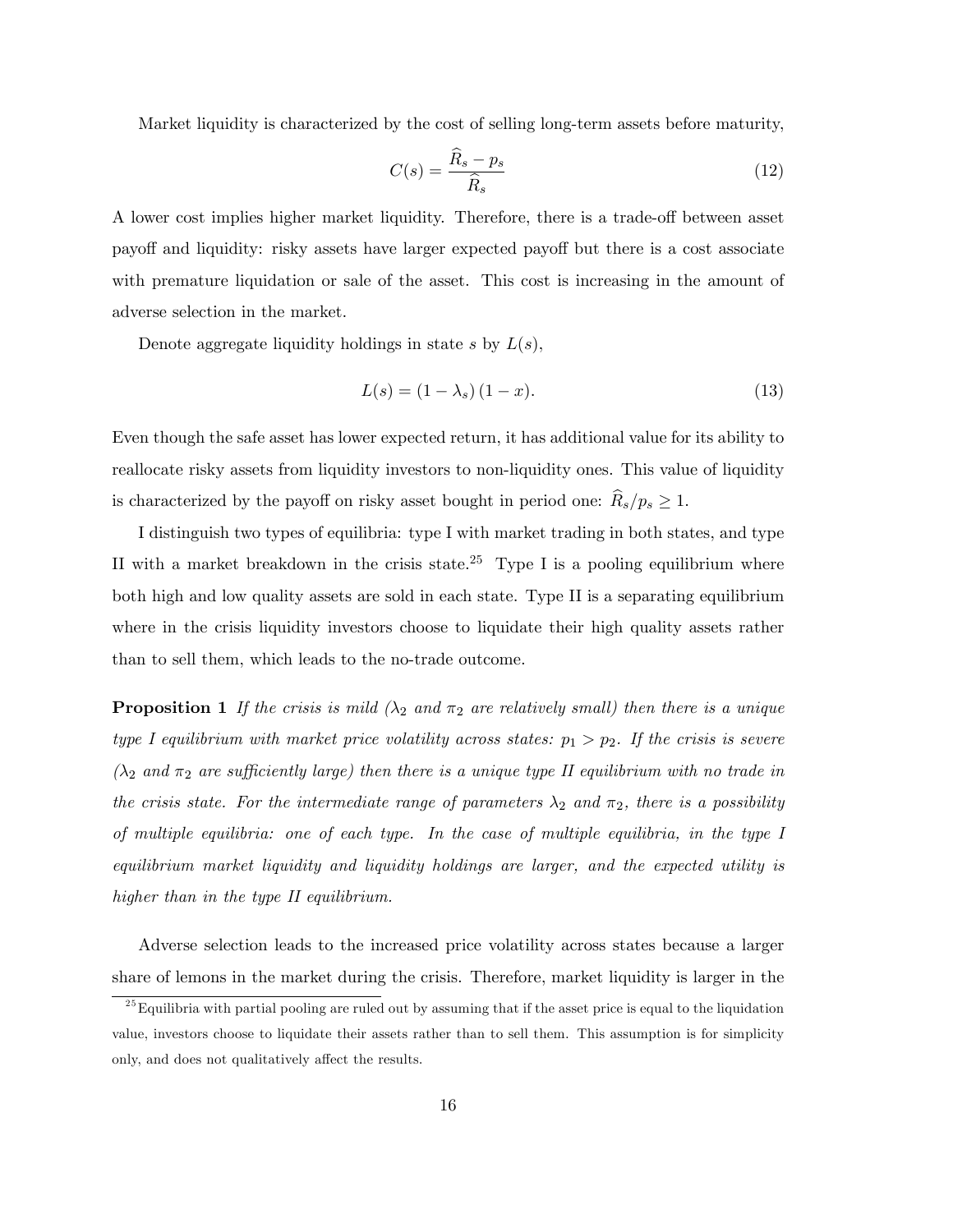Market liquidity is characterized by the cost of selling long-term assets before maturity,

$$
C(s) = \frac{\widehat{R}_s - p_s}{\widehat{R}_s} \tag{12}
$$

A lower cost implies higher market liquidity. Therefore, there is a trade-off between asset payoff and liquidity: risky assets have larger expected payoff but there is a cost associate with premature liquidation or sale of the asset. This cost is increasing in the amount of adverse selection in the market.

Denote aggregate liquidity holdings in state s by  $L(s)$ ,

$$
L(s) = (1 - \lambda_s) (1 - x). \tag{13}
$$

Even though the safe asset has lower expected return, it has additional value for its ability to reallocate risky assets from liquidity investors to non-liquidity ones. This value of liquidity is characterized by the payoff on risky asset bought in period one:  $\widehat{R}_s/p_s \geq 1$ .

I distinguish two types of equilibria: type I with market trading in both states, and type II with a market breakdown in the crisis state.<sup>25</sup> Type I is a pooling equilibrium where both high and low quality assets are sold in each state. Type II is a separating equilibrium where in the crisis liquidity investors choose to liquidate their high quality assets rather than to sell them, which leads to the no-trade outcome.

**Proposition 1** If the crisis is mild  $(\lambda_2 \text{ and } \pi_2 \text{ are relatively small})$  then there is a unique type I equilibrium with market price volatility across states:  $p_1 > p_2$ . If the crisis is severe  $(\lambda_2 \text{ and } \pi_2 \text{ are sufficiently large})$  then there is a unique type II equilibrium with no trade in the crisis state. For the intermediate range of parameters  $\lambda_2$  and  $\pi_2$ , there is a possibility of multiple equilibria: one of each type. In the case of multiple equilibria, in the type I equilibrium market liquidity and liquidity holdings are larger, and the expected utility is higher than in the type II equilibrium.

Adverse selection leads to the increased price volatility across states because a larger share of lemons in the market during the crisis. Therefore, market liquidity is larger in the

 $25$  Equilibria with partial pooling are ruled out by assuming that if the asset price is equal to the liquidation value, investors choose to liquidate their assets rather than to sell them. This assumption is for simplicity only, and does not qualitatively affect the results.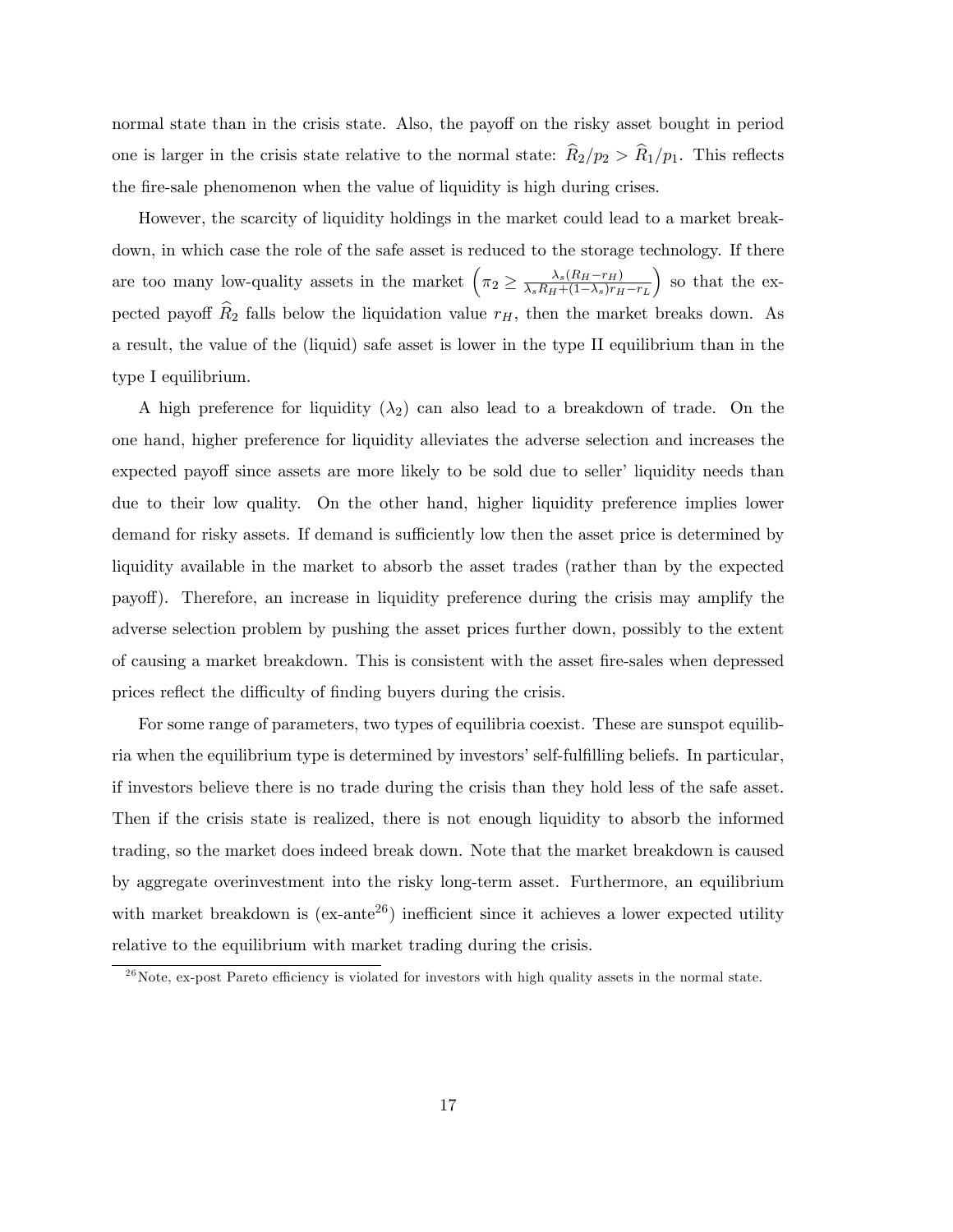normal state than in the crisis state. Also, the payoff on the risky asset bought in period one is larger in the crisis state relative to the normal state:  $\widehat{R}_2/p_2 > \widehat{R}_1/p_1$ . This reflects the fire-sale phenomenon when the value of liquidity is high during crises.

However, the scarcity of liquidity holdings in the market could lead to a market breakdown, in which case the role of the safe asset is reduced to the storage technology. If there are too many low-quality assets in the market  $(\pi_2 \geq \frac{\lambda_s (R_H - r_H)}{\lambda_s R_H + (1 - \lambda_s) r_H})$  $\lambda_s R_H + (1-\lambda_s)r_H - r_L$  so that the expected payoff  $\widehat{R}_2$  falls below the liquidation value  $r_H$ , then the market breaks down. As a result, the value of the (liquid) safe asset is lower in the type II equilibrium than in the type I equilibrium.

A high preference for liquidity  $(\lambda_2)$  can also lead to a breakdown of trade. On the one hand, higher preference for liquidity alleviates the adverse selection and increases the expected payoff since assets are more likely to be sold due to seller' liquidity needs than due to their low quality. On the other hand, higher liquidity preference implies lower demand for risky assets. If demand is sufficiently low then the asset price is determined by liquidity available in the market to absorb the asset trades (rather than by the expected payo§). Therefore, an increase in liquidity preference during the crisis may amplify the adverse selection problem by pushing the asset prices further down, possibly to the extent of causing a market breakdown. This is consistent with the asset Öre-sales when depressed prices reflect the difficulty of finding buyers during the crisis.

For some range of parameters, two types of equilibria coexist. These are sunspot equilibria when the equilibrium type is determined by investors' self-fulfilling beliefs. In particular, if investors believe there is no trade during the crisis than they hold less of the safe asset. Then if the crisis state is realized, there is not enough liquidity to absorb the informed trading, so the market does indeed break down. Note that the market breakdown is caused by aggregate overinvestment into the risky long-term asset. Furthermore, an equilibrium with market breakdown is  $(ex-ante^{26})$  inefficient since it achieves a lower expected utility relative to the equilibrium with market trading during the crisis.

 $^{26}$ Note, ex-post Pareto efficiency is violated for investors with high quality assets in the normal state.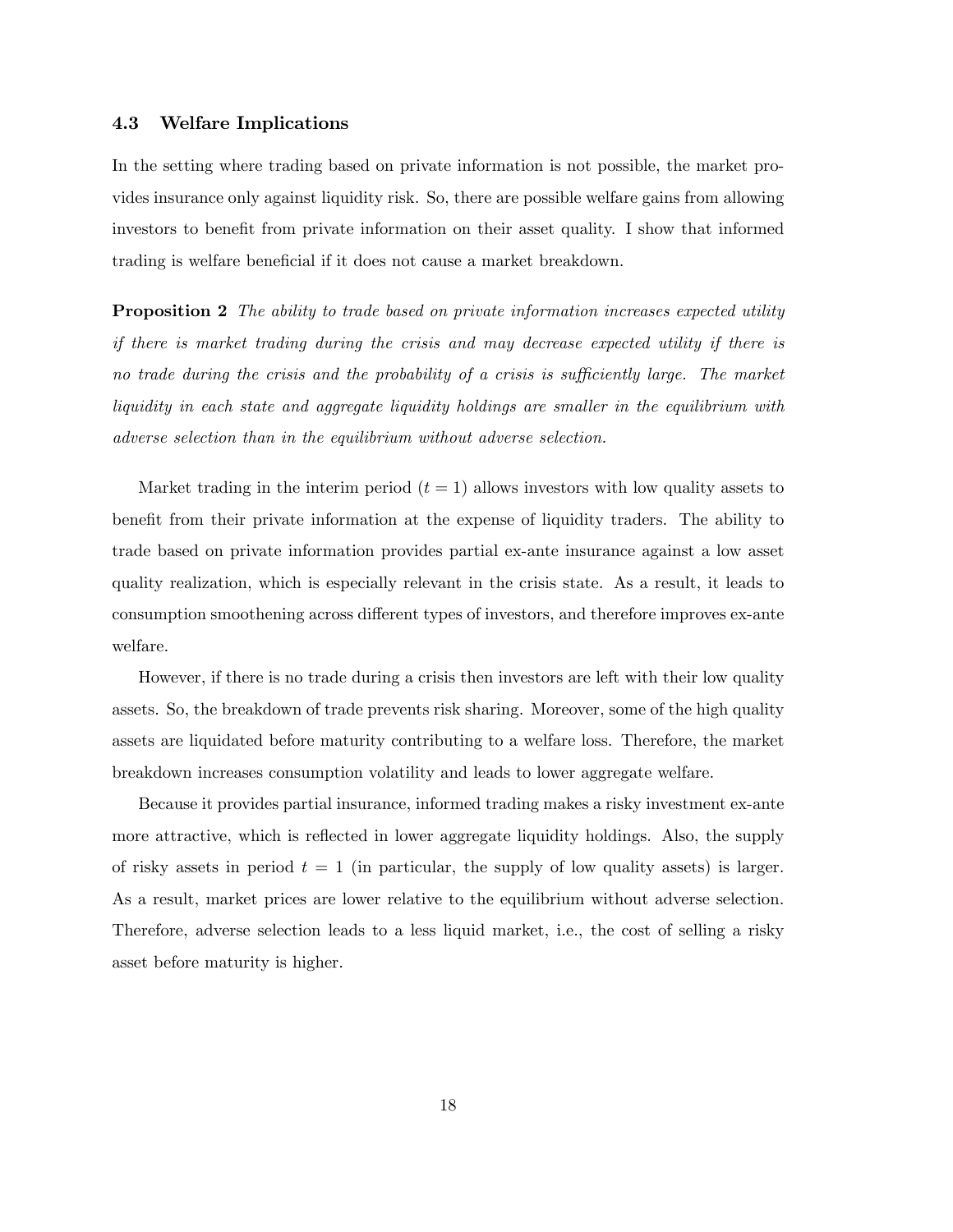#### 4.3 Welfare Implications

In the setting where trading based on private information is not possible, the market provides insurance only against liquidity risk. So, there are possible welfare gains from allowing investors to benefit from private information on their asset quality. I show that informed trading is welfare beneficial if it does not cause a market breakdown.

**Proposition 2** The ability to trade based on private information increases expected utility if there is market trading during the crisis and may decrease expected utility if there is no trade during the crisis and the probability of a crisis is sufficiently large. The market liquidity in each state and aggregate liquidity holdings are smaller in the equilibrium with adverse selection than in the equilibrium without adverse selection.

Market trading in the interim period  $(t = 1)$  allows investors with low quality assets to benefit from their private information at the expense of liquidity traders. The ability to trade based on private information provides partial ex-ante insurance against a low asset quality realization, which is especially relevant in the crisis state. As a result, it leads to consumption smoothening across different types of investors, and therefore improves ex-ante welfare.

However, if there is no trade during a crisis then investors are left with their low quality assets. So, the breakdown of trade prevents risk sharing. Moreover, some of the high quality assets are liquidated before maturity contributing to a welfare loss. Therefore, the market breakdown increases consumption volatility and leads to lower aggregate welfare.

Because it provides partial insurance, informed trading makes a risky investment ex-ante more attractive, which is reflected in lower aggregate liquidity holdings. Also, the supply of risky assets in period  $t = 1$  (in particular, the supply of low quality assets) is larger. As a result, market prices are lower relative to the equilibrium without adverse selection. Therefore, adverse selection leads to a less liquid market, i.e., the cost of selling a risky asset before maturity is higher.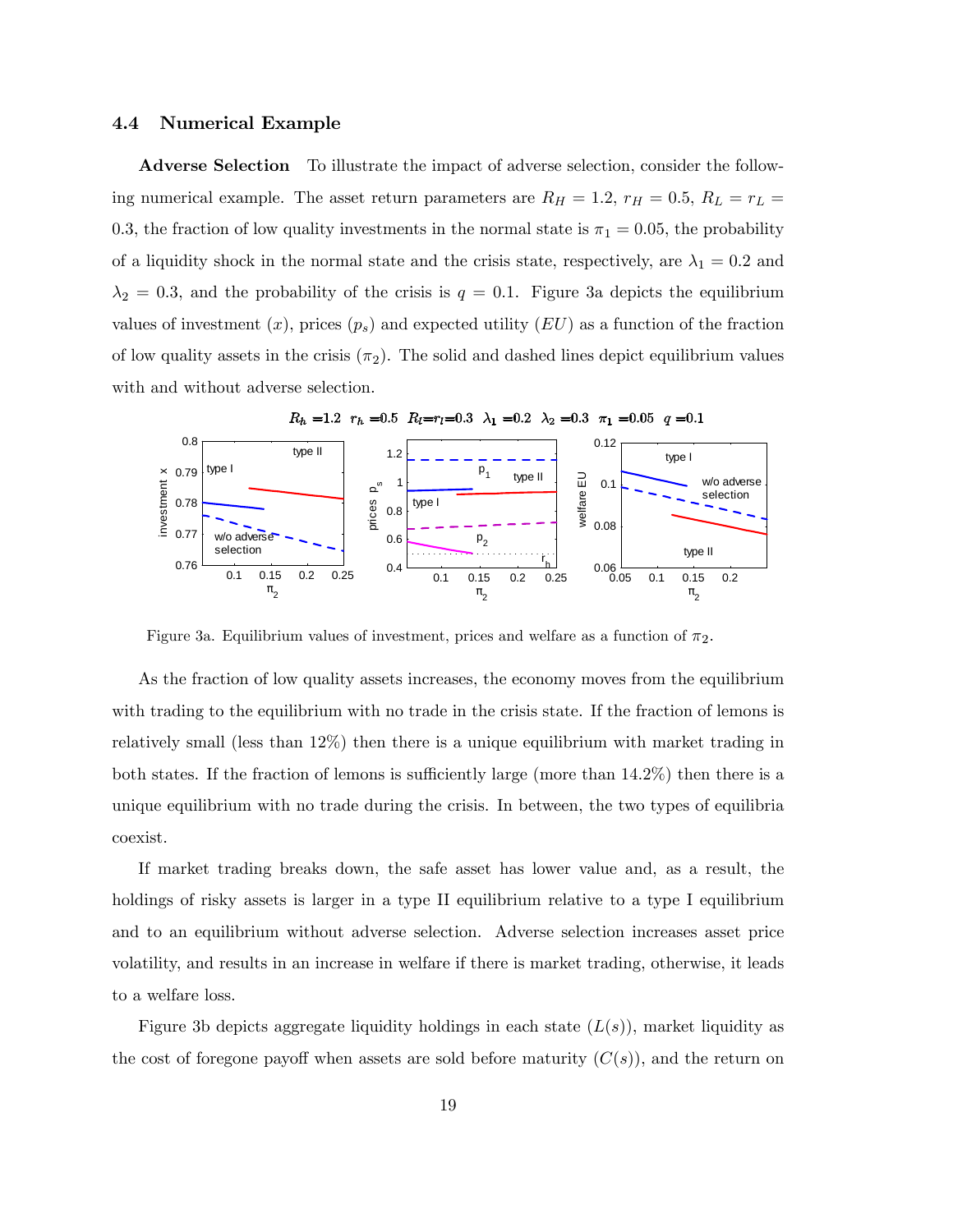#### 4.4 Numerical Example

Adverse Selection To illustrate the impact of adverse selection, consider the following numerical example. The asset return parameters are  $R_H = 1.2$ ,  $r_H = 0.5$ ,  $R_L = r_L$ 0.3, the fraction of low quality investments in the normal state is  $\pi_1 = 0.05$ , the probability of a liquidity shock in the normal state and the crisis state, respectively, are  $\lambda_1 = 0.2$  and  $\lambda_2 = 0.3$ , and the probability of the crisis is  $q = 0.1$ . Figure 3a depicts the equilibrium values of investment  $(x)$ , prices  $(p_s)$  and expected utility  $(EU)$  as a function of the fraction of low quality assets in the crisis  $(\pi_2)$ . The solid and dashed lines depict equilibrium values with and without adverse selection.



Figure 3a. Equilibrium values of investment, prices and welfare as a function of  $\pi_2$ .

As the fraction of low quality assets increases, the economy moves from the equilibrium with trading to the equilibrium with no trade in the crisis state. If the fraction of lemons is relatively small (less than 12%) then there is a unique equilibrium with market trading in both states. If the fraction of lemons is sufficiently large (more than  $14.2\%$ ) then there is a unique equilibrium with no trade during the crisis. In between, the two types of equilibria coexist.

If market trading breaks down, the safe asset has lower value and, as a result, the holdings of risky assets is larger in a type II equilibrium relative to a type I equilibrium and to an equilibrium without adverse selection. Adverse selection increases asset price volatility, and results in an increase in welfare if there is market trading, otherwise, it leads to a welfare loss.

Figure 3b depicts aggregate liquidity holdings in each state  $(L(s))$ , market liquidity as the cost of foregone payoff when assets are sold before maturity  $(C(s))$ , and the return on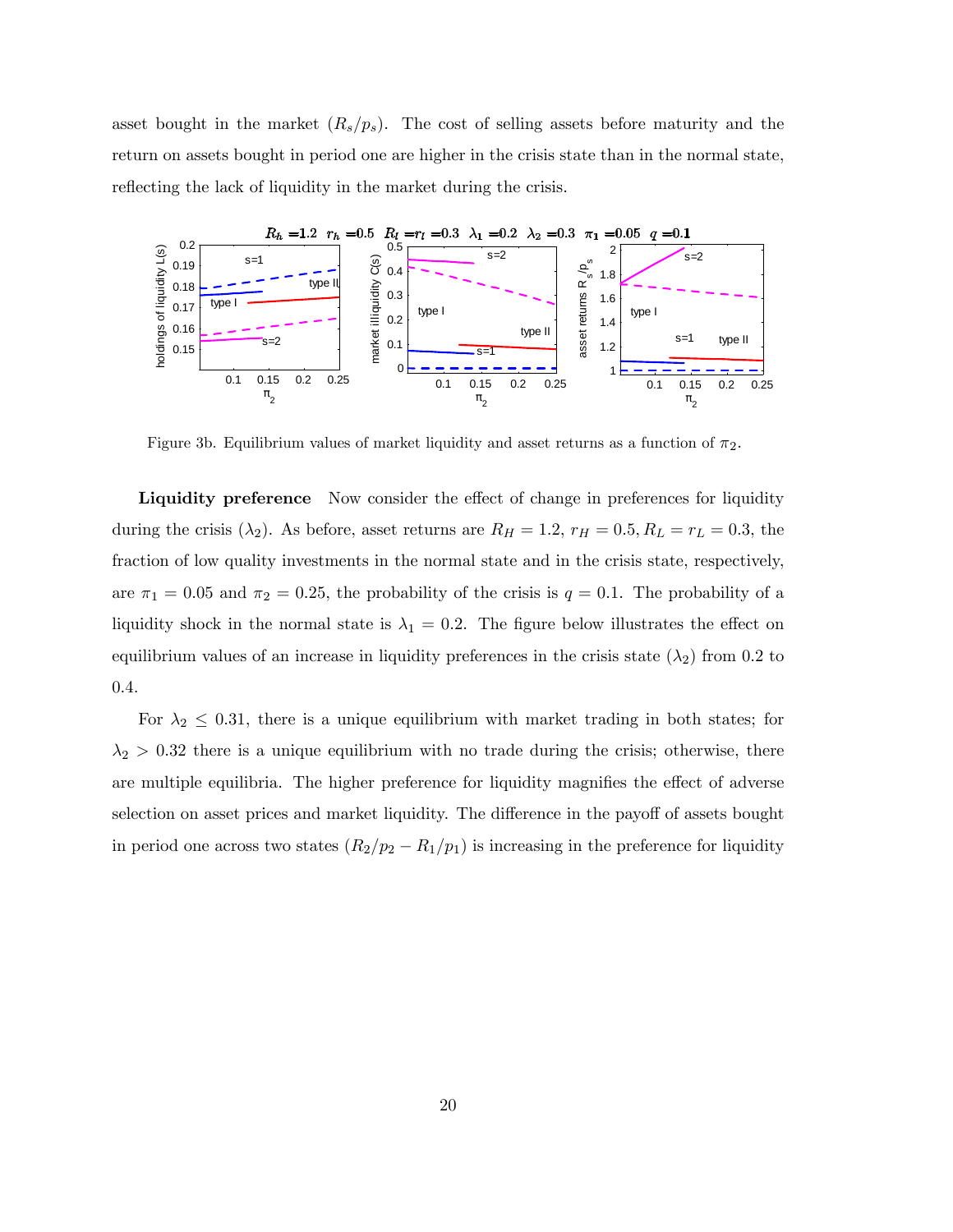asset bought in the market  $(R_s/p_s)$ . The cost of selling assets before maturity and the return on assets bought in period one are higher in the crisis state than in the normal state, reflecting the lack of liquidity in the market during the crisis.



Figure 3b. Equilibrium values of market liquidity and asset returns as a function of  $\pi_2$ .

Liquidity preference Now consider the effect of change in preferences for liquidity during the crisis ( $\lambda_2$ ). As before, asset returns are  $R_H = 1.2$ ,  $r_H = 0.5$ ,  $R_L = r_L = 0.3$ , the fraction of low quality investments in the normal state and in the crisis state, respectively, are  $\pi_1 = 0.05$  and  $\pi_2 = 0.25$ , the probability of the crisis is  $q = 0.1$ . The probability of a liquidity shock in the normal state is  $\lambda_1 = 0.2$ . The figure below illustrates the effect on equilibrium values of an increase in liquidity preferences in the crisis state  $(\lambda_2)$  from 0.2 to 0:4.

For  $\lambda_2 \leq 0.31$ , there is a unique equilibrium with market trading in both states; for  $\lambda_2 > 0.32$  there is a unique equilibrium with no trade during the crisis; otherwise, there are multiple equilibria. The higher preference for liquidity magnifies the effect of adverse selection on asset prices and market liquidity. The difference in the payoff of assets bought in period one across two states  $(R_2/p_2 - R_1/p_1)$  is increasing in the preference for liquidity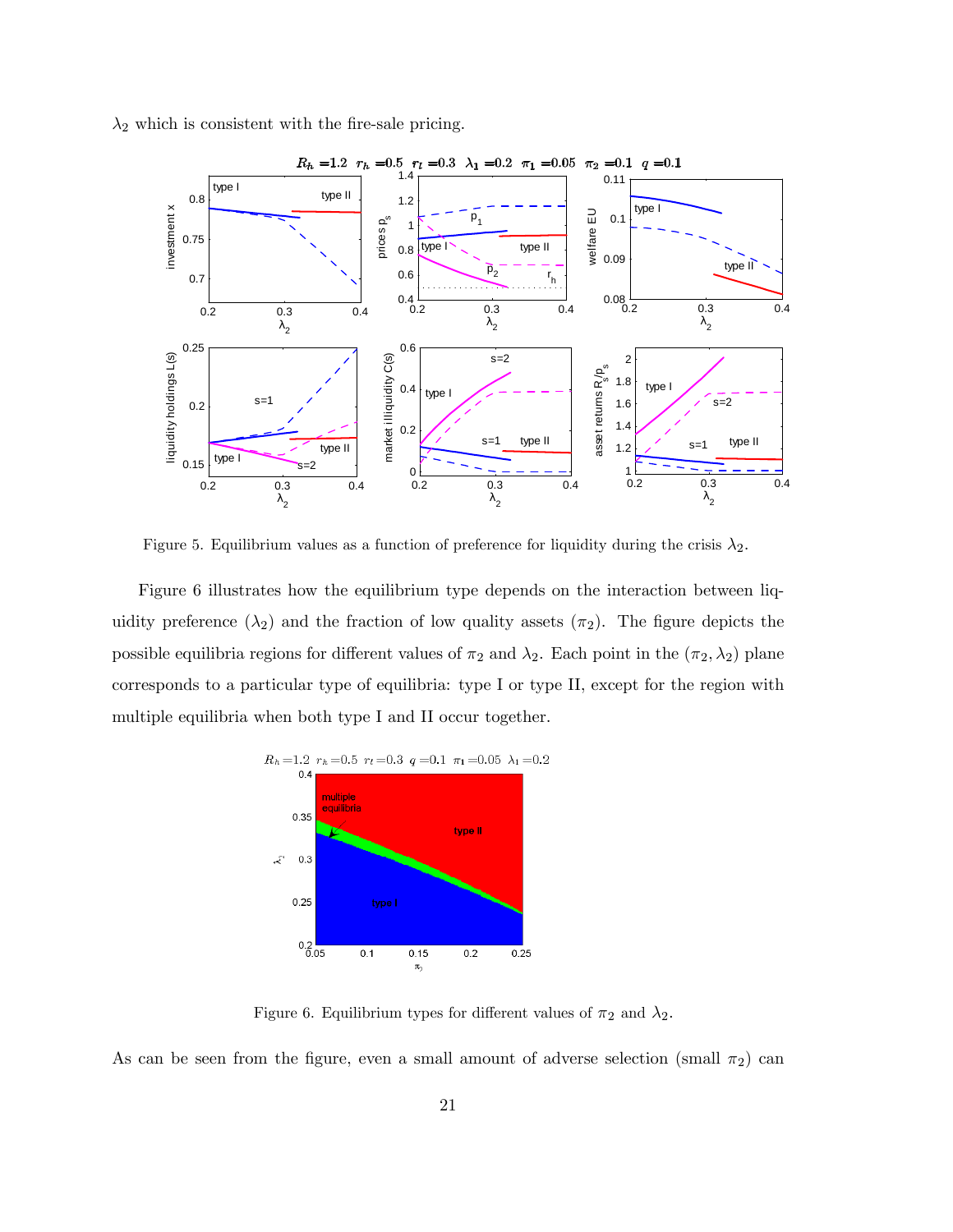$\lambda_2$  which is consistent with the fire-sale pricing.



Figure 5. Equilibrium values as a function of preference for liquidity during the crisis  $\lambda_2$ .

Figure 6 illustrates how the equilibrium type depends on the interaction between liquidity preference  $(\lambda_2)$  and the fraction of low quality assets  $(\pi_2)$ . The figure depicts the possible equilibria regions for different values of  $\pi_2$  and  $\lambda_2$ . Each point in the  $(\pi_2, \lambda_2)$  plane corresponds to a particular type of equilibria: type I or type II, except for the region with multiple equilibria when both type I and II occur together.



Figure 6. Equilibrium types for different values of  $\pi_2$  and  $\lambda_2$ .

As can be seen from the figure, even a small amount of adverse selection (small  $\pi_2$ ) can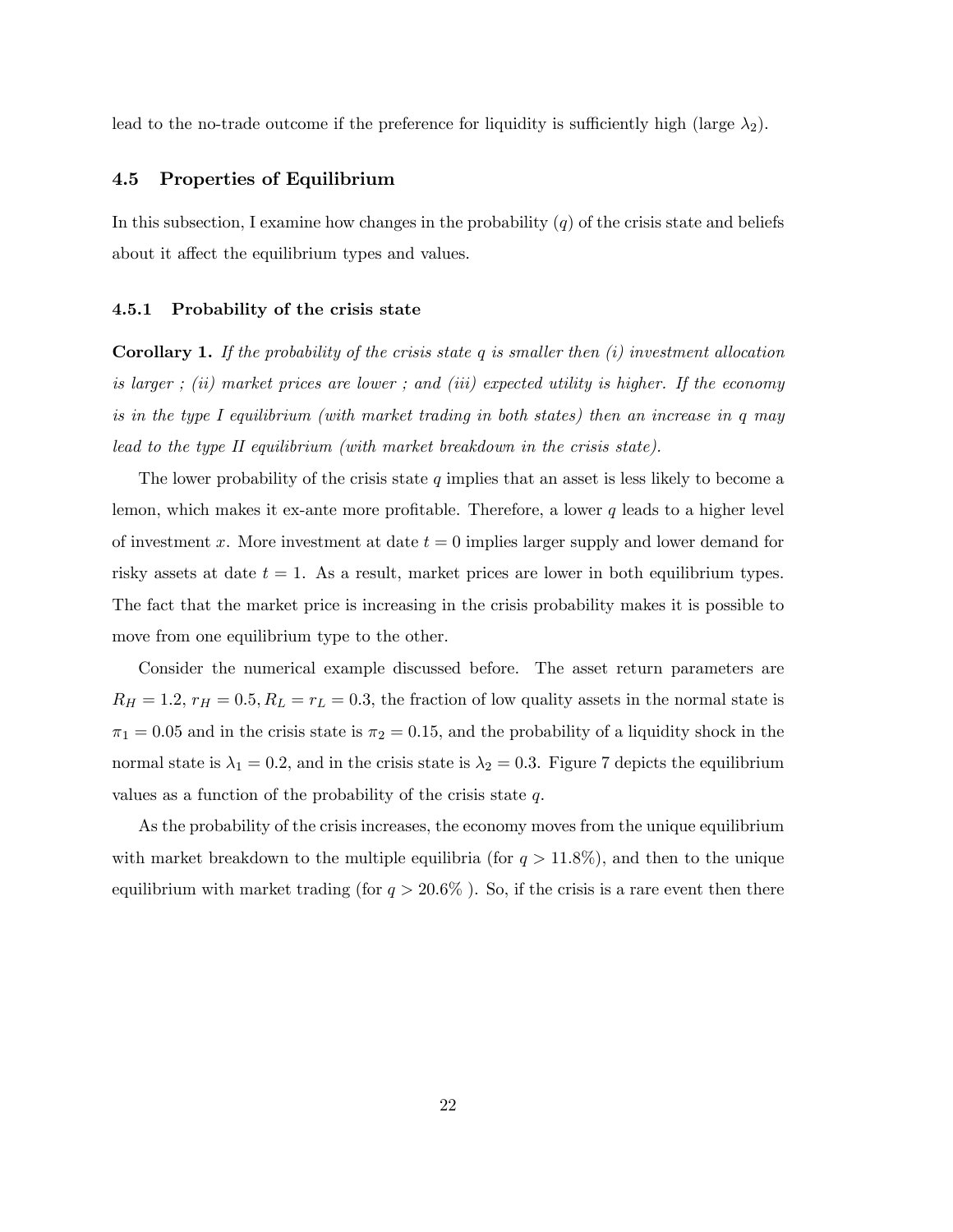lead to the no-trade outcome if the preference for liquidity is sufficiently high (large  $\lambda_2$ ).

#### 4.5 Properties of Equilibrium

In this subsection, I examine how changes in the probability  $(q)$  of the crisis state and beliefs about it affect the equilibrium types and values.

#### 4.5.1 Probability of the crisis state

**Corollary 1.** If the probability of the crisis state q is smaller then  $(i)$  investment allocation is larger; (ii) market prices are lower; and (iii) expected utility is higher. If the economy is in the type I equilibrium (with market trading in both states) then an increase in q may lead to the type II equilibrium (with market breakdown in the crisis state).

The lower probability of the crisis state  $q$  implies that an asset is less likely to become a lemon, which makes it ex-ante more profitable. Therefore, a lower  $q$  leads to a higher level of investment x. More investment at date  $t = 0$  implies larger supply and lower demand for risky assets at date  $t = 1$ . As a result, market prices are lower in both equilibrium types. The fact that the market price is increasing in the crisis probability makes it is possible to move from one equilibrium type to the other.

Consider the numerical example discussed before. The asset return parameters are  $R_H = 1.2$ ,  $r_H = 0.5$ ,  $R_L = r_L = 0.3$ , the fraction of low quality assets in the normal state is  $\pi_1 = 0.05$  and in the crisis state is  $\pi_2 = 0.15$ , and the probability of a liquidity shock in the normal state is  $\lambda_1 = 0.2$ , and in the crisis state is  $\lambda_2 = 0.3$ . Figure 7 depicts the equilibrium values as a function of the probability of the crisis state  $q$ .

As the probability of the crisis increases, the economy moves from the unique equilibrium with market breakdown to the multiple equilibria (for  $q > 11.8\%$ ), and then to the unique equilibrium with market trading (for  $q > 20.6\%$ ). So, if the crisis is a rare event then there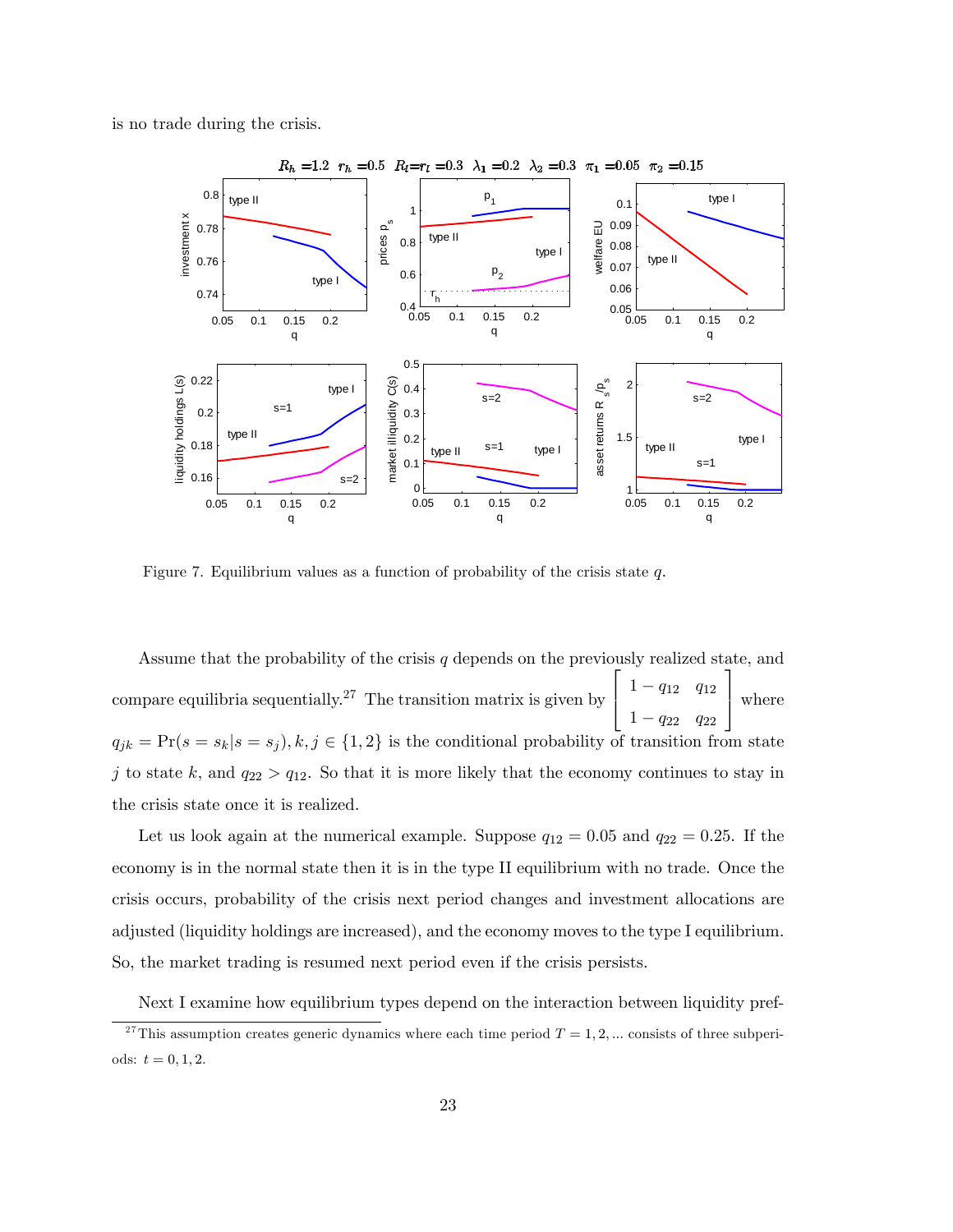is no trade during the crisis.



Figure 7. Equilibrium values as a function of probability of the crisis state  $q$ .

Assume that the probability of the crisis  $q$  depends on the previously realized state, and compare equilibria sequentially.<sup>27</sup> The transition matrix is given by  $\sqrt{2}$  $\begin{bmatrix} 1 - q_{22} & q_{22} \end{bmatrix}$  $1 - q_{12}$   $q_{12}$ 1 where  $q_{jk} = Pr(s = s_k | s = s_j), k, j \in \{1, 2\}$  is the conditional probability of transition from state j to state k, and  $q_{22} > q_{12}$ . So that it is more likely that the economy continues to stay in the crisis state once it is realized.

Let us look again at the numerical example. Suppose  $q_{12} = 0.05$  and  $q_{22} = 0.25$ . If the economy is in the normal state then it is in the type II equilibrium with no trade. Once the crisis occurs, probability of the crisis next period changes and investment allocations are adjusted (liquidity holdings are increased), and the economy moves to the type I equilibrium. So, the market trading is resumed next period even if the crisis persists.

Next I examine how equilibrium types depend on the interaction between liquidity pref-

<sup>&</sup>lt;sup>27</sup>This assumption creates generic dynamics where each time period  $T = 1, 2, ...$  consists of three subperiods:  $t = 0, 1, 2$ .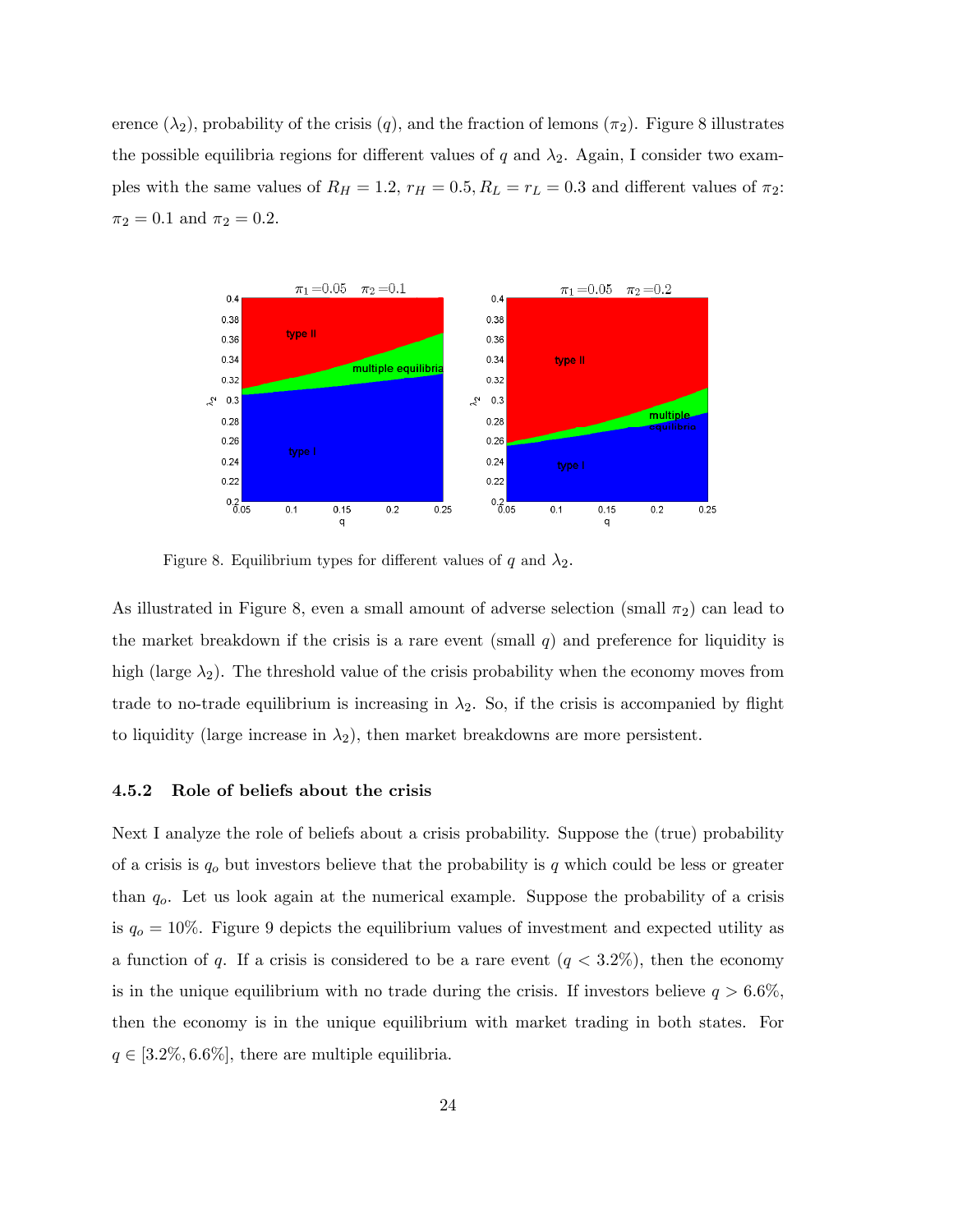erence  $(\lambda_2)$ , probability of the crisis  $(q)$ , and the fraction of lemons  $(\pi_2)$ . Figure 8 illustrates the possible equilibria regions for different values of q and  $\lambda_2$ . Again, I consider two examples with the same values of  $R_H = 1.2$ ,  $r_H = 0.5$ ,  $R_L = r_L = 0.3$  and different values of  $\pi_2$ :  $\pi_2 = 0.1$  and  $\pi_2 = 0.2$ .



Figure 8. Equilibrium types for different values of q and  $\lambda_2$ .

As illustrated in Figure 8, even a small amount of adverse selection (small  $\pi_2$ ) can lead to the market breakdown if the crisis is a rare event (small  $q$ ) and preference for liquidity is high (large  $\lambda_2$ ). The threshold value of the crisis probability when the economy moves from trade to no-trade equilibrium is increasing in  $\lambda_2$ . So, if the crisis is accompanied by flight to liquidity (large increase in  $\lambda_2$ ), then market breakdowns are more persistent.

#### 4.5.2 Role of beliefs about the crisis

Next I analyze the role of beliefs about a crisis probability. Suppose the (true) probability of a crisis is  $q_o$  but investors believe that the probability is q which could be less or greater than  $q<sub>o</sub>$ . Let us look again at the numerical example. Suppose the probability of a crisis is  $q_0 = 10\%$ . Figure 9 depicts the equilibrium values of investment and expected utility as a function of q. If a crisis is considered to be a rare event  $(q < 3.2\%)$ , then the economy is in the unique equilibrium with no trade during the crisis. If investors believe  $q > 6.6\%$ , then the economy is in the unique equilibrium with market trading in both states. For  $q \in [3.2\%, 6.6\%]$ , there are multiple equilibria.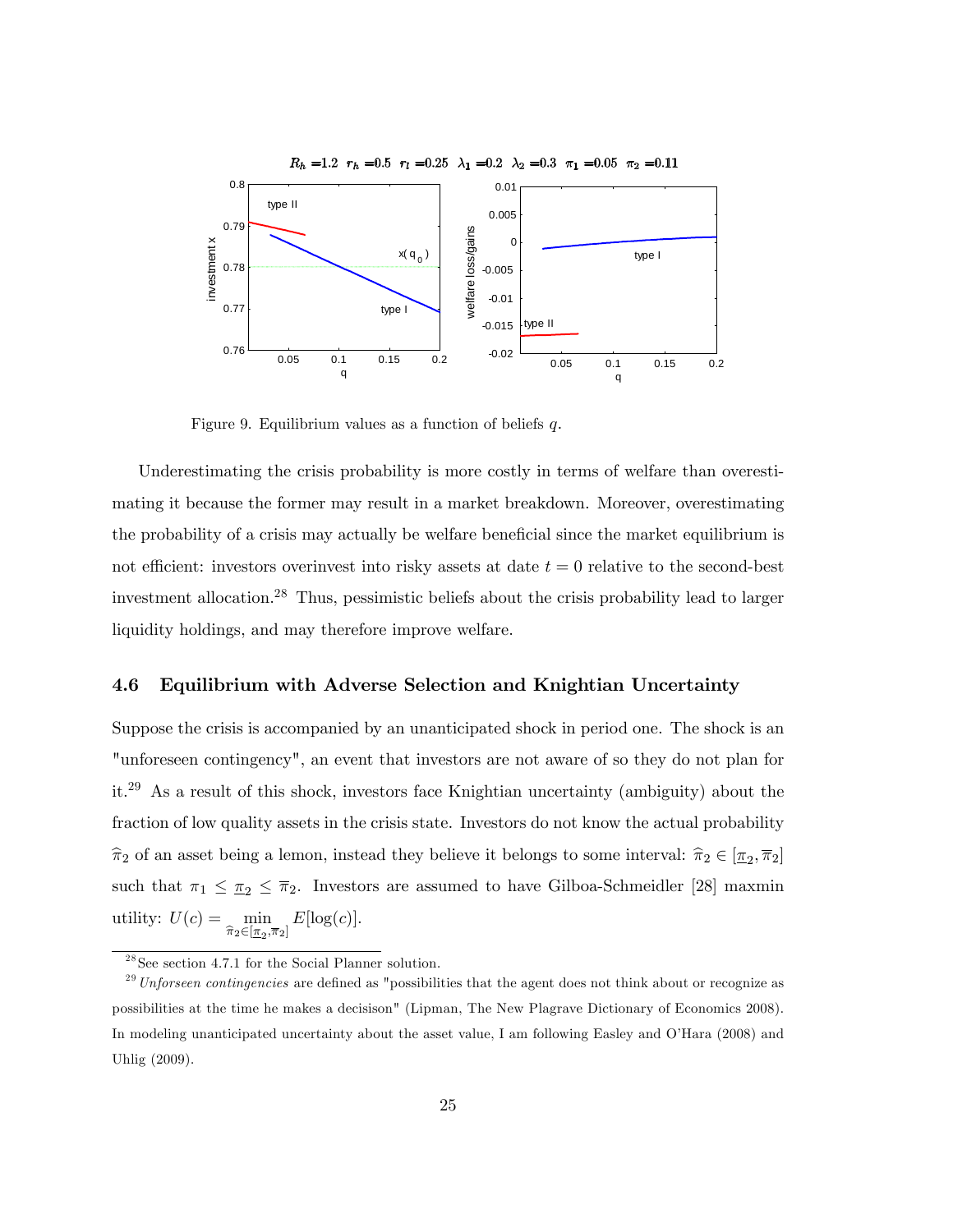

Figure 9. Equilibrium values as a function of beliefs  $q$ .

Underestimating the crisis probability is more costly in terms of welfare than overestimating it because the former may result in a market breakdown. Moreover, overestimating the probability of a crisis may actually be welfare beneficial since the market equilibrium is not efficient: investors overinvest into risky assets at date  $t = 0$  relative to the second-best investment allocation.<sup>28</sup> Thus, pessimistic beliefs about the crisis probability lead to larger liquidity holdings, and may therefore improve welfare.

#### 4.6 Equilibrium with Adverse Selection and Knightian Uncertainty

Suppose the crisis is accompanied by an unanticipated shock in period one. The shock is an "unforeseen contingency", an event that investors are not aware of so they do not plan for it.<sup>29</sup> As a result of this shock, investors face Knightian uncertainty (ambiguity) about the fraction of low quality assets in the crisis state. Investors do not know the actual probability  $\hat{\pi}_2$  of an asset being a lemon, instead they believe it belongs to some interval:  $\hat{\pi}_2 \in [\underline{\pi}_2, \overline{\pi}_2]$ such that  $\pi_1 \leq \pi_2 \leq \overline{\pi}_2$ . Investors are assumed to have Gilboa-Schmeidler [28] maxmin utility:  $U(c) = \min$  $\min_{\widehat{\pi}_2 \in [\underline{\pi}_2, \overline{\pi}_2]} E[\log(c)].$ 

 $28$  See section 4.7.1 for the Social Planner solution.

 $^{29}$  Unforseen contingencies are defined as "possibilities that the agent does not think about or recognize as possibilities at the time he makes a decisison" (Lipman, The New Plagrave Dictionary of Economics 2008). In modeling unanticipated uncertainty about the asset value, I am following Easley and O'Hara (2008) and Uhlig (2009).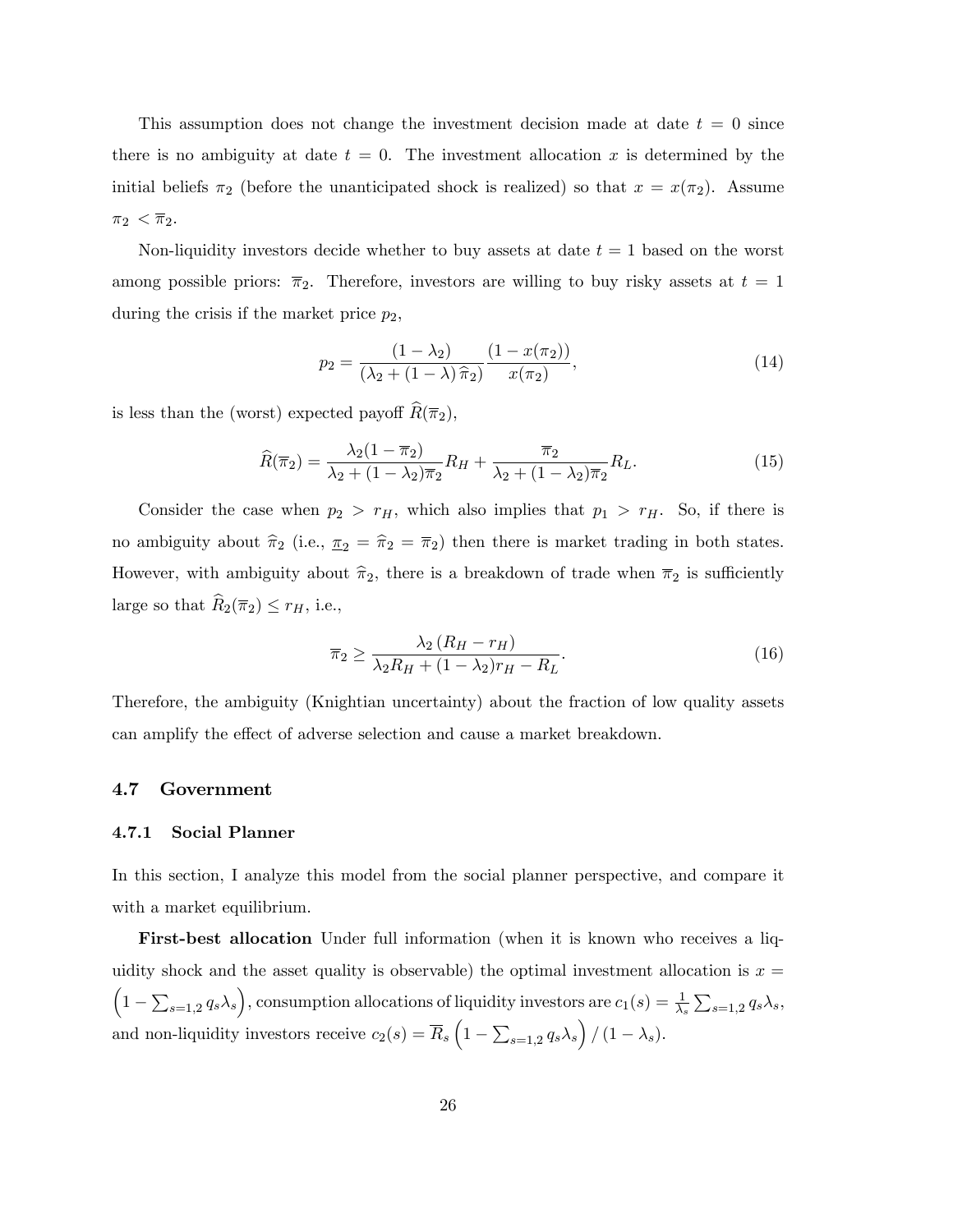This assumption does not change the investment decision made at date  $t = 0$  since there is no ambiguity at date  $t = 0$ . The investment allocation x is determined by the initial beliefs  $\pi_2$  (before the unanticipated shock is realized) so that  $x = x(\pi_2)$ . Assume  $\pi_2 < \overline{\pi}_2$ .

Non-liquidity investors decide whether to buy assets at date  $t = 1$  based on the worst among possible priors:  $\overline{\pi}_2$ . Therefore, investors are willing to buy risky assets at  $t = 1$ during the crisis if the market price  $p_2$ ,

$$
p_2 = \frac{(1 - \lambda_2)}{(\lambda_2 + (1 - \lambda)\hat{\pi}_2)} \frac{(1 - x(\pi_2))}{x(\pi_2)},
$$
\n(14)

is less than the (worst) expected payoff  $\widehat{R}(\overline{\pi}_2)$ ,

$$
\widehat{R}(\overline{\pi}_2) = \frac{\lambda_2 (1 - \overline{\pi}_2)}{\lambda_2 + (1 - \lambda_2)\overline{\pi}_2} R_H + \frac{\overline{\pi}_2}{\lambda_2 + (1 - \lambda_2)\overline{\pi}_2} R_L.
$$
\n(15)

Consider the case when  $p_2 > r_H$ , which also implies that  $p_1 > r_H$ . So, if there is no ambiguity about  $\hat{\pi}_2$  (i.e.,  $\underline{\pi}_2 = \hat{\pi}_2 = \overline{\pi}_2$ ) then there is market trading in both states. However, with ambiguity about  $\hat{\pi}_2$ , there is a breakdown of trade when  $\overline{\pi}_2$  is sufficiently large so that  $\widehat{R}_2(\overline{\pi}_2) \leq r_H$ , i.e.,

$$
\overline{\pi}_2 \ge \frac{\lambda_2 \left(R_H - r_H\right)}{\lambda_2 R_H + (1 - \lambda_2) r_H - R_L}.\tag{16}
$$

Therefore, the ambiguity (Knightian uncertainty) about the fraction of low quality assets can amplify the effect of adverse selection and cause a market breakdown.

#### 4.7 Government

#### 4.7.1 Social Planner

In this section, I analyze this model from the social planner perspective, and compare it with a market equilibrium.

First-best allocation Under full information (when it is known who receives a liquidity shock and the asset quality is observable) the optimal investment allocation is  $x =$  $\left(1-\sum_{s=1,2}q_s\lambda_s\right)$ , consumption allocations of liquidity investors are  $c_1(s) = \frac{1}{\lambda_s}\sum_{s=1,2}q_s\lambda_s$ , and non-liquidity investors receive  $c_2(s) = \overline{R}_s \left(1 - \sum_{s=1,2} q_s \lambda_s\right) / (1 - \lambda_s)$ .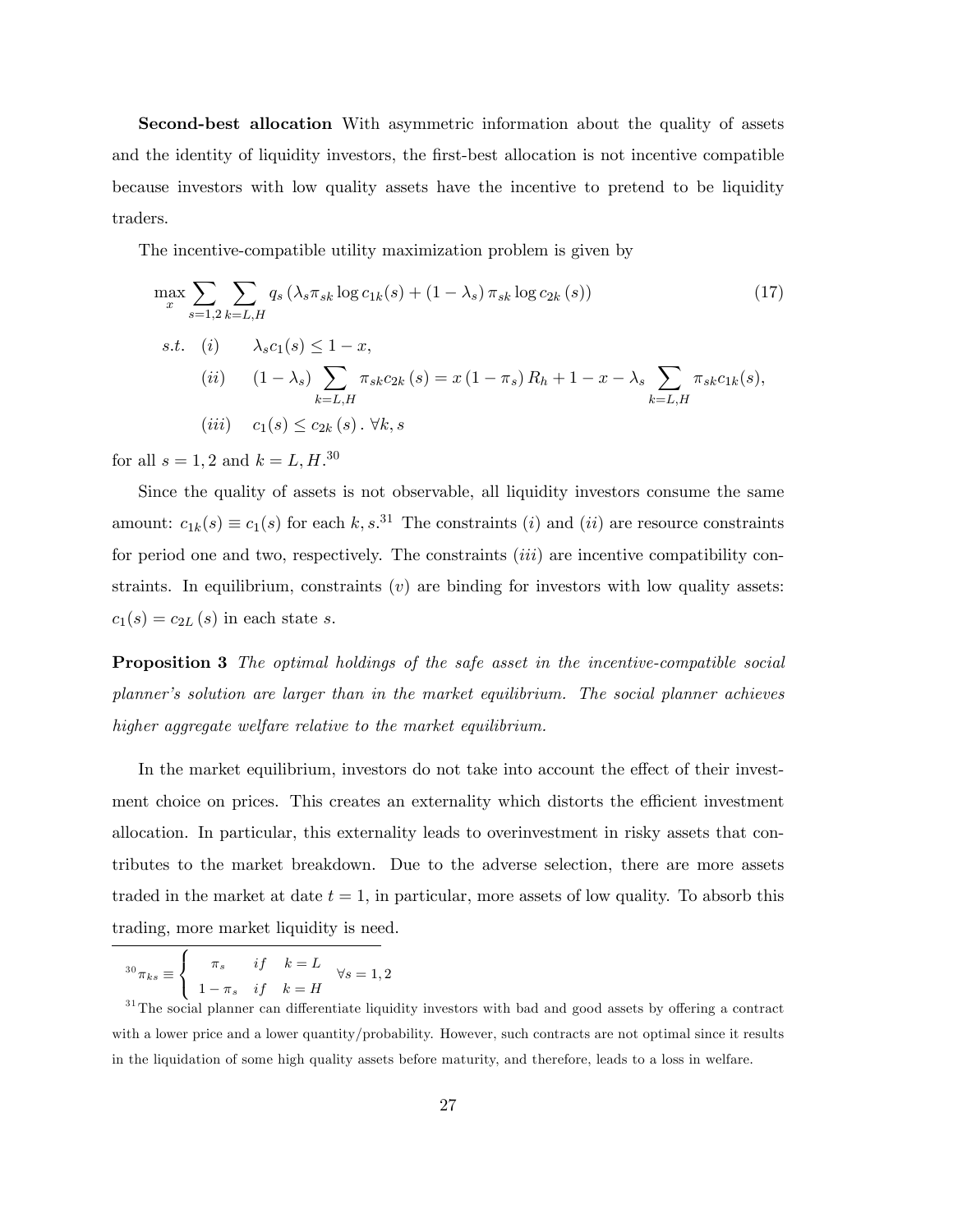Second-best allocation With asymmetric information about the quality of assets and the identity of liquidity investors, the first-best allocation is not incentive compatible because investors with low quality assets have the incentive to pretend to be liquidity traders.

The incentive-compatible utility maximization problem is given by

$$
\max_{x} \sum_{s=1,2} \sum_{k=L,H} q_s \left( \lambda_s \pi_{sk} \log c_{1k}(s) + (1 - \lambda_s) \pi_{sk} \log c_{2k}(s) \right)
$$
(17)  
s.t. (i)  $\lambda_s c_1(s) \le 1 - x$ ,  
(ii)  $(1 - \lambda_s) \sum_{k=L,H} \pi_{sk} c_{2k}(s) = x (1 - \pi_s) R_h + 1 - x - \lambda_s \sum_{k=L,H} \pi_{sk} c_{1k}(s)$ ,  
(iii)  $c_1(s) \le c_{2k}(s) \cdot \forall k, s$ 

for all  $s = 1, 2$  and  $k = L, H^{.30}$ 

Since the quality of assets is not observable, all liquidity investors consume the same amount:  $c_{1k}(s) \equiv c_1(s)$  for each k, s.<sup>31</sup> The constraints (i) and (ii) are resource constraints for period one and two, respectively. The constraints *(iii)* are incentive compatibility constraints. In equilibrium, constraints  $(v)$  are binding for investors with low quality assets:  $c_1(s) = c_{2L}(s)$  in each state s.

**Proposition 3** The optimal holdings of the safe asset in the incentive-compatible social planner's solution are larger than in the market equilibrium. The social planner achieves higher aggregate welfare relative to the market equilibrium.

In the market equilibrium, investors do not take into account the effect of their investment choice on prices. This creates an externality which distorts the efficient investment allocation. In particular, this externality leads to overinvestment in risky assets that contributes to the market breakdown. Due to the adverse selection, there are more assets traded in the market at date  $t = 1$ , in particular, more assets of low quality. To absorb this trading, more market liquidity is need.

$$
{}^{30}\pi_{ks} \equiv \begin{cases} \pi_s & if \quad k = L \\ 1 - \pi_s & if \quad k = H \end{cases} \quad \forall s = 1, 2
$$

 $31$ The social planner can differentiate liquidity investors with bad and good assets by offering a contract with a lower price and a lower quantity/probability. However, such contracts are not optimal since it results in the liquidation of some high quality assets before maturity, and therefore, leads to a loss in welfare.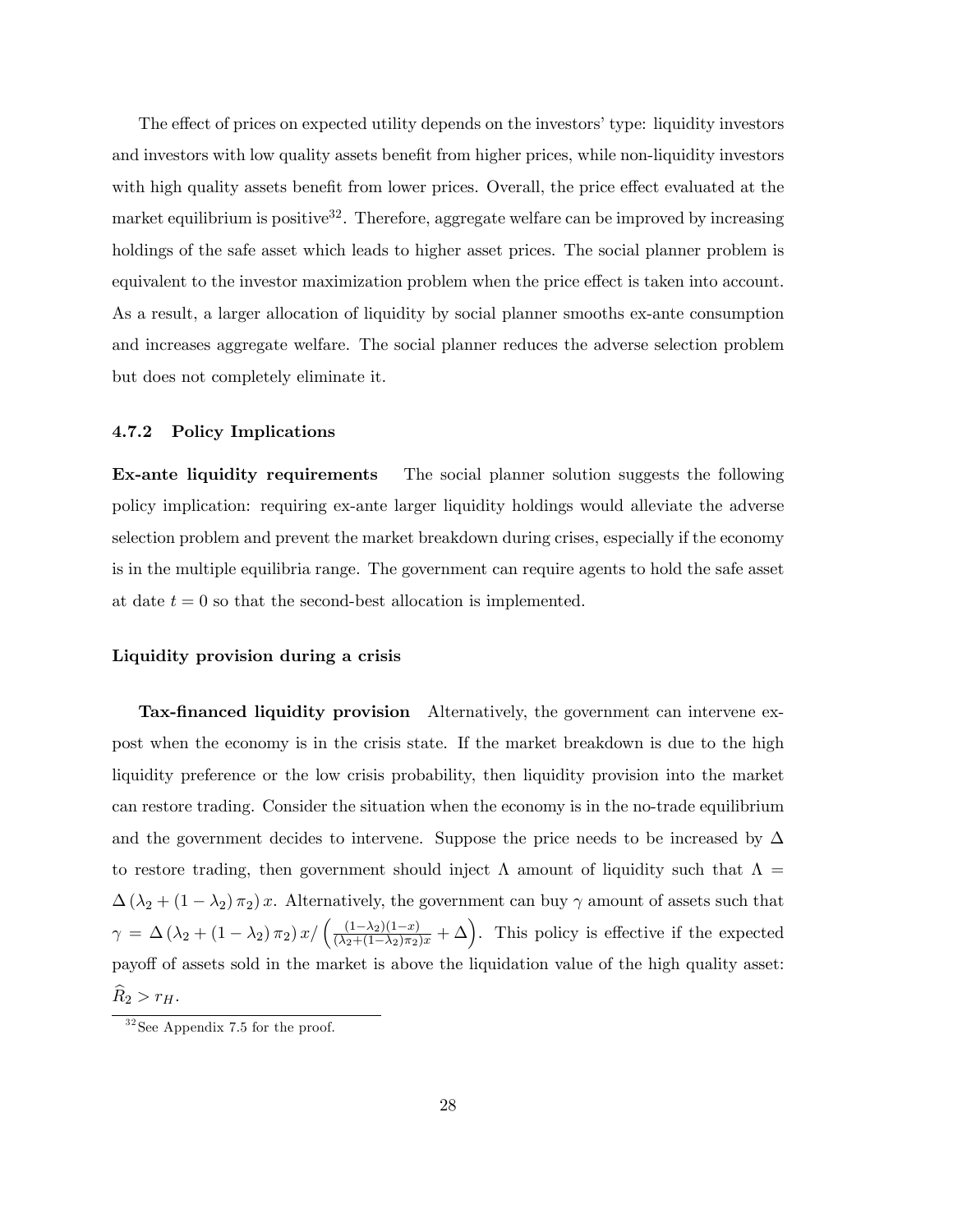The effect of prices on expected utility depends on the investors' type: liquidity investors and investors with low quality assets benefit from higher prices, while non-liquidity investors with high quality assets benefit from lower prices. Overall, the price effect evaluated at the market equilibrium is positive<sup>32</sup>. Therefore, aggregate welfare can be improved by increasing holdings of the safe asset which leads to higher asset prices. The social planner problem is equivalent to the investor maximization problem when the price effect is taken into account. As a result, a larger allocation of liquidity by social planner smooths ex-ante consumption and increases aggregate welfare. The social planner reduces the adverse selection problem but does not completely eliminate it.

#### 4.7.2 Policy Implications

Ex-ante liquidity requirements The social planner solution suggests the following policy implication: requiring ex-ante larger liquidity holdings would alleviate the adverse selection problem and prevent the market breakdown during crises, especially if the economy is in the multiple equilibria range. The government can require agents to hold the safe asset at date  $t = 0$  so that the second-best allocation is implemented.

#### Liquidity provision during a crisis

Tax-financed liquidity provision Alternatively, the government can intervene expost when the economy is in the crisis state. If the market breakdown is due to the high liquidity preference or the low crisis probability, then liquidity provision into the market can restore trading. Consider the situation when the economy is in the no-trade equilibrium and the government decides to intervene. Suppose the price needs to be increased by  $\Delta$ to restore trading, then government should inject  $\Lambda$  amount of liquidity such that  $\Lambda =$  $\Delta(\lambda_2 + (1 - \lambda_2)\pi_2)x$ . Alternatively, the government can buy  $\gamma$  amount of assets such that  $\gamma = \Delta (\lambda_2 + (1 - \lambda_2) \pi_2) x / ((\frac{(1 - \lambda_2)(1 - x)}{(\lambda_2 + (1 - \lambda_2) \pi_2)x} + \Delta)$ . This policy is effective if the expected payoff of assets sold in the market is above the liquidation value of the high quality asset:  $\widehat{R}_2 > r_H.$ 

 $32$ See Appendix 7.5 for the proof.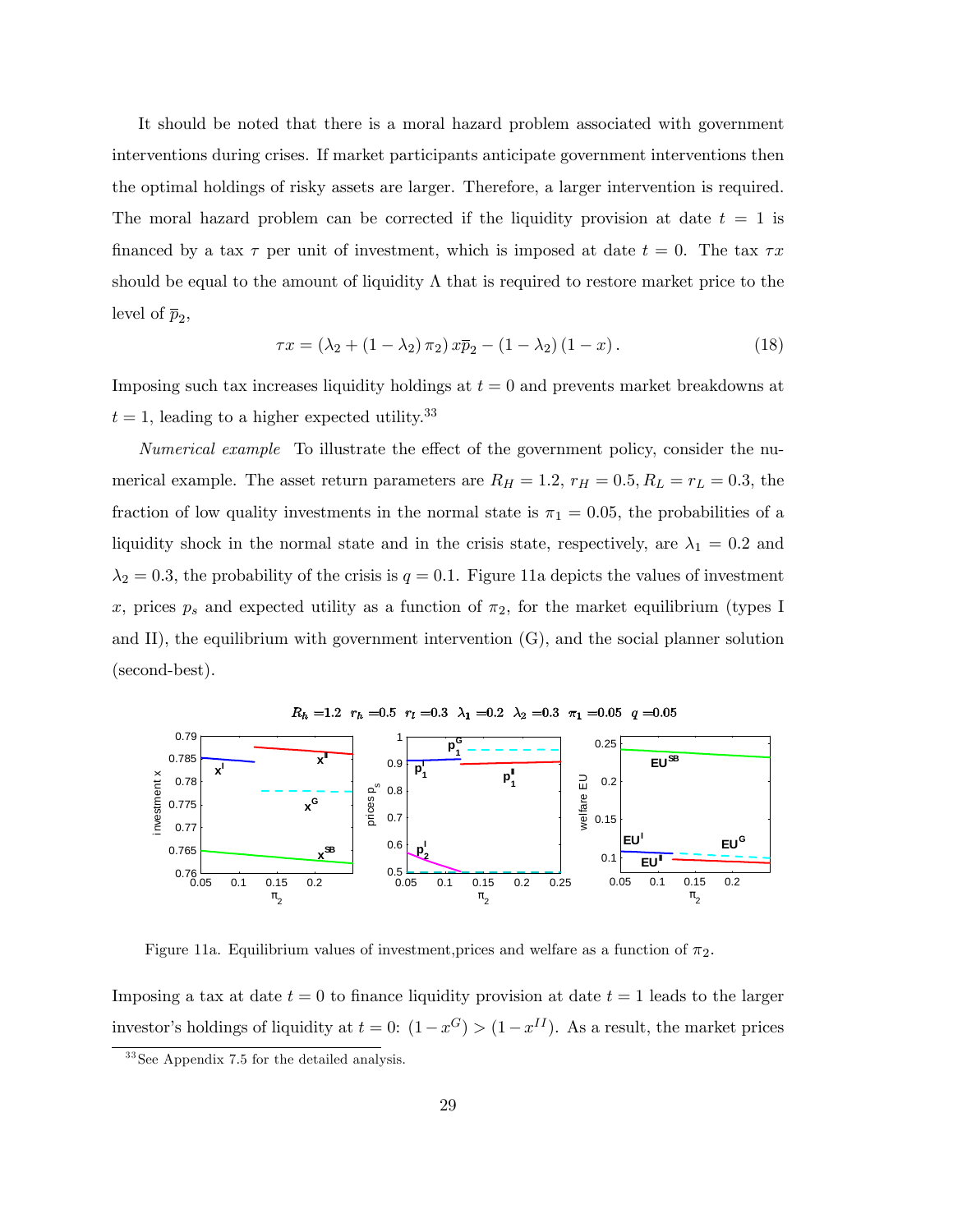It should be noted that there is a moral hazard problem associated with government interventions during crises. If market participants anticipate government interventions then the optimal holdings of risky assets are larger. Therefore, a larger intervention is required. The moral hazard problem can be corrected if the liquidity provision at date  $t = 1$  is financed by a tax  $\tau$  per unit of investment, which is imposed at date  $t = 0$ . The tax  $\tau x$ should be equal to the amount of liquidity  $\Lambda$  that is required to restore market price to the level of  $\bar{p}_2$ ,

$$
\tau x = (\lambda_2 + (1 - \lambda_2) \pi_2) x \overline{p}_2 - (1 - \lambda_2) (1 - x).
$$
 (18)

Imposing such tax increases liquidity holdings at  $t = 0$  and prevents market breakdowns at  $t = 1$ , leading to a higher expected utility.<sup>33</sup>

Numerical example To illustrate the effect of the government policy, consider the numerical example. The asset return parameters are  $R_H = 1.2$ ,  $r_H = 0.5$ ,  $R_L = r_L = 0.3$ , the fraction of low quality investments in the normal state is  $\pi_1 = 0.05$ , the probabilities of a liquidity shock in the normal state and in the crisis state, respectively, are  $\lambda_1 = 0.2$  and  $\lambda_2 = 0.3$ , the probability of the crisis is  $q = 0.1$ . Figure 11a depicts the values of investment x, prices  $p_s$  and expected utility as a function of  $\pi_2$ , for the market equilibrium (types I and II), the equilibrium with government intervention (G), and the social planner solution (second-best).



Figure 11a. Equilibrium values of investment, prices and welfare as a function of  $\pi_2$ .

Imposing a tax at date  $t = 0$  to finance liquidity provision at date  $t = 1$  leads to the larger investor's holdings of liquidity at  $t = 0$ :  $(1 - x^G) > (1 - x^{II})$ . As a result, the market prices

<sup>&</sup>lt;sup>33</sup> See Appendix 7.5 for the detailed analysis.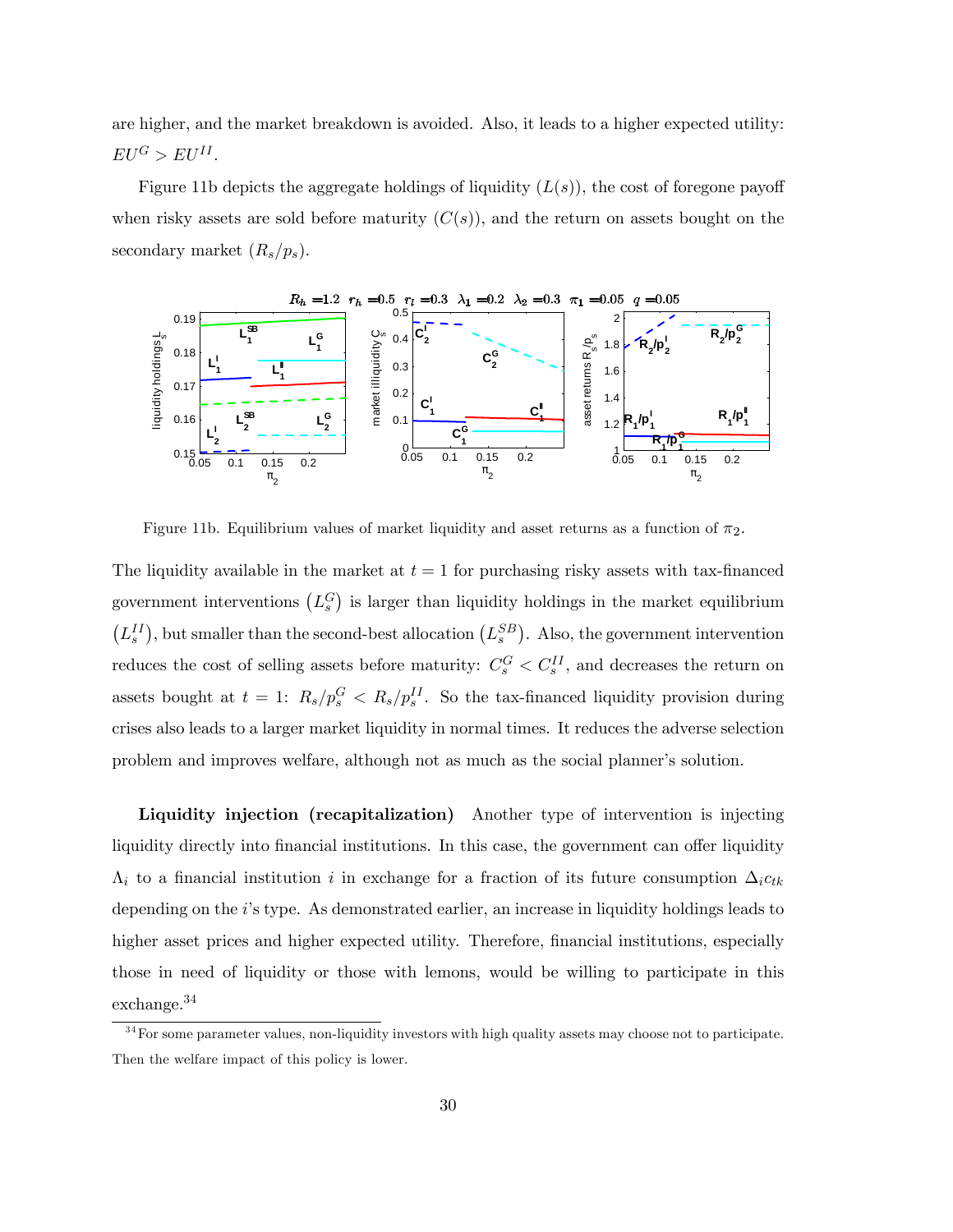are higher, and the market breakdown is avoided. Also, it leads to a higher expected utility:  $EU^G > EU^{II}.$ 

Figure 11b depicts the aggregate holdings of liquidity  $(L(s))$ , the cost of foregone payoff when risky assets are sold before maturity  $(C(s))$ , and the return on assets bought on the secondary market  $(R_s/p_s)$ .



Figure 11b. Equilibrium values of market liquidity and asset returns as a function of  $\pi_2$ .

The liquidity available in the market at  $t = 1$  for purchasing risky assets with tax-financed government interventions  $(L_s^G)$  is larger than liquidity holdings in the market equilibrium  $(L_s^{II})$ , but smaller than the second-best allocation  $(L_s^{SB})$ . Also, the government intervention reduces the cost of selling assets before maturity:  $C_s^G < C_s^{II}$ , and decreases the return on assets bought at  $t = 1$ :  $R_s/p_s^G < R_s/p_s^{II}$ . So the tax-financed liquidity provision during crises also leads to a larger market liquidity in normal times. It reduces the adverse selection problem and improves welfare, although not as much as the social planner's solution.

Liquidity injection (recapitalization) Another type of intervention is injecting liquidity directly into financial institutions. In this case, the government can offer liquidity  $\Lambda_i$  to a financial institution i in exchange for a fraction of its future consumption  $\Delta_i c_{tk}$ depending on the i's type. As demonstrated earlier, an increase in liquidity holdings leads to higher asset prices and higher expected utility. Therefore, financial institutions, especially those in need of liquidity or those with lemons, would be willing to participate in this exchange.<sup>34</sup>

<sup>&</sup>lt;sup>34</sup> For some parameter values, non-liquidity investors with high quality assets may choose not to participate. Then the welfare impact of this policy is lower.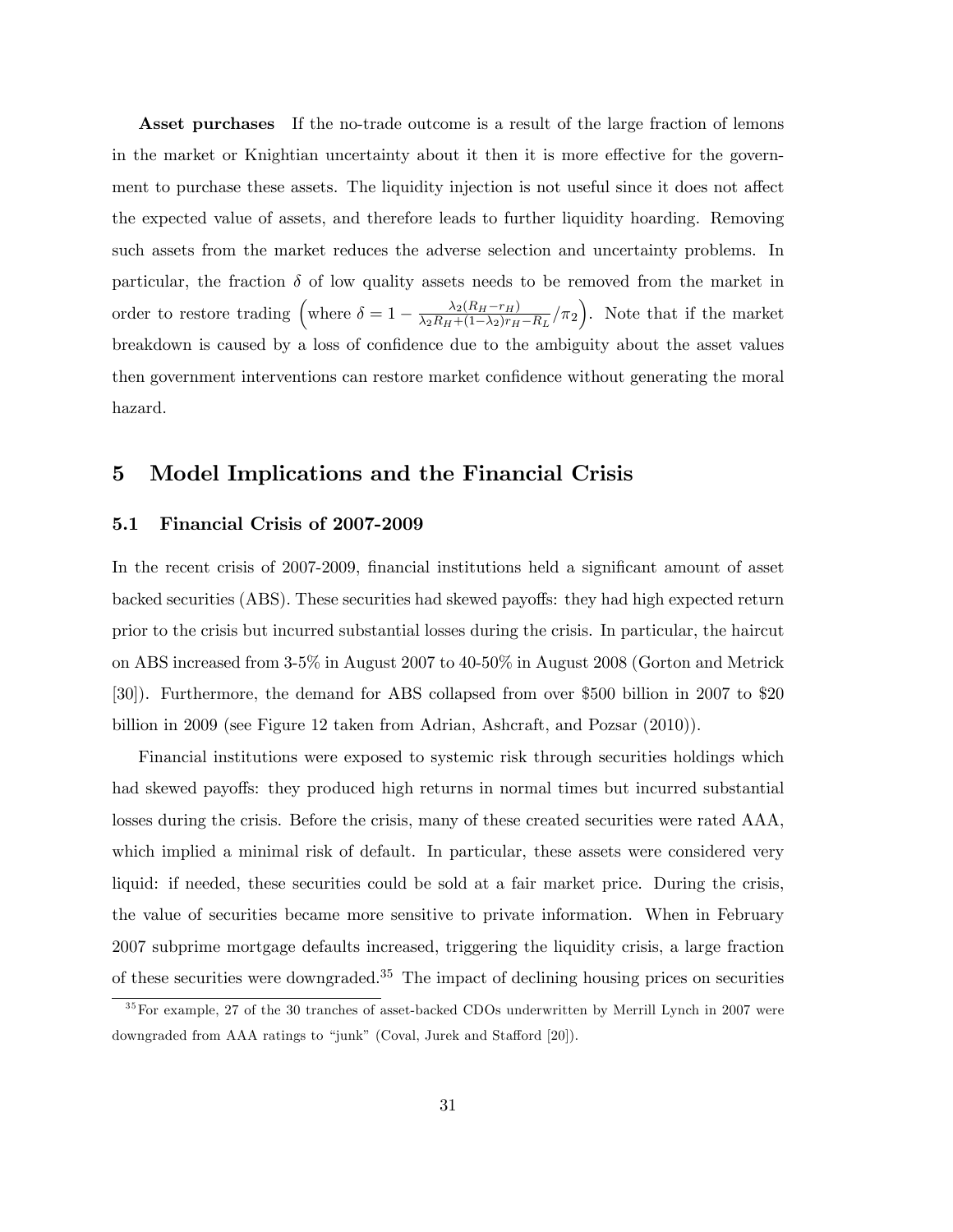Asset purchases If the no-trade outcome is a result of the large fraction of lemons in the market or Knightian uncertainty about it then it is more effective for the government to purchase these assets. The liquidity injection is not useful since it does not affect the expected value of assets, and therefore leads to further liquidity hoarding. Removing such assets from the market reduces the adverse selection and uncertainty problems. In particular, the fraction  $\delta$  of low quality assets needs to be removed from the market in order to restore trading (where  $\delta = 1 - \frac{\lambda_2 (R_H - r_H)}{\lambda_2 R_H + (1 - \lambda_2) r_H}$  $\frac{\lambda_2(R_H - r_H)}{\lambda_2 R_H + (1 - \lambda_2) r_H - R_L}/\pi_2$ . Note that if the market breakdown is caused by a loss of confidence due to the ambiguity about the asset values then government interventions can restore market confidence without generating the moral hazard.

### 5 Model Implications and the Financial Crisis

#### 5.1 Financial Crisis of 2007-2009

In the recent crisis of 2007-2009, financial institutions held a significant amount of asset backed securities (ABS). These securities had skewed payoffs: they had high expected return prior to the crisis but incurred substantial losses during the crisis. In particular, the haircut on ABS increased from 3-5% in August 2007 to 40-50% in August 2008 (Gorton and Metrick [30]). Furthermore, the demand for ABS collapsed from over \$500 billion in 2007 to \$20 billion in 2009 (see Figure 12 taken from Adrian, Ashcraft, and Pozsar (2010)).

Financial institutions were exposed to systemic risk through securities holdings which had skewed payoffs: they produced high returns in normal times but incurred substantial losses during the crisis. Before the crisis, many of these created securities were rated AAA, which implied a minimal risk of default. In particular, these assets were considered very liquid: if needed, these securities could be sold at a fair market price. During the crisis, the value of securities became more sensitive to private information. When in February 2007 subprime mortgage defaults increased, triggering the liquidity crisis, a large fraction of these securities were downgraded.<sup>35</sup> The impact of declining housing prices on securities

 $35$  For example, 27 of the 30 tranches of asset-backed CDOs underwritten by Merrill Lynch in 2007 were downgraded from AAA ratings to "junk" (Coval, Jurek and Stafford [20]).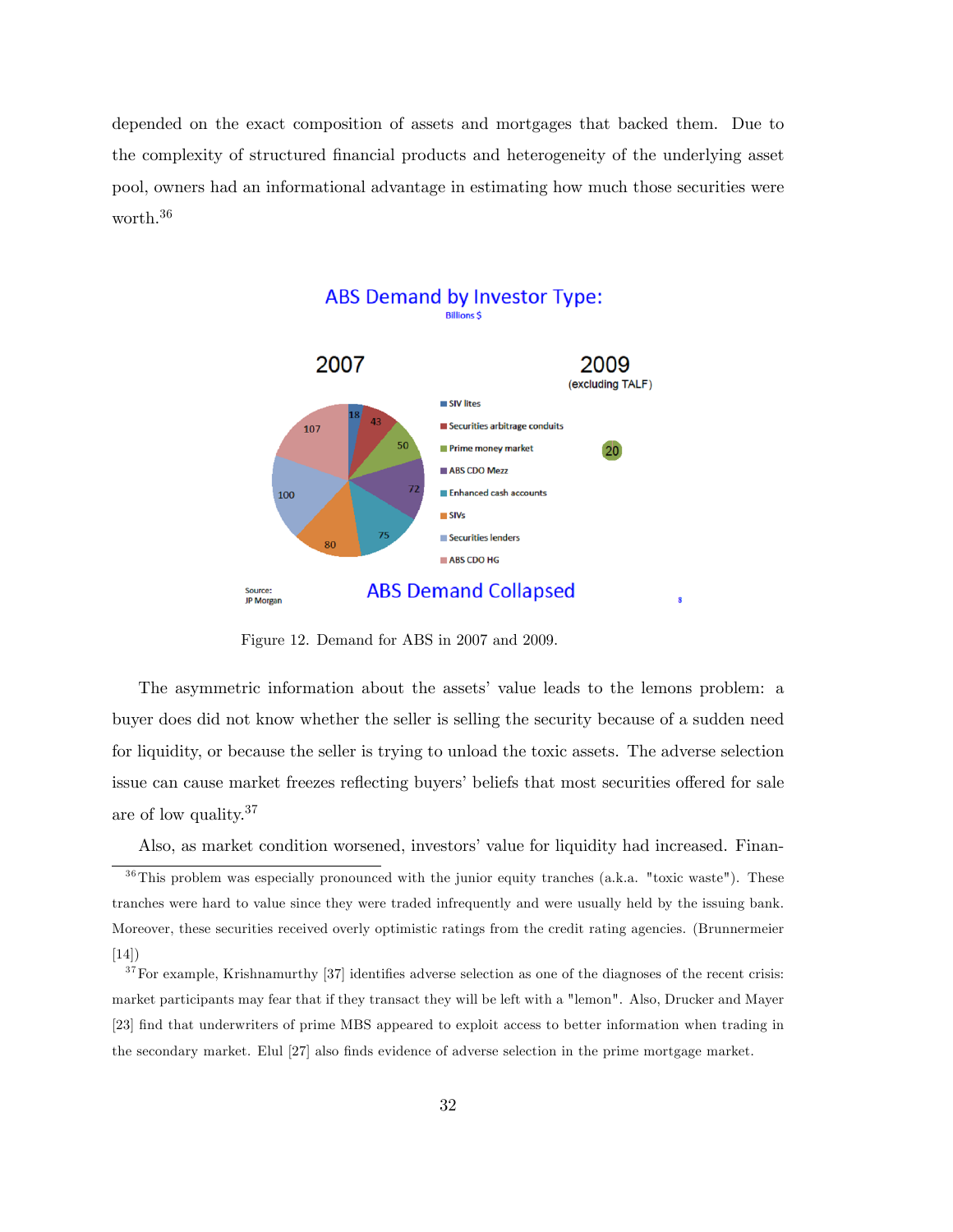depended on the exact composition of assets and mortgages that backed them. Due to the complexity of structured Önancial products and heterogeneity of the underlying asset pool, owners had an informational advantage in estimating how much those securities were worth.<sup>36</sup>



Figure 12. Demand for ABS in 2007 and 2009.

The asymmetric information about the assets' value leads to the lemons problem: a buyer does did not know whether the seller is selling the security because of a sudden need for liquidity, or because the seller is trying to unload the toxic assets. The adverse selection issue can cause market freezes reflecting buyers' beliefs that most securities offered for sale are of low quality.<sup>37</sup>

Also, as market condition worsened, investors' value for liquidity had increased. Finan- $36$ This problem was especially pronounced with the junior equity tranches (a.k.a. "toxic waste"). These tranches were hard to value since they were traded infrequently and were usually held by the issuing bank. Moreover, these securities received overly optimistic ratings from the credit rating agencies. (Brunnermeier [14])

 $37$  For example, Krishnamurthy [37] identifies adverse selection as one of the diagnoses of the recent crisis: market participants may fear that if they transact they will be left with a "lemon". Also, Drucker and Mayer [23] find that underwriters of prime MBS appeared to exploit access to better information when trading in the secondary market. Elul [27] also finds evidence of adverse selection in the prime mortgage market.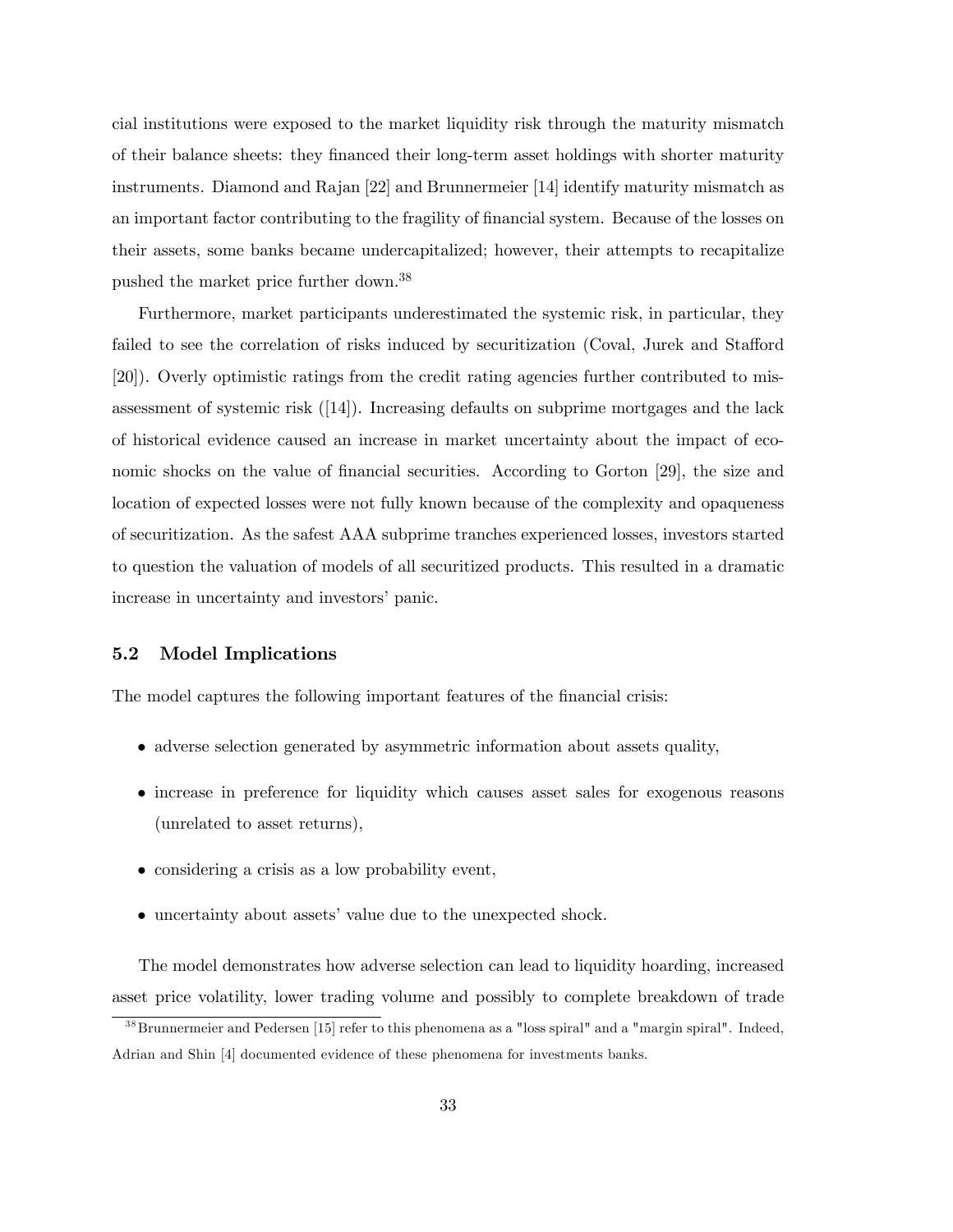cial institutions were exposed to the market liquidity risk through the maturity mismatch of their balance sheets: they Önanced their long-term asset holdings with shorter maturity instruments. Diamond and Rajan [22] and Brunnermeier [14] identify maturity mismatch as an important factor contributing to the fragility of financial system. Because of the losses on their assets, some banks became undercapitalized; however, their attempts to recapitalize pushed the market price further down.<sup>38</sup>

Furthermore, market participants underestimated the systemic risk, in particular, they failed to see the correlation of risks induced by securitization (Coval, Jurek and Stafford [20]). Overly optimistic ratings from the credit rating agencies further contributed to misassessment of systemic risk ([14]). Increasing defaults on subprime mortgages and the lack of historical evidence caused an increase in market uncertainty about the impact of economic shocks on the value of financial securities. According to Gorton [29], the size and location of expected losses were not fully known because of the complexity and opaqueness of securitization. As the safest AAA subprime tranches experienced losses, investors started to question the valuation of models of all securitized products. This resulted in a dramatic increase in uncertainty and investors' panic.

#### 5.2 Model Implications

The model captures the following important features of the financial crisis:

- adverse selection generated by asymmetric information about assets quality,
- increase in preference for liquidity which causes asset sales for exogenous reasons (unrelated to asset returns),
- considering a crisis as a low probability event,
- uncertainty about assets' value due to the unexpected shock.

The model demonstrates how adverse selection can lead to liquidity hoarding, increased asset price volatility, lower trading volume and possibly to complete breakdown of trade

 $38$ Brunnermeier and Pedersen [15] refer to this phenomena as a "loss spiral" and a "margin spiral". Indeed, Adrian and Shin [4] documented evidence of these phenomena for investments banks.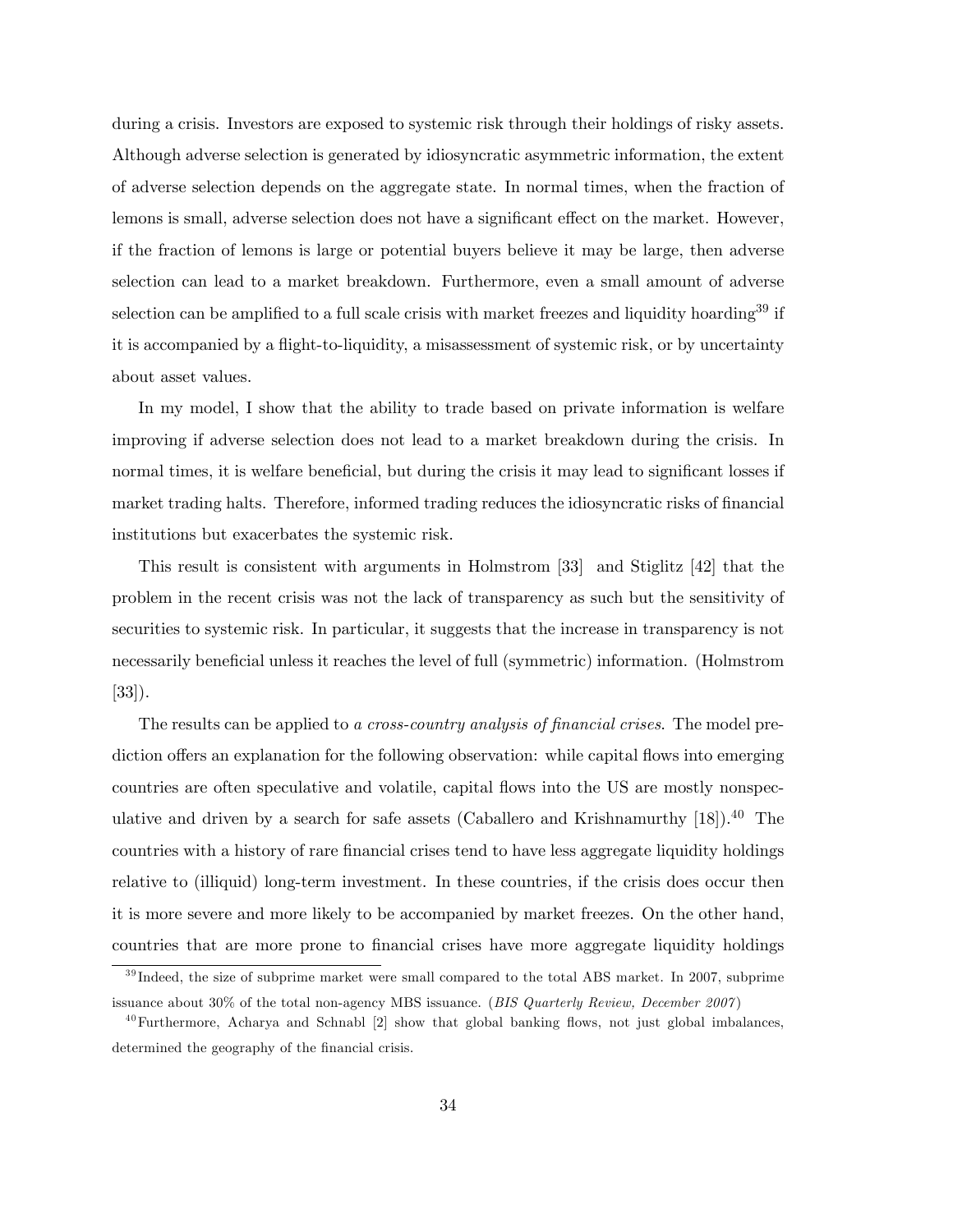during a crisis. Investors are exposed to systemic risk through their holdings of risky assets. Although adverse selection is generated by idiosyncratic asymmetric information, the extent of adverse selection depends on the aggregate state. In normal times, when the fraction of lemons is small, adverse selection does not have a significant effect on the market. However, if the fraction of lemons is large or potential buyers believe it may be large, then adverse selection can lead to a market breakdown. Furthermore, even a small amount of adverse selection can be amplified to a full scale crisis with market freezes and liquidity hoarding<sup>39</sup> if it is accompanied by a áight-to-liquidity, a misassessment of systemic risk, or by uncertainty about asset values.

In my model, I show that the ability to trade based on private information is welfare improving if adverse selection does not lead to a market breakdown during the crisis. In normal times, it is welfare beneficial, but during the crisis it may lead to significant losses if market trading halts. Therefore, informed trading reduces the idiosyncratic risks of financial institutions but exacerbates the systemic risk.

This result is consistent with arguments in Holmstrom [33] and Stiglitz [42] that the problem in the recent crisis was not the lack of transparency as such but the sensitivity of securities to systemic risk. In particular, it suggests that the increase in transparency is not necessarily beneficial unless it reaches the level of full (symmetric) information. (Holmstrom [33]).

The results can be applied to a cross-country analysis of financial crises. The model prediction offers an explanation for the following observation: while capital flows into emerging countries are often speculative and volatile, capital áows into the US are mostly nonspeculative and driven by a search for safe assets (Caballero and Krishnamurthy  $[18]$ ).<sup>40</sup> The countries with a history of rare financial crises tend to have less aggregate liquidity holdings relative to (illiquid) long-term investment. In these countries, if the crisis does occur then it is more severe and more likely to be accompanied by market freezes. On the other hand, countries that are more prone to financial crises have more aggregate liquidity holdings

 $39$  Indeed, the size of subprime market were small compared to the total ABS market. In 2007, subprime issuance about 30% of the total non-agency MBS issuance. (BIS Quarterly Review, December 2007)

 $^{40}$ Furthermore, Acharya and Schnabl [2] show that global banking flows, not just global imbalances, determined the geography of the financial crisis.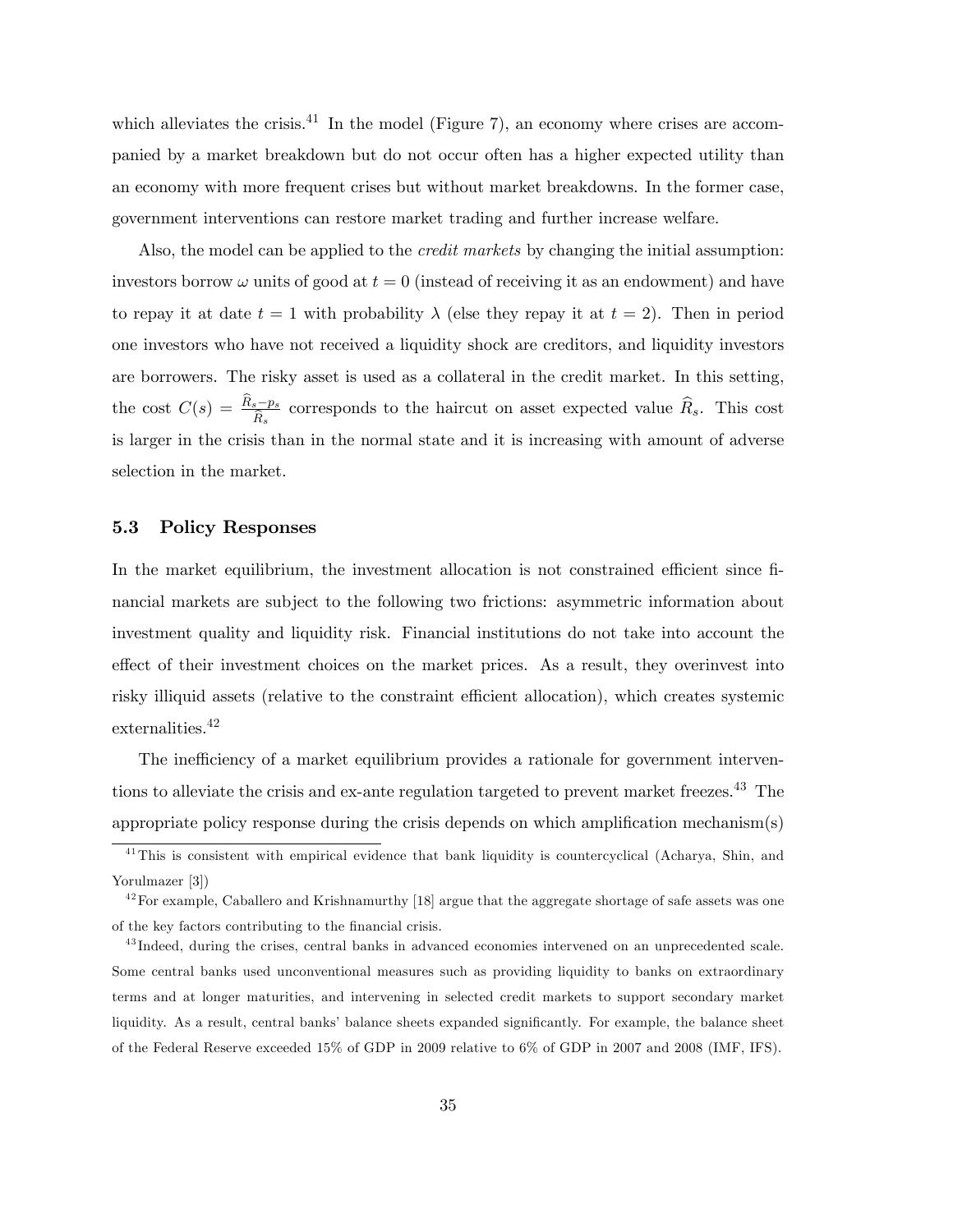which alleviates the crisis.<sup>41</sup> In the model (Figure 7), an economy where crises are accompanied by a market breakdown but do not occur often has a higher expected utility than an economy with more frequent crises but without market breakdowns. In the former case, government interventions can restore market trading and further increase welfare.

Also, the model can be applied to the *credit markets* by changing the initial assumption: investors borrow  $\omega$  units of good at  $t = 0$  (instead of receiving it as an endowment) and have to repay it at date  $t = 1$  with probability  $\lambda$  (else they repay it at  $t = 2$ ). Then in period one investors who have not received a liquidity shock are creditors, and liquidity investors are borrowers. The risky asset is used as a collateral in the credit market. In this setting, the cost  $C(s) = \frac{R_s - p_s}{\hat{R}_s}$  corresponds to the haircut on asset expected value  $\hat{R}_s$ . This cost is larger in the crisis than in the normal state and it is increasing with amount of adverse selection in the market.

#### 5.3 Policy Responses

In the market equilibrium, the investment allocation is not constrained efficient since financial markets are subject to the following two frictions: asymmetric information about investment quality and liquidity risk. Financial institutions do not take into account the effect of their investment choices on the market prices. As a result, they overinvest into risky illiquid assets (relative to the constraint efficient allocation), which creates systemic externalities.<sup>42</sup>

The inefficiency of a market equilibrium provides a rationale for government interventions to alleviate the crisis and ex-ante regulation targeted to prevent market freezes.<sup>43</sup> The appropriate policy response during the crisis depends on which amplification mechanism $(s)$ 

 $41$ This is consistent with empirical evidence that bank liquidity is countercyclical (Acharya, Shin, and Yorulmazer [3])

 $^{42}$ For example, Caballero and Krishnamurthy [18] argue that the aggregate shortage of safe assets was one of the key factors contributing to the financial crisis.

<sup>&</sup>lt;sup>43</sup>Indeed, during the crises, central banks in advanced economies intervened on an unprecedented scale. Some central banks used unconventional measures such as providing liquidity to banks on extraordinary terms and at longer maturities, and intervening in selected credit markets to support secondary market liquidity. As a result, central banks' balance sheets expanded significantly. For example, the balance sheet of the Federal Reserve exceeded 15% of GDP in 2009 relative to 6% of GDP in 2007 and 2008 (IMF, IFS).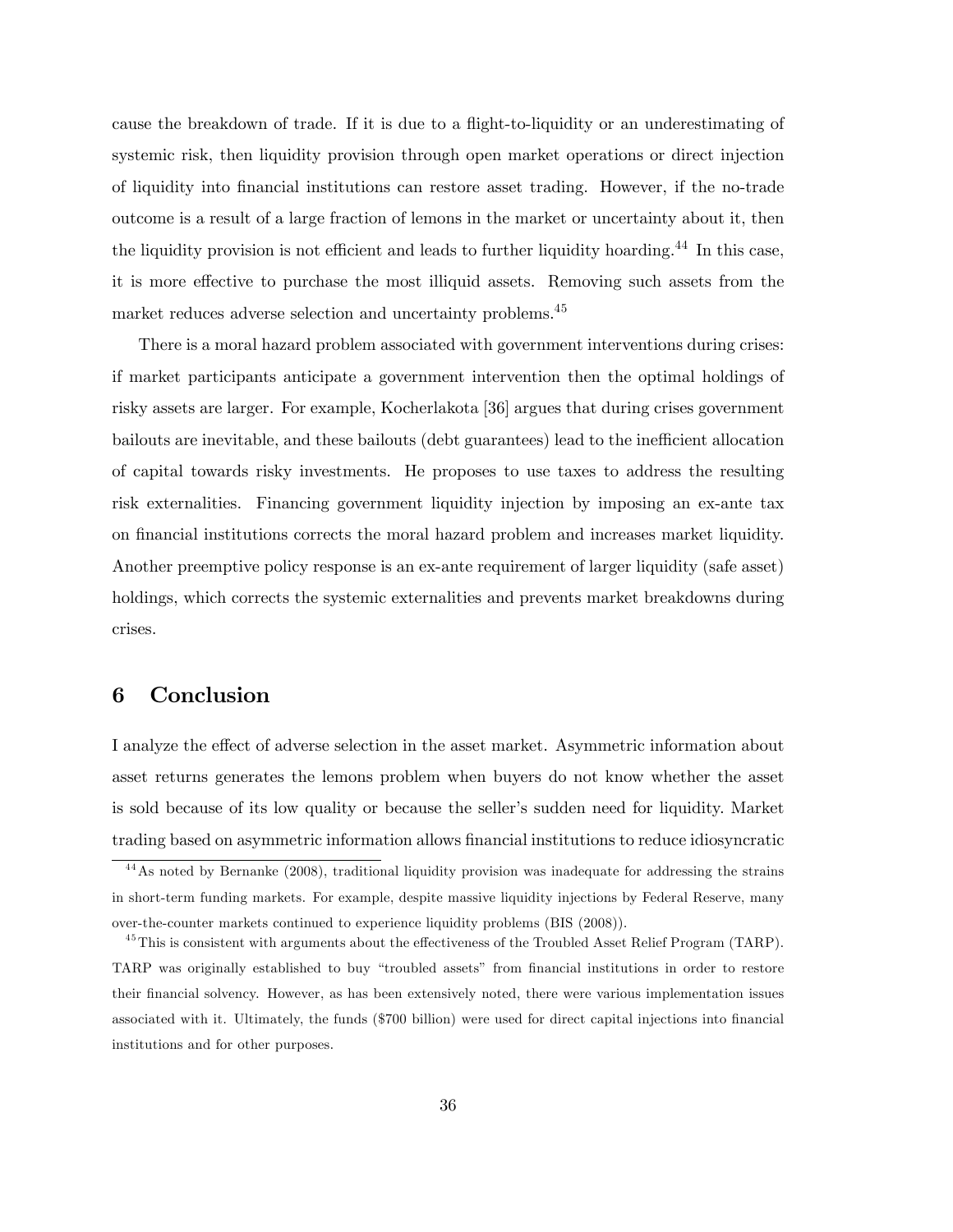cause the breakdown of trade. If it is due to a flight-to-liquidity or an underestimating of systemic risk, then liquidity provision through open market operations or direct injection of liquidity into Önancial institutions can restore asset trading. However, if the no-trade outcome is a result of a large fraction of lemons in the market or uncertainty about it, then the liquidity provision is not efficient and leads to further liquidity hoarding.<sup>44</sup> In this case, it is more effective to purchase the most illiquid assets. Removing such assets from the market reduces adverse selection and uncertainty problems.<sup>45</sup>

There is a moral hazard problem associated with government interventions during crises: if market participants anticipate a government intervention then the optimal holdings of risky assets are larger. For example, Kocherlakota [36] argues that during crises government bailouts are inevitable, and these bailouts (debt guarantees) lead to the inefficient allocation of capital towards risky investments. He proposes to use taxes to address the resulting risk externalities. Financing government liquidity injection by imposing an ex-ante tax on Önancial institutions corrects the moral hazard problem and increases market liquidity. Another preemptive policy response is an ex-ante requirement of larger liquidity (safe asset) holdings, which corrects the systemic externalities and prevents market breakdowns during crises.

## 6 Conclusion

I analyze the effect of adverse selection in the asset market. Asymmetric information about asset returns generates the lemons problem when buyers do not know whether the asset is sold because of its low quality or because the seller's sudden need for liquidity. Market trading based on asymmetric information allows Önancial institutions to reduce idiosyncratic

<sup>4 4</sup>As noted by Bernanke (2008), traditional liquidity provision was inadequate for addressing the strains in short-term funding markets. For example, despite massive liquidity injections by Federal Reserve, many over-the-counter markets continued to experience liquidity problems (BIS (2008)).

 $^{45}$ This is consistent with arguments about the effectiveness of the Troubled Asset Relief Program (TARP). TARP was originally established to buy "troubled assets" from financial institutions in order to restore their Önancial solvency. However, as has been extensively noted, there were various implementation issues associated with it. Ultimately, the funds (\$700 billion) were used for direct capital injections into financial institutions and for other purposes.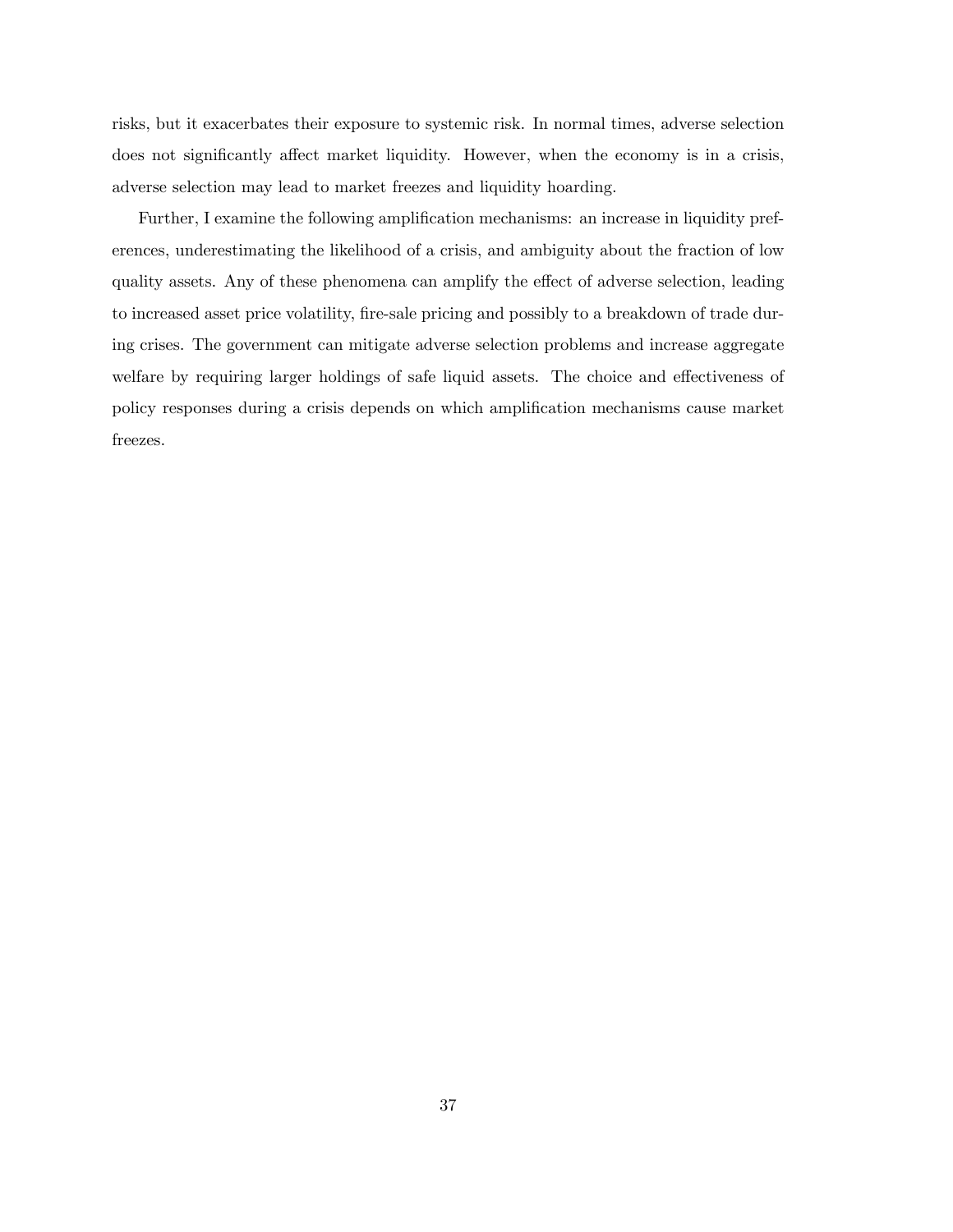risks, but it exacerbates their exposure to systemic risk. In normal times, adverse selection does not significantly affect market liquidity. However, when the economy is in a crisis, adverse selection may lead to market freezes and liquidity hoarding.

Further, I examine the following amplification mechanisms: an increase in liquidity preferences, underestimating the likelihood of a crisis, and ambiguity about the fraction of low quality assets. Any of these phenomena can amplify the effect of adverse selection, leading to increased asset price volatility, fire-sale pricing and possibly to a breakdown of trade during crises. The government can mitigate adverse selection problems and increase aggregate welfare by requiring larger holdings of safe liquid assets. The choice and effectiveness of policy responses during a crisis depends on which amplification mechanisms cause market freezes.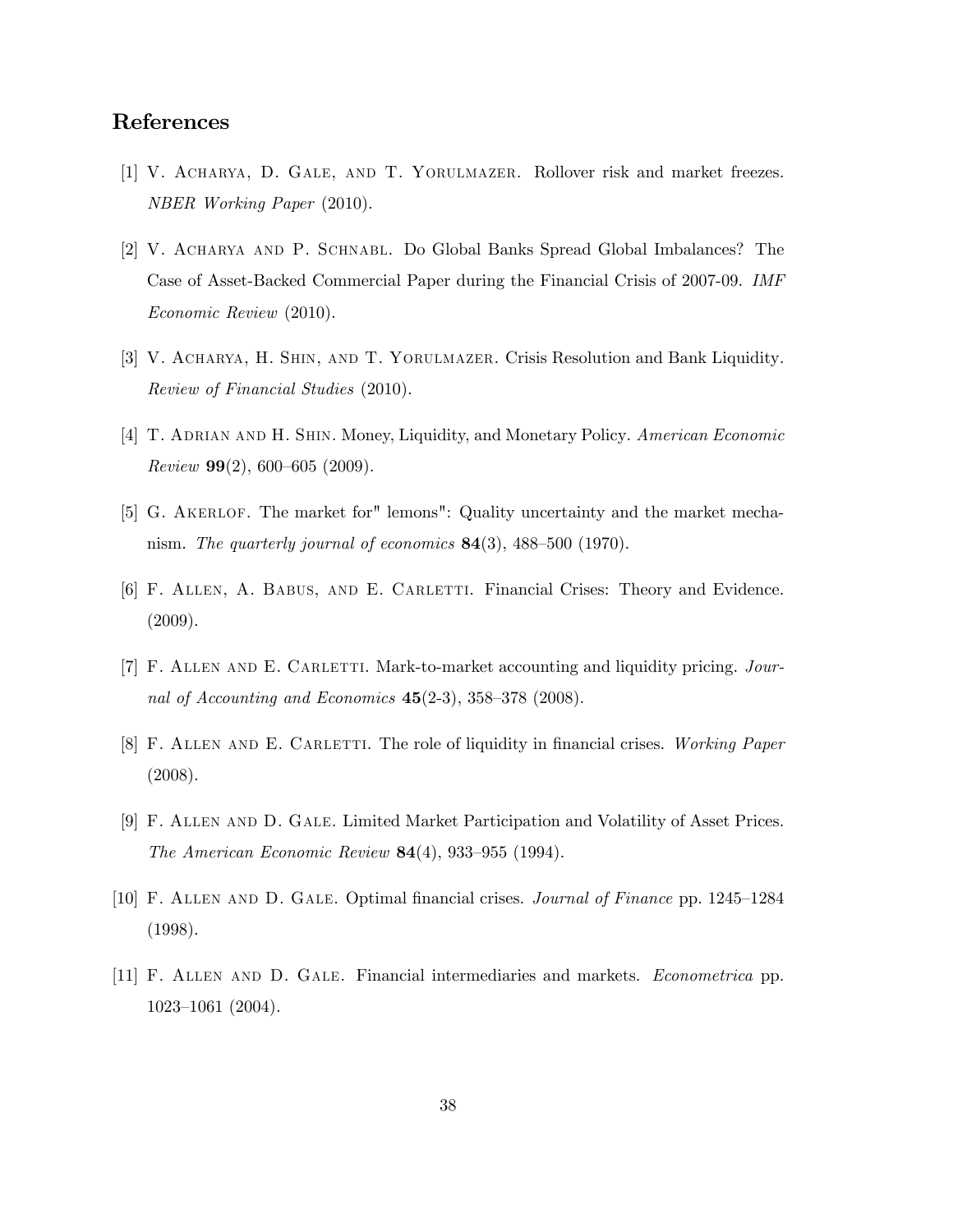## References

- [1] V. Acharya, D. Gale, and T. Yorulmazer. Rollover risk and market freezes. NBER Working Paper (2010).
- [2] V. Acharya and P. Schnabl. Do Global Banks Spread Global Imbalances? The Case of Asset-Backed Commercial Paper during the Financial Crisis of 2007-09. IMF Economic Review (2010).
- [3] V. Acharya, H. Shin, and T. Yorulmazer. Crisis Resolution and Bank Liquidity. Review of Financial Studies (2010).
- [4] T. ADRIAN AND H. SHIN. Money, Liquidity, and Monetary Policy. American Economic Review  $99(2)$ , 600–605 (2009).
- [5] G. Akerlof. The market for" lemons": Quality uncertainty and the market mechanism. The quarterly journal of economics  $84(3)$ ,  $488-500$  (1970).
- [6] F. Allen, A. Babus, and E. Carletti. Financial Crises: Theory and Evidence. (2009).
- [7] F. ALLEN AND E. CARLETTI. Mark-to-market accounting and liquidity pricing. Journal of Accounting and Economics  $45(2-3)$ ,  $358-378$  (2008).
- [8] F. ALLEN AND E. CARLETTI. The role of liquidity in financial crises. Working Paper (2008).
- [9] F. Allen and D. Gale. Limited Market Participation and Volatility of Asset Prices. The American Economic Review  $84(4)$ , 933-955 (1994).
- [10] F. ALLEN AND D. GALE. Optimal financial crises. *Journal of Finance* pp. 1245–1284 (1998).
- [11] F. Allen and D. Gale. Financial intermediaries and markets. Econometrica pp.  $1023-1061$  (2004).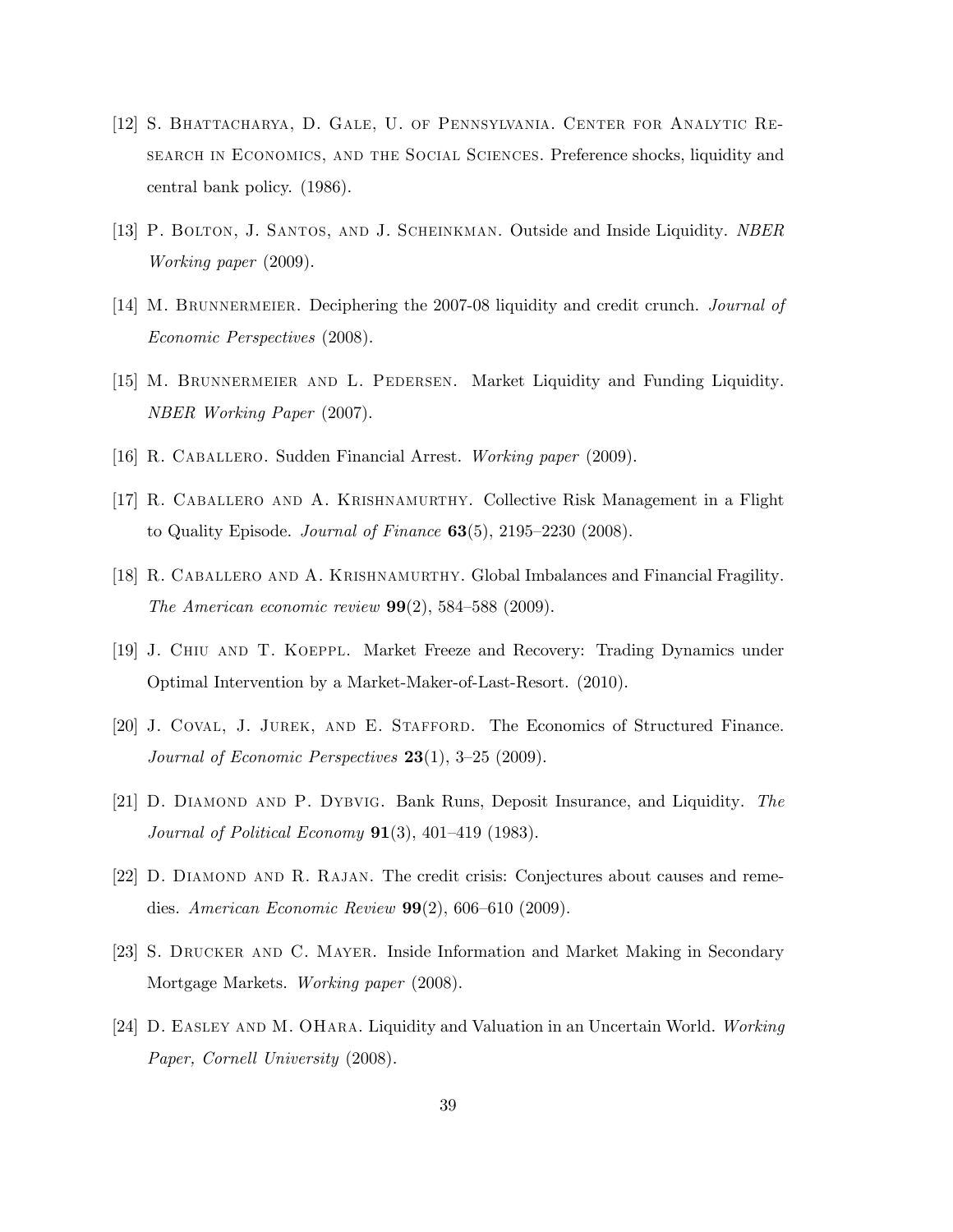- [12] S. Bhattacharya, D. Gale, U. of Pennsylvania. Center for Analytic Research in Economics, and the Social Sciences. Preference shocks, liquidity and central bank policy. (1986).
- [13] P. BOLTON, J. SANTOS, AND J. SCHEINKMAN. Outside and Inside Liquidity. NBER Working paper (2009).
- [14] M. BRUNNERMEIER. Deciphering the 2007-08 liquidity and credit crunch. *Journal of* Economic Perspectives (2008).
- [15] M. Brunnermeier and L. Pedersen. Market Liquidity and Funding Liquidity. NBER Working Paper (2007).
- [16] R. CABALLERO. Sudden Financial Arrest. Working paper (2009).
- [17] R. Caballero and A. Krishnamurthy. Collective Risk Management in a Flight to Quality Episode. Journal of Finance  $63(5)$ ,  $2195-2230$  (2008).
- [18] R. Caballero and A. Krishnamurthy. Global Imbalances and Financial Fragility. The American economic review  $99(2)$ , 584–588 (2009).
- [19] J. Chiu and T. Koeppl. Market Freeze and Recovery: Trading Dynamics under Optimal Intervention by a Market-Maker-of-Last-Resort. (2010).
- [20] J. Coval, J. Jurek, and E. Stafford. The Economics of Structured Finance. Journal of Economic Perspectives  $23(1)$ , 3-25 (2009).
- [21] D. Diamond and P. Dybvig. Bank Runs, Deposit Insurance, and Liquidity. The Journal of Political Economy  $91(3)$ ,  $401-419$  (1983).
- [22] D. Diamond and R. Rajan. The credit crisis: Conjectures about causes and remedies. American Economic Review  $99(2)$ , 606–610 (2009).
- [23] S. Drucker and C. Mayer. Inside Information and Market Making in Secondary Mortgage Markets. Working paper (2008).
- [24] D. Easley and M. OHara. Liquidity and Valuation in an Uncertain World. Working Paper, Cornell University (2008).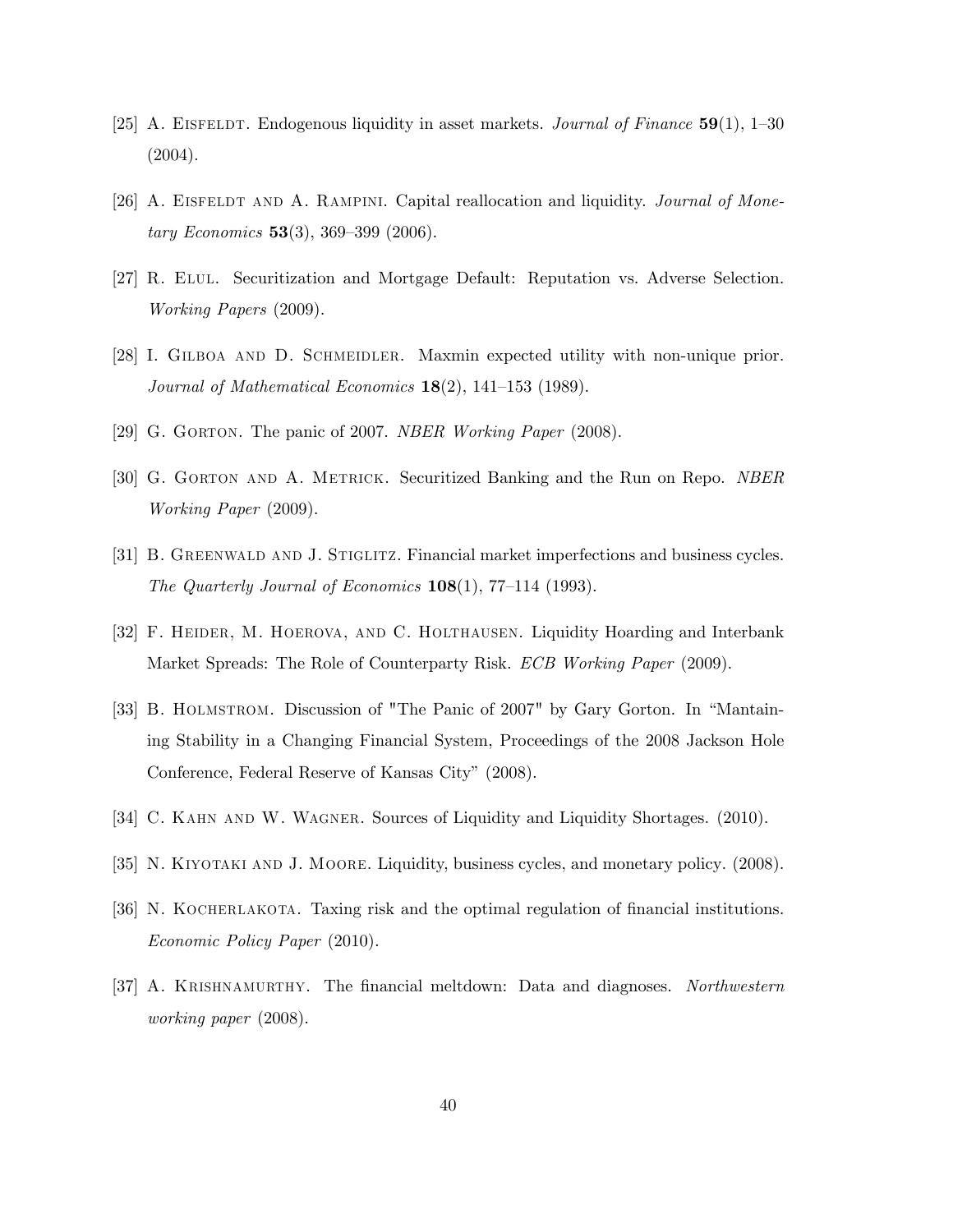- [25] A. EISFELDT. Endogenous liquidity in asset markets. *Journal of Finance*  $\mathbf{59}(1)$ , 1–30 (2004).
- [26] A. EISFELDT AND A. RAMPINI. Capital reallocation and liquidity. *Journal of Mone*tary Economics 53(3), 369–399 (2006).
- [27] R. Elul. Securitization and Mortgage Default: Reputation vs. Adverse Selection. Working Papers (2009).
- [28] I. GILBOA AND D. SCHMEIDLER. Maxmin expected utility with non-unique prior. Journal of Mathematical Economics  $18(2)$ , 141-153 (1989).
- [29] G. GORTON. The panic of 2007. NBER Working Paper (2008).
- [30] G. GORTON AND A. METRICK. Securitized Banking and the Run on Repo. NBER Working Paper (2009).
- [31] B. GREENWALD AND J. STIGLITZ. Financial market imperfections and business cycles. The Quarterly Journal of Economics  $108(1)$ , 77–114 (1993).
- [32] F. HEIDER, M. HOEROVA, AND C. HOLTHAUSEN. Liquidity Hoarding and Interbank Market Spreads: The Role of Counterparty Risk. ECB Working Paper (2009).
- [33] B. HOLMSTROM. Discussion of "The Panic of 2007" by Gary Gorton. In "Mantaining Stability in a Changing Financial System, Proceedings of the 2008 Jackson Hole Conference, Federal Reserve of Kansas City" (2008).
- [34] C. KAHN AND W. WAGNER. Sources of Liquidity and Liquidity Shortages. (2010).
- [35] N. KIYOTAKI AND J. MOORE. Liquidity, business cycles, and monetary policy. (2008).
- [36] N. KOCHERLAKOTA. Taxing risk and the optimal regulation of financial institutions. Economic Policy Paper (2010).
- [37] A. KRISHNAMURTHY. The financial meltdown: Data and diagnoses. Northwestern working paper (2008).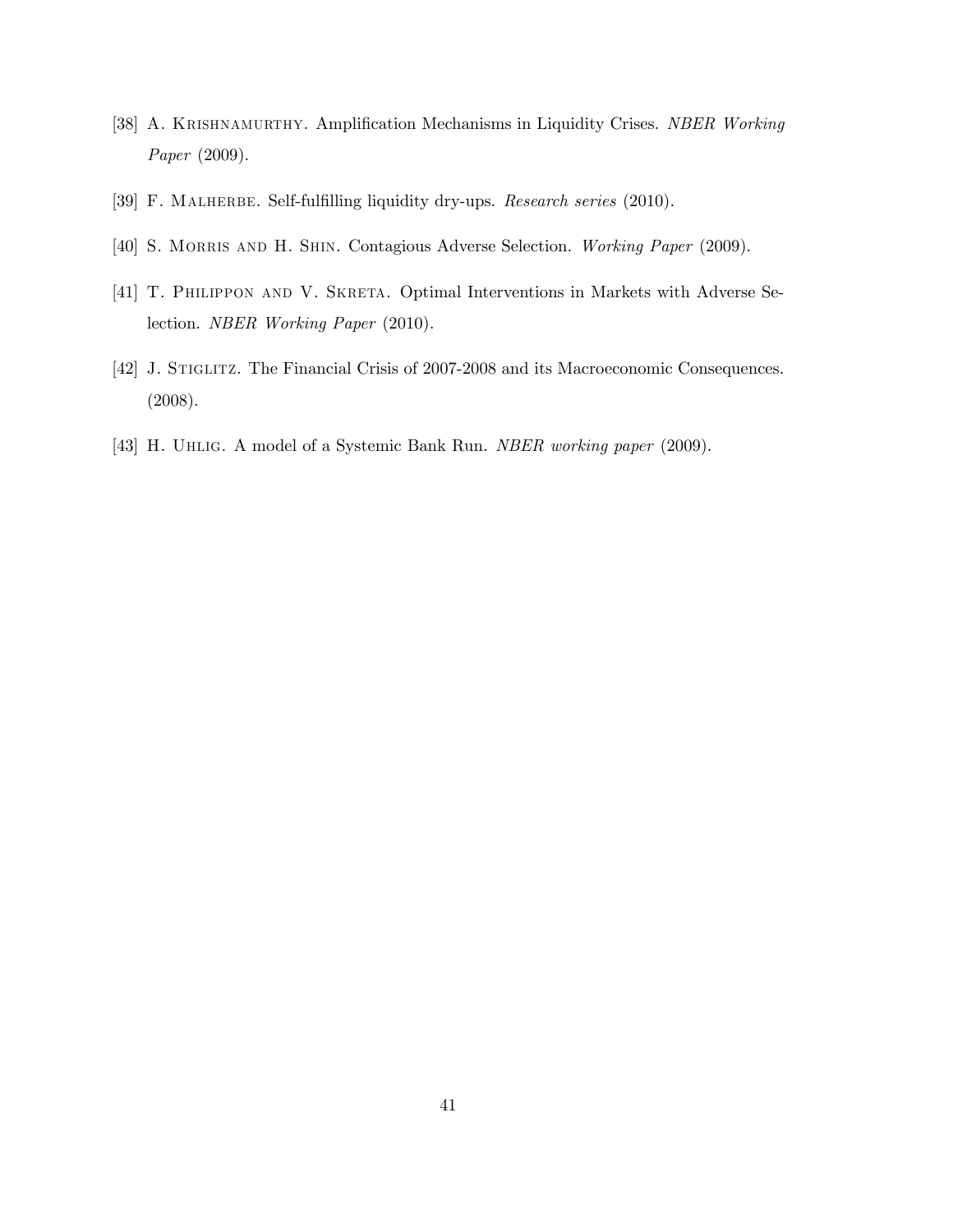- [38] A. KRISHNAMURTHY. Amplification Mechanisms in Liquidity Crises. NBER Working Paper (2009).
- [39] F. MALHERBE. Self-fulfilling liquidity dry-ups. Research series (2010).
- [40] S. MORRIS AND H. SHIN. Contagious Adverse Selection. Working Paper (2009).
- [41] T. PHILIPPON AND V. SKRETA. Optimal Interventions in Markets with Adverse Selection. NBER Working Paper (2010).
- [42] J. STIGLITZ. The Financial Crisis of 2007-2008 and its Macroeconomic Consequences. (2008).
- [43] H. Uhlig. A model of a Systemic Bank Run. NBER working paper (2009).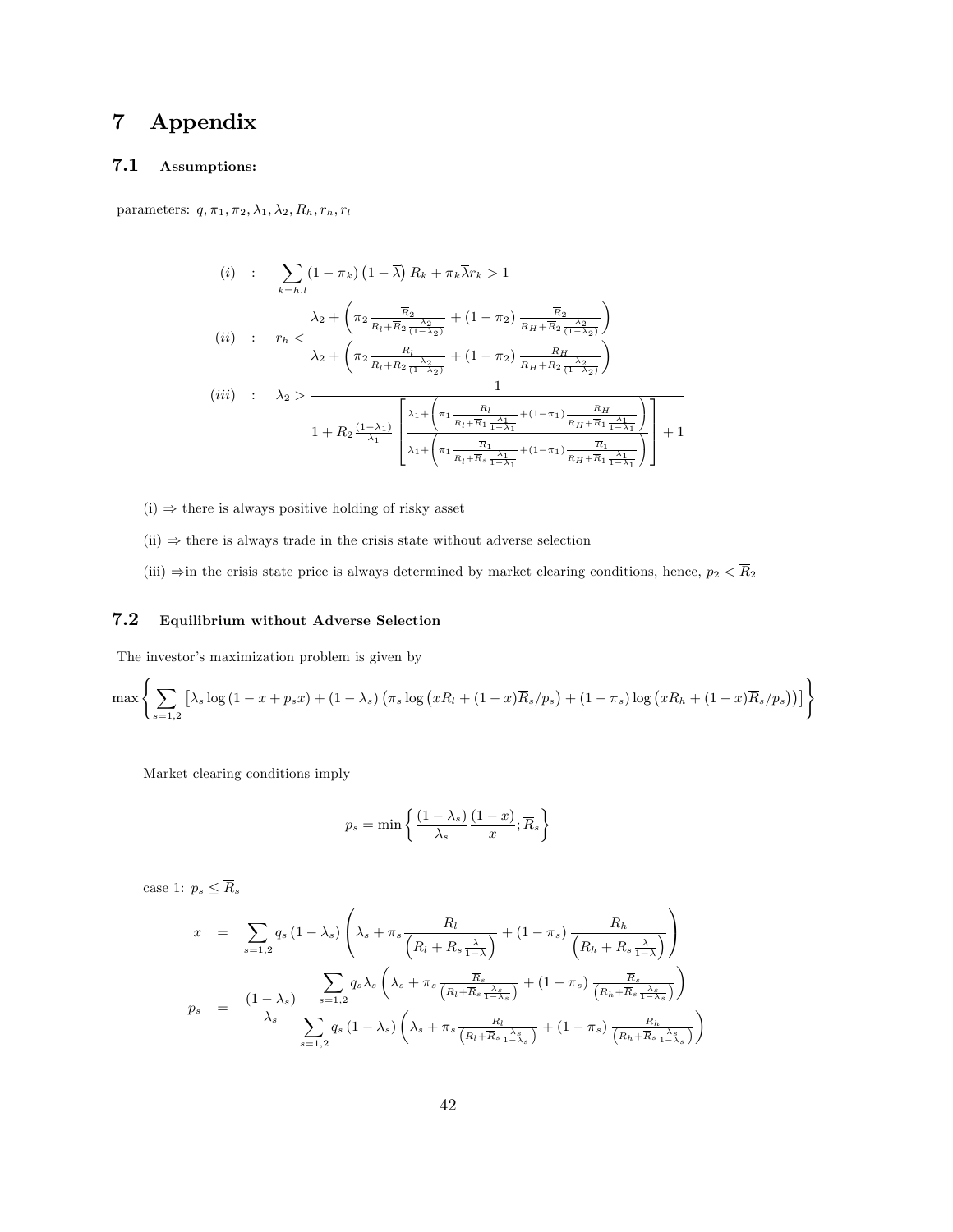# 7 Appendix

### 7.1 Assumptions:

parameters:  $q, \pi_1, \pi_2, \lambda_1, \lambda_2, R_h, r_h, r_l$ 

$$
(i) : \sum_{k=h,l} (1 - \pi_k) (1 - \overline{\lambda}) R_k + \pi_k \overline{\lambda} r_k > 1
$$
  

$$
(ii) : r_h < \frac{\lambda_2 + \left(\pi_2 \frac{\overline{R}_2}{R_l + \overline{R}_2} \frac{\lambda_2}{(1 - \lambda_2)} + (1 - \pi_2) \frac{\overline{R}_2}{R_H + \overline{R}_2} \frac{\lambda_2}{(1 - \lambda_2)}\right)}{\lambda_2 + \left(\pi_2 \frac{R_l}{R_l + \overline{R}_2} \frac{\lambda_2}{(1 - \lambda_2)} + (1 - \pi_2) \frac{R_H}{R_H + \overline{R}_2} \frac{\lambda_2}{(1 - \lambda_2)}\right)}
$$
  

$$
(iii) : \lambda_2 > \frac{1}{1 + \overline{R}_2 \frac{(1 - \lambda_1)}{\lambda_1} \left[\frac{\lambda_1 + \left(\pi_1 \frac{R_l}{R_l + \overline{R}_1} \frac{\lambda_1}{1 - \lambda_1} + (1 - \pi_1) \frac{R_H}{R_H + \overline{R}_1} \frac{\lambda_1}{1 - \lambda_1}\right)}{1 + \left(\pi_1 \frac{\overline{R}_1}{R_l + \overline{R}_1} \frac{\lambda_1}{1 - \lambda_1} + (1 - \pi_1) \frac{\overline{R}_1}{R_H + \overline{R}_1} \frac{\lambda_1}{1 - \lambda_1}\right)}\right] + 1
$$

- $(i) \Rightarrow$  there is always positive holding of risky asset
- $(ii) \Rightarrow$  there is always trade in the crisis state without adverse selection
- (iii)  $\Rightarrow$  in the crisis state price is always determined by market clearing conditions, hence,  $p_2 < \overline{R}_2$

#### 7.2 Equilibrium without Adverse Selection

The investor's maximization problem is given by

$$
\max\left\{\sum_{s=1,2}\left[\lambda_s\log\left(1-x+p_sx\right)+\left(1-\lambda_s\right)\left(\pi_s\log\left(xR_l+(1-x)\overline{R}_s/p_s\right)+\left(1-\pi_s\right)\log\left(xR_h+(1-x)\overline{R}_s/p_s\right)\right)\right]\right\}
$$

Market clearing conditions imply

$$
p_s = \min\left\{\frac{(1-\lambda_s)}{\lambda_s} \frac{(1-x)}{x}; \overline{R}_s\right\}
$$

case 1:  $p_s \leq \overline{R}_s$ 

$$
x = \sum_{s=1,2} q_s (1 - \lambda_s) \left( \lambda_s + \pi_s \frac{R_l}{\left(R_l + \overline{R}_s \frac{\lambda}{1 - \lambda}\right)} + (1 - \pi_s) \frac{R_h}{\left(R_h + \overline{R}_s \frac{\lambda}{1 - \lambda}\right)} \right)
$$
  

$$
p_s = \frac{(1 - \lambda_s)}{\lambda_s} \frac{\sum_{s=1,2} q_s \lambda_s \left( \lambda_s + \pi_s \frac{\overline{R}_s}{\left(R_l + \overline{R}_s \frac{\lambda_s}{1 - \lambda_s}\right)} + (1 - \pi_s) \frac{\overline{R}_s}{\left(R_h + \overline{R}_s \frac{\lambda_s}{1 - \lambda_s}\right)} \right)}{\sum_{s=1,2} q_s (1 - \lambda_s) \left( \lambda_s + \pi_s \frac{R_l}{\left(R_l + \overline{R}_s \frac{\lambda_s}{1 - \lambda_s}\right)} + (1 - \pi_s) \frac{R_h}{\left(R_h + \overline{R}_s \frac{\lambda_s}{1 - \lambda_s}\right)} \right)}
$$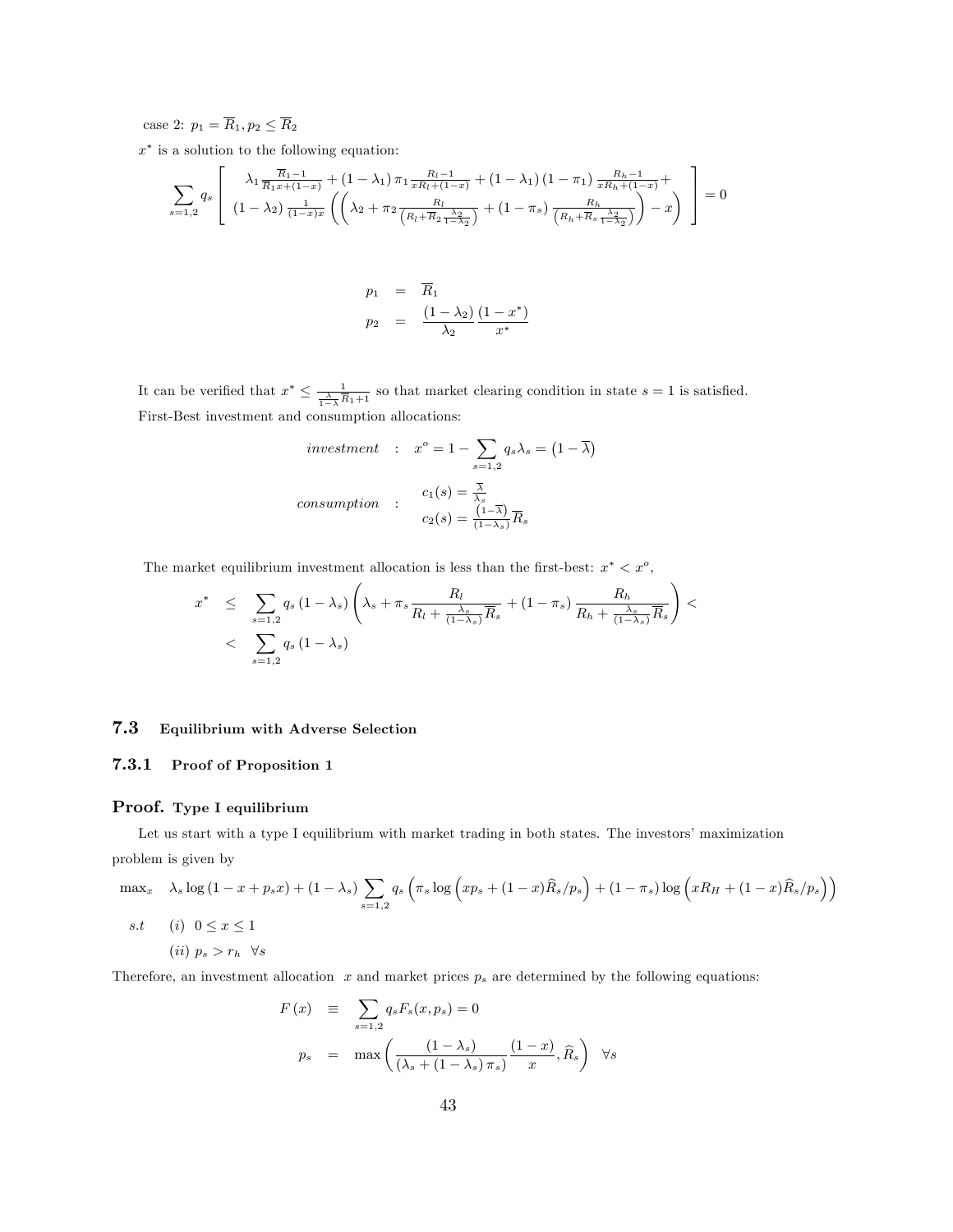case 2:  $p_1 = \overline{R}_1, p_2 \leq \overline{R}_2$ 

 $x^*$  is a solution to the following equation:

$$
\sum_{s=1,2} q_s \left[ \begin{array}{c} \lambda_1 \frac{\overline{R}_1 - 1}{\overline{R}_1 x + (1 - x)} + (1 - \lambda_1) \pi_1 \frac{R_l - 1}{x R_l + (1 - x)} + (1 - \lambda_1) (1 - \pi_1) \frac{R_h - 1}{x R_h + (1 - x)} + \\ (1 - \lambda_2) \frac{1}{(1 - x)x} \left( \left( \lambda_2 + \pi_2 \frac{R_l}{\left( R_l + \overline{R}_2 \frac{\lambda_2}{1 - \lambda_2} \right)} + (1 - \pi_s) \frac{R_h}{\left( R_h + \overline{R}_s \frac{\lambda_2}{1 - \lambda_2} \right)} \right) - x \end{array} \right] = 0
$$

$$
p_1 = \overline{R}_1
$$
  

$$
p_2 = \frac{(1-\lambda_2)}{\lambda_2} \frac{(1-x^*)}{x^*}
$$

It can be verified that  $x^* \leq \frac{1}{\frac{\lambda}{1-\lambda}\overline{R}_1+1}$  so that market clearing condition in state  $s = 1$  is satisfied. First-Best investment and consumption allocations:

$$
investment : x^o = 1 - \sum_{s=1,2} q_s \lambda_s = (1 - \overline{\lambda})
$$
  
consumption : 
$$
c_1(s) = \frac{\overline{\lambda}}{\lambda_s}
$$

$$
c_2(s) = \frac{(1 - \overline{\lambda})}{(1 - \lambda_s)} \overline{R}_s
$$

The market equilibrium investment allocation is less than the first-best:  $x^* < x^o$ ,

$$
x^* \leq \sum_{s=1,2} q_s (1 - \lambda_s) \left( \lambda_s + \pi_s \frac{R_l}{R_l + \frac{\lambda_s}{(1 - \lambda_s)} \overline{R}_s} + (1 - \pi_s) \frac{R_h}{R_h + \frac{\lambda_s}{(1 - \lambda_s)} \overline{R}_s} \right) < \sum_{s=1,2} q_s (1 - \lambda_s)
$$

#### 7.3 Equilibrium with Adverse Selection

#### 7.3.1 Proof of Proposition 1

#### Proof. Type I equilibrium

Let us start with a type I equilibrium with market trading in both states. The investors' maximization problem is given by

$$
\max_{x} \quad \lambda_s \log\left(1 - x + p_s x\right) + (1 - \lambda_s) \sum_{s=1,2} q_s \left(\pi_s \log\left(xp_s + (1 - x)\widehat{R}_s/p_s\right) + (1 - \pi_s) \log\left(xR_H + (1 - x)\widehat{R}_s/p_s\right)\right)
$$

$$
s.t \quad (i) \quad 0 \le x \le 1
$$

$$
(ii) \quad p_s > r_h \quad \forall s
$$

Therefore, an investment allocation  $x$  and market prices  $p_s$  are determined by the following equations:

$$
F(x) \equiv \sum_{s=1,2} q_s F_s(x, p_s) = 0
$$
  

$$
p_s = \max \left( \frac{(1 - \lambda_s)}{(\lambda_s + (1 - \lambda_s)\pi_s)} \frac{(1 - x)}{x}, \hat{R}_s \right) \quad \forall s
$$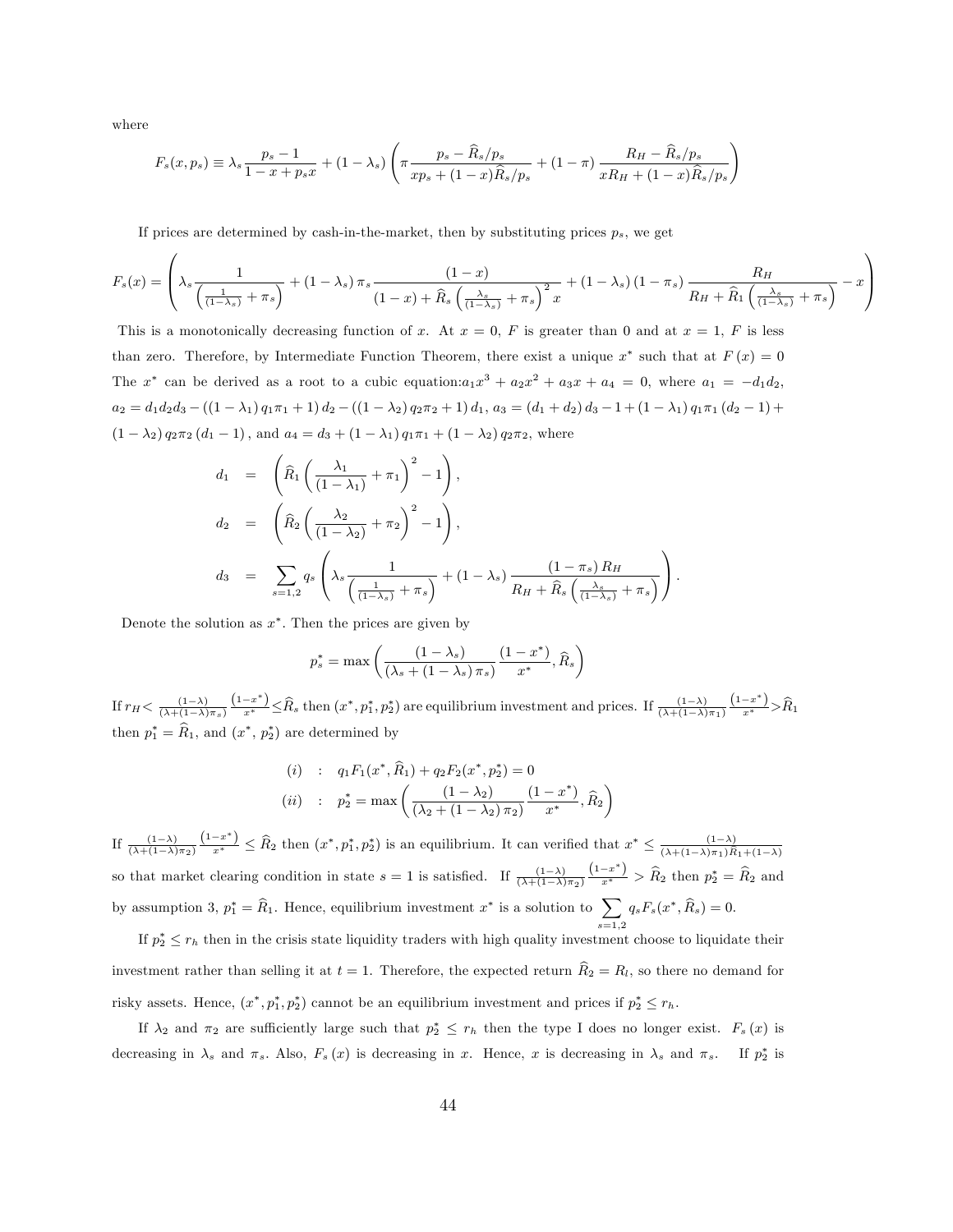where

$$
F_s(x, p_s) \equiv \lambda_s \frac{p_s - 1}{1 - x + p_s x} + (1 - \lambda_s) \left( \pi \frac{p_s - \widehat{R}_s / p_s}{xp_s + (1 - x)\widehat{R}_s / p_s} + (1 - \pi) \frac{R_H - \widehat{R}_s / p_s}{xR_H + (1 - x)\widehat{R}_s / p_s} \right)
$$

If prices are determined by cash-in-the-market, then by substituting prices  $p_s$ , we get

$$
F_s(x) = \left(\lambda_s \frac{1}{\left(\frac{1}{(1-\lambda_s)} + \pi_s\right)} + (1-\lambda_s)\pi_s \frac{(1-x)}{(1-x) + \widehat{R}_s \left(\frac{\lambda_s}{(1-\lambda_s)} + \pi_s\right)^2 x} + (1-\lambda_s)(1-\pi_s) \frac{R_H}{R_H + \widehat{R}_1 \left(\frac{\lambda_s}{(1-\lambda_s)} + \pi_s\right)} - x\right)
$$

This is a monotonically decreasing function of x. At  $x = 0$ , F is greater than 0 and at  $x = 1$ , F is less than zero. Therefore, by Intermediate Function Theorem, there exist a unique  $x^*$  such that at  $F(x) = 0$ The  $x^*$  can be derived as a root to a cubic equation: $a_1x^3 + a_2x^2 + a_3x + a_4 = 0$ , where  $a_1 = -d_1d_2$ ,  $a_2 = d_1d_2d_3 - ((1 - \lambda_1) q_1\pi_1 + 1) d_2 - ((1 - \lambda_2) q_2\pi_2 + 1) d_1, a_3 = (d_1 + d_2) d_3 - 1 + (1 - \lambda_1) q_1\pi_1 (d_2 - 1) +$  $(1 - \lambda_2) q_2 \pi_2 (d_1 - 1)$ , and  $a_4 = d_3 + (1 - \lambda_1) q_1 \pi_1 + (1 - \lambda_2) q_2 \pi_2$ , where

$$
d_1 = \left(\widehat{R}_1 \left(\frac{\lambda_1}{(1-\lambda_1)} + \pi_1\right)^2 - 1\right),
$$
  
\n
$$
d_2 = \left(\widehat{R}_2 \left(\frac{\lambda_2}{(1-\lambda_2)} + \pi_2\right)^2 - 1\right),
$$
  
\n
$$
d_3 = \sum_{s=1,2} q_s \left(\lambda_s \frac{1}{\left(\frac{1}{(1-\lambda_s)} + \pi_s\right)} + (1-\lambda_s) \frac{(1-\pi_s) R_H}{R_H + \widehat{R}_s \left(\frac{\lambda_s}{(1-\lambda_s)} + \pi_s\right)}\right).
$$

Denote the solution as  $x^*$ . Then the prices are given by

$$
p_s^* = \max \left( \frac{\left(1 - \lambda_s\right)}{\left(\lambda_s + \left(1 - \lambda_s\right) \pi_s\right)} \frac{\left(1 - x^*\right)}{x^*}, \widehat{R}_s \right)
$$

If  $r_H < \frac{(1-\lambda)}{(\lambda+(1-\lambda)\pi_s)}$  $\frac{(1-x^*)}{x^*} \leq \widehat{R}_s$  then  $(x^*, p_1^*, p_2^*)$  are equilibrium investment and prices. If  $\frac{(1-\lambda)}{(\lambda+(1-\lambda)\pi_1)}$  $\frac{(1-x^*)}{x^*} > \hat{R}_1$ then  $p_1^* = R_1$ , and  $(x^*, p_2^*)$  are determined by

(i) : 
$$
q_1 F_1(x^*, \hat{R}_1) + q_2 F_2(x^*, p_2^*) = 0
$$
  
\n(ii) :  $p_2^* = \max \left( \frac{(1 - \lambda_2)}{(\lambda_2 + (1 - \lambda_2) \pi_2)} \frac{(1 - x^*)}{x^*}, \hat{R}_2 \right)$ 

If  $\frac{(1-\lambda)}{(\lambda+(1-\lambda)\pi_2)}$  $\frac{(1-x^*)}{x^*} \leq \widehat{R}_2$  then  $(x^*, p_1^*, p_2^*)$  is an equilibrium. It can verified that  $x^* \leq \frac{(1-\lambda)}{(\lambda+(1-\lambda)\pi_1)\widehat{R}}$  $(\lambda+(1-\lambda)\pi_1)R_1+(1-\lambda)$ so that market clearing condition in state  $s = 1$  is satisfied. If  $\frac{(1-\lambda)}{(\lambda + (1-\lambda)\pi_2)}$  $\frac{(1-x^*)}{x^*}$  >  $\widehat{R}_2$  then  $p_2^* = \widehat{R}_2$  and by assumption 3,  $p_1^* = \hat{R}_1$ . Hence, equilibrium investment  $x^*$  is a solution to  $\sum$  $_{s=1,2}$  $q_s F_s(x^*, R_s) = 0.$ 

If  $p_2^* \leq r_h$  then in the crisis state liquidity traders with high quality investment choose to liquidate their investment rather than selling it at  $t = 1$ . Therefore, the expected return  $\hat{R}_2 = R_l$ , so there no demand for risky assets. Hence,  $(x^*, p_1^*, p_2^*)$  cannot be an equilibrium investment and prices if  $p_2^* \leq r_h$ .

If  $\lambda_2$  and  $\pi_2$  are sufficiently large such that  $p_2^* \leq r_h$  then the type I does no longer exist.  $F_s(x)$  is decreasing in  $\lambda_s$  and  $\pi_s$ . Also,  $F_s(x)$  is decreasing in x. Hence, x is decreasing in  $\lambda_s$  and  $\pi_s$ . If  $p_2^*$  is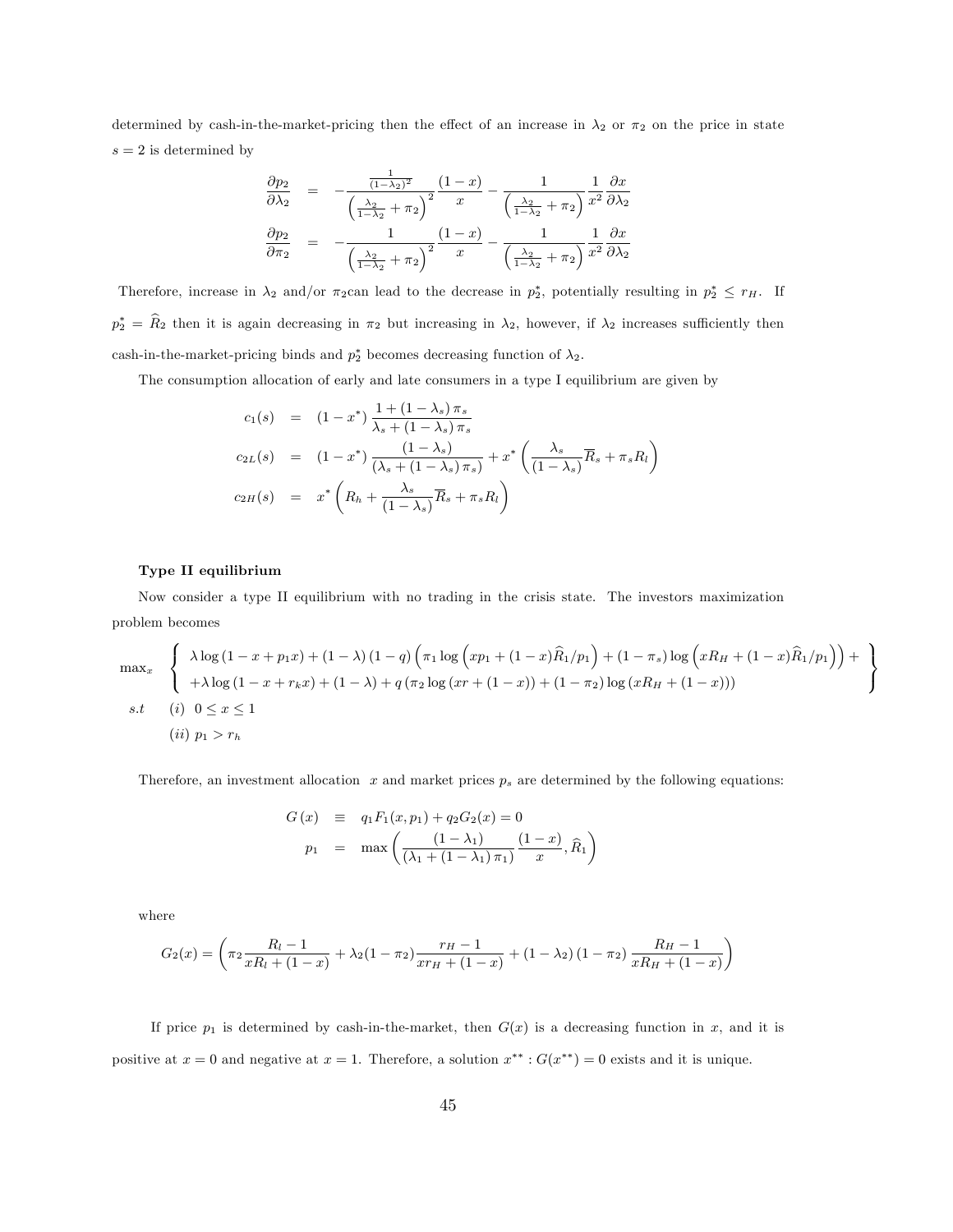determined by cash-in-the-market-pricing then the effect of an increase in  $\lambda_2$  or  $\pi_2$  on the price in state  $s = 2$  is determined by

$$
\frac{\partial p_2}{\partial \lambda_2} = -\frac{\frac{1}{(1-\lambda_2)^2}}{\left(\frac{\lambda_2}{1-\lambda_2} + \pi_2\right)^2} \frac{(1-x)}{x} - \frac{1}{\left(\frac{\lambda_2}{1-\lambda_2} + \pi_2\right)} \frac{\partial x}{x^2} \frac{\partial x}{\partial \lambda_2}
$$

$$
\frac{\partial p_2}{\partial \pi_2} = -\frac{1}{\left(\frac{\lambda_2}{1-\lambda_2} + \pi_2\right)^2} \frac{(1-x)}{x} - \frac{1}{\left(\frac{\lambda_2}{1-\lambda_2} + \pi_2\right)} \frac{1}{x^2} \frac{\partial x}{\partial \lambda_2}
$$

Therefore, increase in  $\lambda_2$  and/or  $\pi_2$ can lead to the decrease in  $p_2^*$ , potentially resulting in  $p_2^* \leq r_H$ . If  $p_2^* = R_2$  then it is again decreasing in  $\pi_2$  but increasing in  $\lambda_2$ , however, if  $\lambda_2$  increases sufficiently then cash-in-the-market-pricing binds and  $p_2^*$  becomes decreasing function of  $\lambda_2$ .

The consumption allocation of early and late consumers in a type I equilibrium are given by

$$
c_1(s) = (1 - x^*) \frac{1 + (1 - \lambda_s) \pi_s}{\lambda_s + (1 - \lambda_s) \pi_s}
$$
  
\n
$$
c_{2L}(s) = (1 - x^*) \frac{(1 - \lambda_s)}{(\lambda_s + (1 - \lambda_s) \pi_s)} + x^* \left(\frac{\lambda_s}{(1 - \lambda_s)} \overline{R}_s + \pi_s R_l\right)
$$
  
\n
$$
c_{2H}(s) = x^* \left(R_h + \frac{\lambda_s}{(1 - \lambda_s)} \overline{R}_s + \pi_s R_l\right)
$$

#### Type II equilibrium

Now consider a type II equilibrium with no trading in the crisis state. The investors maximization problem becomes

$$
\max_{x} \left\{ \begin{array}{l} \lambda \log \left(1 - x + p_1 x \right) + (1 - \lambda) \left(1 - q\right) \left(\pi_1 \log \left(x p_1 + (1 - x) \widehat{R}_1 / p_1\right) + (1 - \pi_s) \log \left(x R_H + (1 - x) \widehat{R}_1 / p_1\right)\right) + \\ + \lambda \log \left(1 - x + r_k x\right) + (1 - \lambda) + q \left(\pi_2 \log \left(x r + (1 - x)\right) + (1 - \pi_2) \log \left(x R_H + (1 - x)\right)\right) \end{array} \right\}
$$
  
s.t (i)  $0 \le x \le 1$   
(ii)  $p_1 > r_h$ 

Therefore, an investment allocation  $x$  and market prices  $p_s$  are determined by the following equations:

$$
G(x) \equiv q_1 F_1(x, p_1) + q_2 G_2(x) = 0
$$
  

$$
p_1 = \max \left( \frac{(1 - \lambda_1)}{(\lambda_1 + (1 - \lambda_1) \pi_1)} \frac{(1 - x)}{x}, \hat{R}_1 \right)
$$

where

$$
G_2(x) = \left(\pi_2 \frac{R_l - 1}{xR_l + (1 - x)} + \lambda_2 (1 - \pi_2) \frac{r_H - 1}{xr_H + (1 - x)} + (1 - \lambda_2) (1 - \pi_2) \frac{R_H - 1}{xR_H + (1 - x)}\right)
$$

If price  $p_1$  is determined by cash-in-the-market, then  $G(x)$  is a decreasing function in x, and it is positive at  $x = 0$  and negative at  $x = 1$ . Therefore, a solution  $x^{**}$ :  $G(x^{**}) = 0$  exists and it is unique.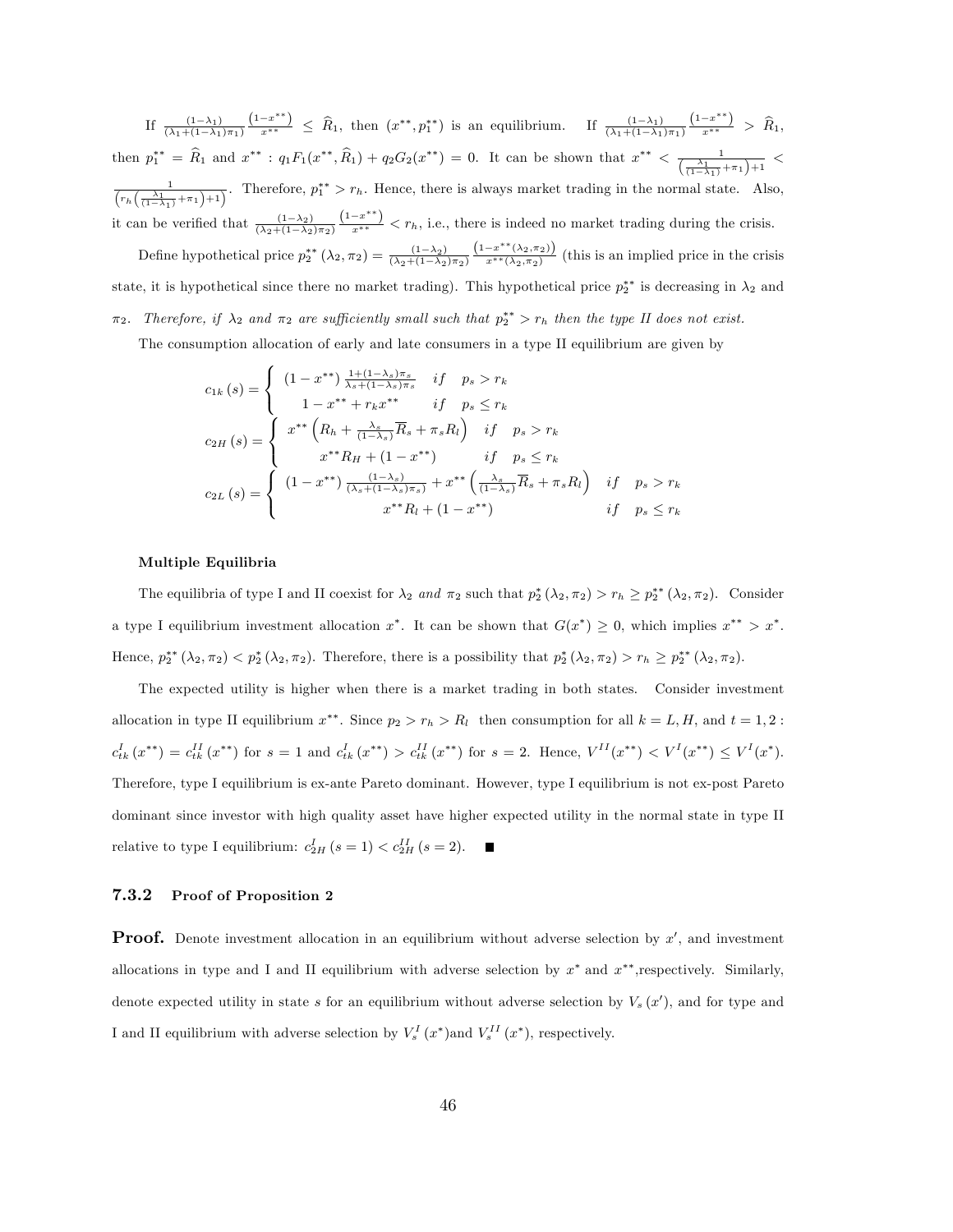If  $\frac{(1-\lambda_1)}{(\lambda_1+(1-\lambda_1)\pi_1)}$  $\frac{(1-x^{**})}{x^{**}} \leq \hat{R}_1$ , then  $(x^{**}, p_1^{**})$  is an equilibrium. If  $\frac{(1-\lambda_1)}{(\lambda_1+(1-\lambda_1)\pi_1)}$  $\frac{(1-x^{**})}{x^{**}} > \hat{R}_1,$ then  $p_1^{**} = \hat{R}_1$  and  $x^{**}$ :  $q_1 F_1(x^{**}, \hat{R}_1) + q_2 G_2(x^{**}) = 0$ . It can be shown that  $x^{**} < \frac{1}{(\frac{\lambda_1}{(1-\lambda_1)} + \pi_1)+1}$  $\frac{1}{(r_h(\frac{\lambda_1}{(1-\lambda_1)}+\pi_1)+1)}$ . Therefore,  $p_1^{**} > r_h$ . Hence, there is always market trading in the normal state. Also, it can be verified that  $\frac{(1-\lambda_2)}{(\lambda_2+(1-\lambda_2)\pi_2)}$  $\frac{(1-x^{**})}{x^{**}} < r_h$ , i.e., there is indeed no market trading during the crisis. Define hypothetical price  $p_2^{**}(\lambda_2, \pi_2) = \frac{(1-\lambda_2)}{(\lambda_2+(1-\lambda_2)\pi_2)}$  $(1-x*** (\lambda_2,\pi_2))$  $\frac{(-x-\sqrt{2},x)}{x^{**}(\lambda_2,\pi_2)}$  (this is an implied price in the crisis state, it is hypothetical since there no market trading). This hypothetical price  $p_2^{**}$  is decreasing in  $\lambda_2$  and  $\pi_2$ . Therefore, if  $\lambda_2$  and  $\pi_2$  are sufficiently small such that  $p_2^{**} > r_h$  then the type II does not exist.

The consumption allocation of early and late consumers in a type II equilibrium are given by

$$
c_{1k}(s) = \begin{cases} (1 - x^{**}) \frac{1 + (1 - \lambda_s)\pi_s}{\lambda_s + (1 - \lambda_s)\pi_s} & \text{if } p_s > r_k \\ 1 - x^{**} + r_k x^{**} & \text{if } p_s \le r_k \\ x^{**} \left( R_h + \frac{\lambda_s}{(1 - \lambda_s)} \overline{R}_s + \pi_s R_l \right) & \text{if } p_s > r_k \\ x^{**} R_H + (1 - x^{**}) & \text{if } p_s \le r_k \\ c_{2L}(s) = \begin{cases} (1 - x^{**}) \frac{(1 - \lambda_s)}{(\lambda_s + (1 - \lambda_s)\pi_s)} + x^{**} \left( \frac{\lambda_s}{(1 - \lambda_s)} \overline{R}_s + \pi_s R_l \right) & \text{if } p_s > r_k \\ x^{**} R_l + (1 - x^{**}) & \text{if } p_s \le r_k \end{cases} \end{cases}
$$

#### Multiple Equilibria

The equilibria of type I and II coexist for  $\lambda_2$  and  $\pi_2$  such that  $p_2^*(\lambda_2, \pi_2) > r_h \ge p_2^{**}(\lambda_2, \pi_2)$ . Consider a type I equilibrium investment allocation  $x^*$ . It can be shown that  $G(x^*) \geq 0$ , which implies  $x^{**} > x^*$ . Hence,  $p_2^{**}(\lambda_2, \pi_2) < p_2^{*}(\lambda_2, \pi_2)$ . Therefore, there is a possibility that  $p_2^{*}(\lambda_2, \pi_2) > r_h \ge p_2^{**}(\lambda_2, \pi_2)$ .

The expected utility is higher when there is a market trading in both states. Consider investment allocation in type II equilibrium  $x^{**}$ . Since  $p_2 > r_h > R_l$  then consumption for all  $k = L, H$ , and  $t = 1, 2$ :  $c_{tk}^{I}(x^{**}) = c_{tk}^{II}(x^{**})$  for  $s = 1$  and  $c_{tk}^{I}(x^{**}) > c_{tk}^{II}(x^{**})$  for  $s = 2$ . Hence,  $V^{II}(x^{**}) < V^{I}(x^{**}) \leq V^{I}(x^{*})$ . Therefore, type I equilibrium is ex-ante Pareto dominant. However, type I equilibrium is not ex-post Pareto dominant since investor with high quality asset have higher expected utility in the normal state in type II relative to type I equilibrium:  $c_{2H}^I(s=1) < c_{2H}^{II}(s=2)$ .

#### 7.3.2 Proof of Proposition 2

**Proof.** Denote investment allocation in an equilibrium without adverse selection by  $x'$ , and investment allocations in type and I and II equilibrium with adverse selection by  $x^*$  and  $x^{**}$ , respectively. Similarly, denote expected utility in state s for an equilibrium without adverse selection by  $V_s(x')$ , and for type and I and II equilibrium with adverse selection by  $V_s^I(x^*)$  and  $V_s^{II}(x^*)$ , respectively.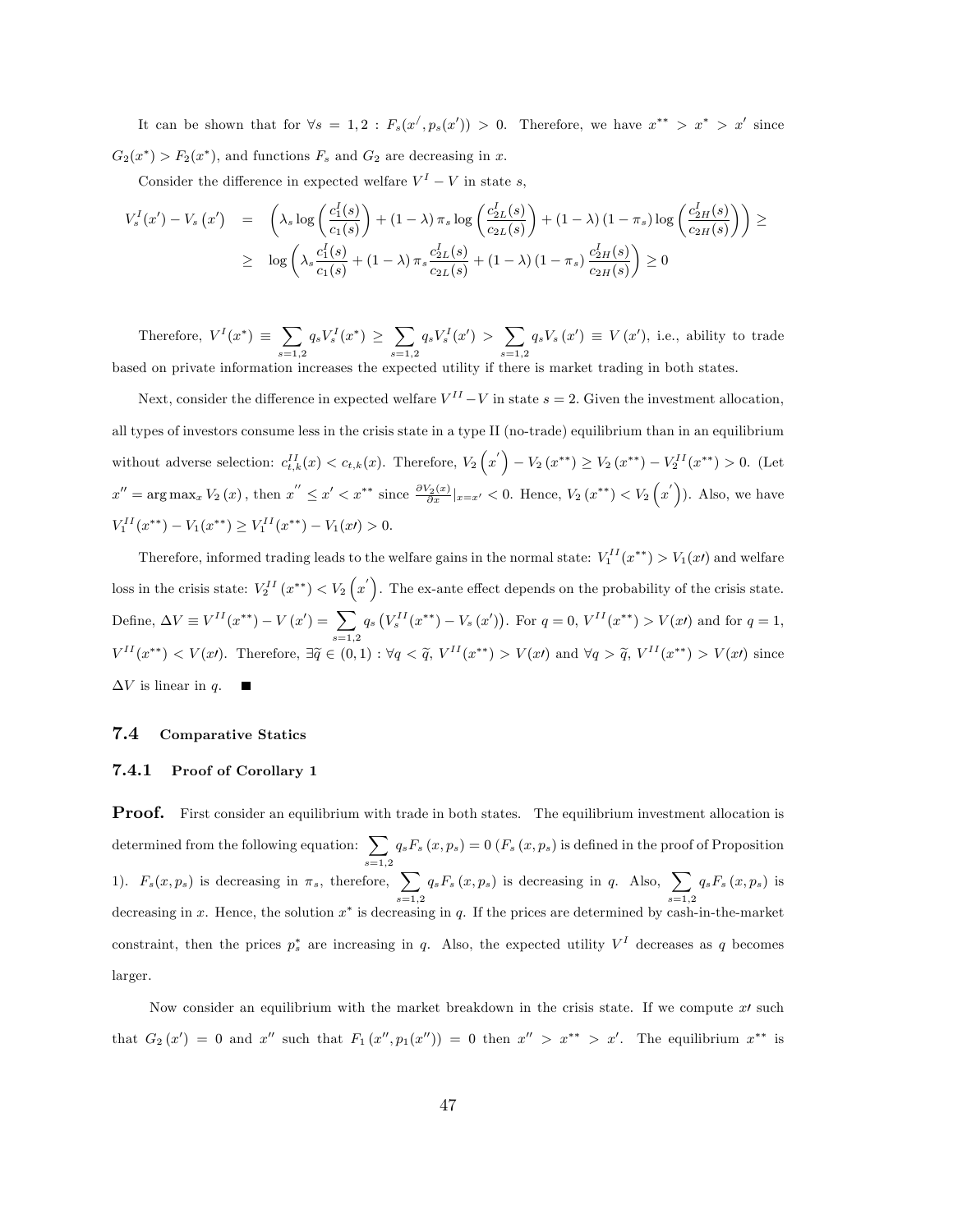It can be shown that for  $\forall s = 1, 2 : F_s(x', p_s(x')) > 0$ . Therefore, we have  $x^{**} > x^* > x'$  since  $G_2(x^*)$  >  $F_2(x^*)$ , and functions  $F_s$  and  $G_2$  are decreasing in x.

Consider the difference in expected welfare  $V^I - V$  in state s,

$$
V_s^I(x') - V_s(x') = \left(\lambda_s \log\left(\frac{c_1^I(s)}{c_1(s)}\right) + (1-\lambda)\pi_s \log\left(\frac{c_{2L}^I(s)}{c_{2L}(s)}\right) + (1-\lambda)(1-\pi_s) \log\left(\frac{c_{2H}^I(s)}{c_{2H}(s)}\right)\right) \ge
$$
  
 
$$
\geq \log\left(\lambda_s \frac{c_1^I(s)}{c_1(s)} + (1-\lambda)\pi_s \frac{c_{2L}^I(s)}{c_{2L}(s)} + (1-\lambda)(1-\pi_s) \frac{c_{2H}^I(s)}{c_{2H}(s)}\right) \geq 0
$$

Therefore,  $V^I(x^*) \equiv \sum$  $_{s=1,2}$  $q_s V^I_s(x^*) \geq \sum$  $_{s=1,2}$  $q_s V_s^I(x') > \sum$  $_{s=1,2}$  $q_s V_s(x') \equiv V(x')$ , i.e., ability to trade based on private information increases the expected utility if there is market trading in both states.

Next, consider the difference in expected welfare  $V^{II} - V$  in state  $s = 2$ . Given the investment allocation, all types of investors consume less in the crisis state in a type II (no-trade) equilibrium than in an equilibrium without adverse selection:  $c_{t,k}^{II}(x) < c_{t,k}(x)$ . Therefore,  $V_2(x') - V_2(x^{**}) \ge V_2(x^{**}) - V_2^{II}(x^{**}) > 0$ . (Let  $x'' = \arg \max_x V_2(x)$ , then  $x'' \le x' < x^{**}$  since  $\frac{\partial V_2(x)}{\partial x}|_{x=x'} < 0$ . Hence,  $V_2(x^{**}) < V_2(x')$ ). Also, we have  $V_1^{II}(x^{**}) - V_1(x^{**}) \geq V_1^{II}(x^{**}) - V_1(x) > 0.$ 

Therefore, informed trading leads to the welfare gains in the normal state:  $V_1^{II}(x^{**}) > V_1(x)$  and welfare loss in the crisis state:  $V_2^{II}(x^{**}) < V_2(x')$ . The ex-ante effect depends on the probability of the crisis state. Define,  $\Delta V \equiv V^{II}(x^{**}) - V(x') = \sum$  $_{s=1,2}$  $q_s\left(V_s^{II}(x^{**})-V_s(x')\right)$ . For  $q=0, V^{II}(x^{**})>V(x')$  and for  $q=1$ ,  $V^{II}(x^{**}) < V(x)$ . Therefore,  $\exists \widetilde{q} \in (0,1) : \forall q < \widetilde{q}, V^{II}(x^{**}) > V(x)$  and  $\forall q > \widetilde{q}, V^{II}(x^{**}) > V(x)$  since  $\Delta V$  is linear in q.

#### 7.4 Comparative Statics

#### 7.4.1 Proof of Corollary 1

**Proof.** First consider an equilibrium with trade in both states. The equilibrium investment allocation is determined from the following equation:  $\sum$  $_{s=1,2}$  $q_sF_s(x, p_s) = 0$   $(F_s(x, p_s)$  is defined in the proof of Proposition 1).  $F_s(x, p_s)$  is decreasing in  $\pi_s$ , therefore,  $\sum$  $_{s=1,2}$  $q_sF_s(x, p_s)$  is decreasing in q. Also,  $\sum$  $_{s=1,2}$  $q_sF_s(x,p_s)$  is decreasing in x. Hence, the solution  $x^*$  is decreasing in q. If the prices are determined by cash-in-the-market constraint, then the prices  $p_s^*$  are increasing in q. Also, the expected utility  $V^I$  decreases as q becomes larger.

Now consider an equilibrium with the market breakdown in the crisis state. If we compute  $x<sub>l</sub>$  such that  $G_2(x') = 0$  and x'' such that  $F_1(x'', p_1(x'')) = 0$  then  $x'' > x^{**} > x'$ . The equilibrium  $x^{**}$  is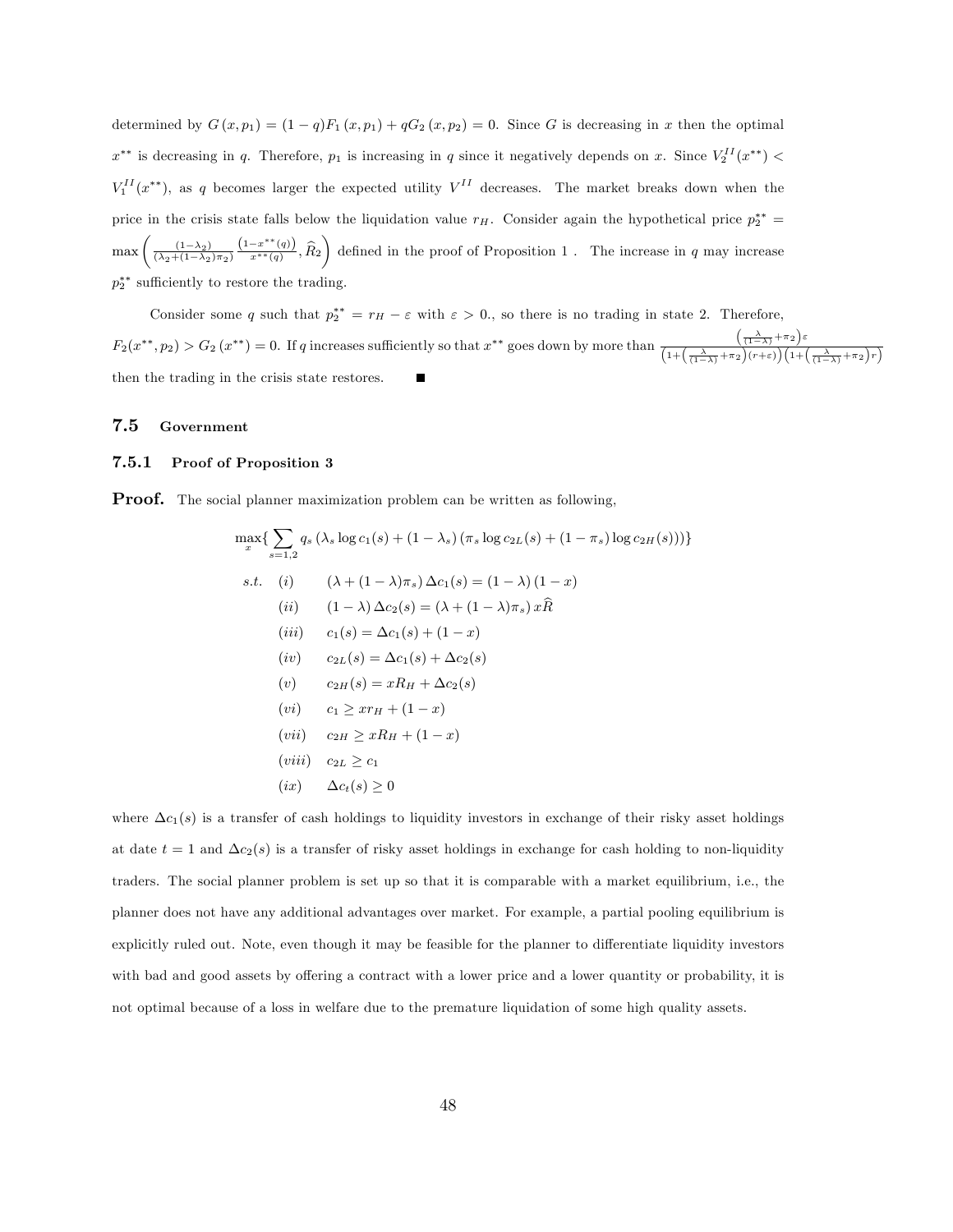determined by  $G(x, p_1) = (1 - q)F_1(x, p_1) + qG_2(x, p_2) = 0$ . Since G is decreasing in x then the optimal  $x^{**}$  is decreasing in q. Therefore,  $p_1$  is increasing in q since it negatively depends on x. Since  $V_2^{II}(x^{**})$  <  $V_1^{II}(x^{**})$ , as q becomes larger the expected utility  $V^{II}$  decreases. The market breaks down when the price in the crisis state falls below the liquidation value  $r_H$ . Consider again the hypothetical price  $p_2^{**}$  $\max\left(\frac{(1-\lambda_2)}{(\lambda_2+(1-\lambda_2)\pi_2)}\right)$  $\frac{(1-x^{**}(q))}{x^{**}(q)}$ ,  $\widehat{R}_2$  defined in the proof of Proposition 1. The increase in q may increase  $p_2^{**}$  sufficiently to restore the trading.

Consider some q such that  $p_2^{**} = r_H - \varepsilon$  with  $\varepsilon > 0$ ., so there is no trading in state 2. Therefore,  $F_2(x^{**}, p_2) > G_2(x^{**}) = 0$ . If q increases sufficiently so that  $x^{**}$  goes down by more than  $\frac{\left(\frac{\lambda}{(1-\lambda)} + \pi_2\right)\varepsilon}{\sqrt{\frac{(\lambda-\lambda)(1-\lambda)}{2\lambda}}}\$  $\overline{\left(1{+}\left(\frac{\lambda}{(1-\lambda)}{+}\pi_2\right)\! (r{+}\varepsilon)\right)\! \left(1{+}\left(\frac{\lambda}{(1-\lambda)}{+}\pi_2\right)\! r\right)}$ then the trading in the crisis state restores.

#### 7.5 Government

#### 7.5.1 Proof of Proposition 3

**Proof.** The social planner maximization problem can be written as following,

$$
\max_{x} \left\{ \sum_{s=1,2} q_s \left( \lambda_s \log c_1(s) + (1 - \lambda_s) \left( \pi_s \log c_{2L}(s) + (1 - \pi_s) \log c_{2H}(s) \right) \right) \right\}
$$
\n
$$
s.t. \quad (i) \qquad \left( \lambda + (1 - \lambda) \pi_s \right) \Delta c_1(s) = (1 - \lambda) (1 - x)
$$
\n
$$
(ii) \qquad (1 - \lambda) \Delta c_2(s) = (\lambda + (1 - \lambda) \pi_s) x \hat{R}
$$
\n
$$
(iii) \qquad c_1(s) = \Delta c_1(s) + (1 - x)
$$
\n
$$
(iv) \qquad c_{2L}(s) = \Delta c_1(s) + \Delta c_2(s)
$$
\n
$$
(v) \qquad c_2 H(s) = x R_H + \Delta c_2(s)
$$
\n
$$
(vi) \qquad c_1 \ge x r_H + (1 - x)
$$
\n
$$
(vii) \qquad c_{2H} \ge x R_H + (1 - x)
$$
\n
$$
(viii) \qquad c_{2L} \ge c_1
$$
\n
$$
(ix) \qquad \Delta c_t(s) \ge 0
$$

where  $\Delta c_1(s)$  is a transfer of cash holdings to liquidity investors in exchange of their risky asset holdings at date  $t = 1$  and  $\Delta c_2(s)$  is a transfer of risky asset holdings in exchange for cash holding to non-liquidity traders. The social planner problem is set up so that it is comparable with a market equilibrium, i.e., the planner does not have any additional advantages over market. For example, a partial pooling equilibrium is explicitly ruled out. Note, even though it may be feasible for the planner to differentiate liquidity investors with bad and good assets by offering a contract with a lower price and a lower quantity or probability, it is not optimal because of a loss in welfare due to the premature liquidation of some high quality assets.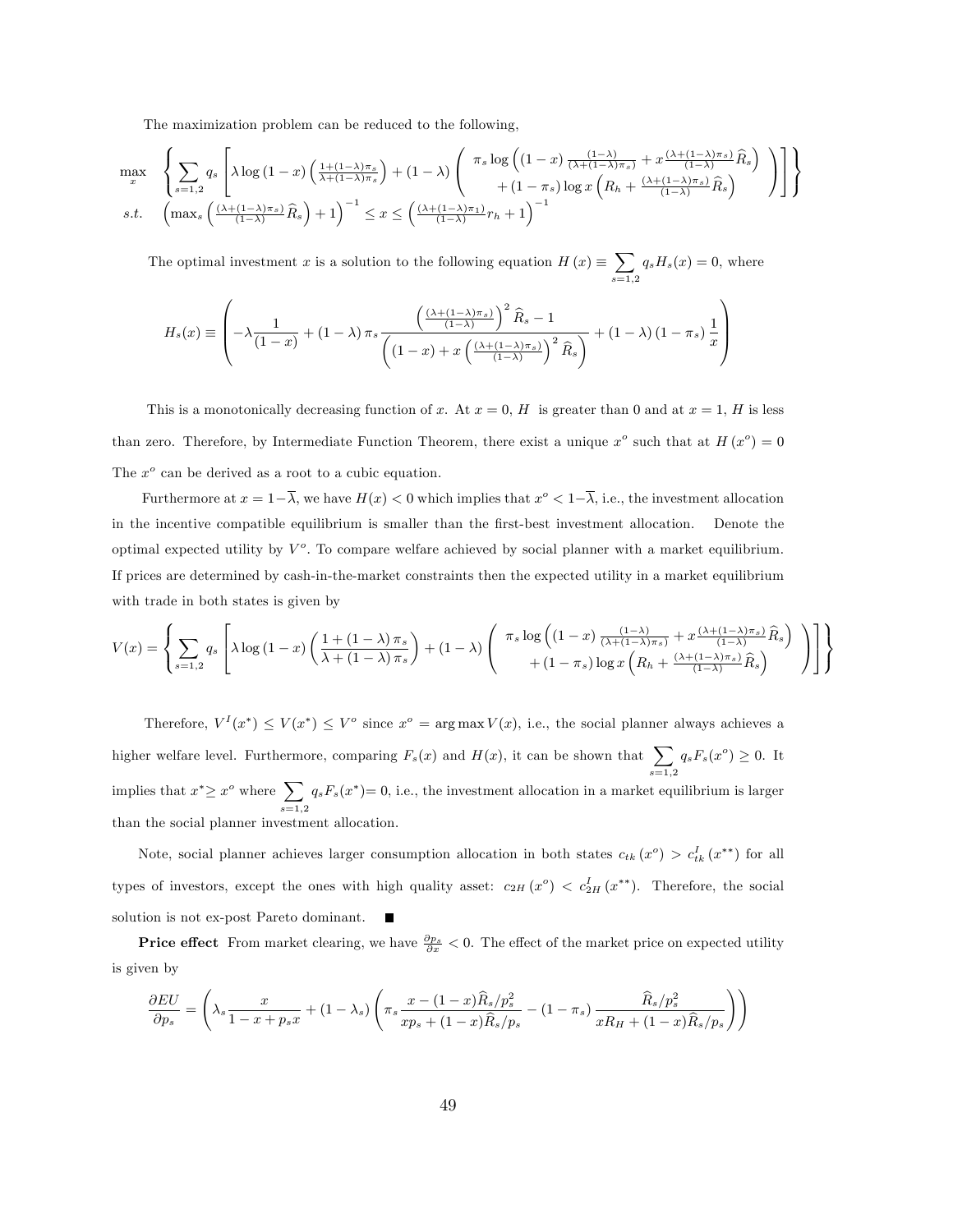The maximization problem can be reduced to the following,

$$
\max_{x} \left\{ \sum_{s=1,2} q_s \left[ \lambda \log \left( 1 - x \right) \left( \frac{1 + (1 - \lambda)\pi_s}{\lambda + (1 - \lambda)\pi_s} \right) + (1 - \lambda) \left( \frac{\pi_s \log \left( \left( 1 - x \right) \frac{(1 - \lambda)}{(\lambda + (1 - \lambda)\pi_s)} + x \frac{(\lambda + (1 - \lambda)\pi_s)}{(1 - \lambda)} \widehat{R}_s \right)}{+(1 - \pi_s) \log x \left( R_h + \frac{(\lambda + (1 - \lambda)\pi_s)}{(1 - \lambda)} \widehat{R}_s \right)} \right) \right] \right\}
$$
  
s.t. 
$$
\left( \max_s \left( \frac{(\lambda + (1 - \lambda)\pi_s)}{(1 - \lambda)} \widehat{R}_s \right) + 1 \right)^{-1} \leq x \leq \left( \frac{(\lambda + (1 - \lambda)\pi_1)}{(1 - \lambda)} r_h + 1 \right)^{-1}
$$

The optimal investment x is a solution to the following equation  $H(x) \equiv \sum$  $_{s=1,2}$  $q_sH_s(x) = 0$ , where

$$
H_s(x) \equiv \left(-\lambda \frac{1}{(1-x)} + (1-\lambda)\pi_s \frac{\left(\frac{(\lambda + (1-\lambda)\pi_s)}{(1-\lambda)}\right)^2 \widehat{R}_s - 1}{\left(\left(1-x\right) + x \left(\frac{(\lambda + (1-\lambda)\pi_s)}{(1-\lambda)}\right)^2 \widehat{R}_s\right)} + (1-\lambda)(1-\pi_s) \frac{1}{x}\right)
$$

This is a monotonically decreasing function of x. At  $x = 0$ , H is greater than 0 and at  $x = 1$ , H is less than zero. Therefore, by Intermediate Function Theorem, there exist a unique  $x^{\circ}$  such that at  $H(x^{\circ}) = 0$ The  $x^o$  can be derived as a root to a cubic equation.

Furthermore at  $x = 1 - \overline{\lambda}$ , we have  $H(x) < 0$  which implies that  $x^{\circ} < 1 - \overline{\lambda}$ , i.e., the investment allocation in the incentive compatible equilibrium is smaller than the Örst-best investment allocation. Denote the optimal expected utility by  $V^o$ . To compare welfare achieved by social planner with a market equilibrium. If prices are determined by cash-in-the-market constraints then the expected utility in a market equilibrium with trade in both states is given by

$$
V(x) = \left\{ \sum_{s=1,2} q_s \left[ \lambda \log \left( 1 - x \right) \left( \frac{1 + (1 - \lambda) \pi_s}{\lambda + (1 - \lambda) \pi_s} \right) + (1 - \lambda) \left( \begin{array}{c} \pi_s \log \left( (1 - x) \frac{(1 - \lambda)}{(\lambda + (1 - \lambda) \pi_s)} + x \frac{(\lambda + (1 - \lambda) \pi_s)}{(1 - \lambda)} \widehat{R}_s \right) \\ + (1 - \pi_s) \log x \left( R_h + \frac{(\lambda + (1 - \lambda) \pi_s)}{(1 - \lambda)} \widehat{R}_s \right) \end{array} \right) \right] \right\}
$$

Therefore,  $V^I(x^*) \leq V(x^*) \leq V^o$  since  $x^o = \arg \max V(x)$ , i.e., the social planner always achieves a higher welfare level. Furthermore, comparing  $F_s(x)$  and  $H(x)$ , it can be shown that  $\sum$  $_{s=1,2}$  $q_s F_s(x^o) \geq 0$ . It implies that  $x^* \geq x^o$  where  $\sum$  $_{s=1,2}$  $q_sF_s(x^*)=0$ , i.e., the investment allocation in a market equilibrium is larger than the social planner investment allocation.

Note, social planner achieves larger consumption allocation in both states  $c_{tk}(x^{\circ}) > c_{tk}^{I}(x^{**})$  for all types of investors, except the ones with high quality asset:  $c_{2H}(x^{\circ}) < c_{2H}^I(x^{**})$ . Therefore, the social solution is not ex-post Pareto dominant.  $\blacksquare$ 

**Price effect** From market clearing, we have  $\frac{\partial p_s}{\partial x} < 0$ . The effect of the market price on expected utility is given by

$$
\frac{\partial EU}{\partial p_s} = \left(\lambda_s \frac{x}{1-x+p_s x} + (1-\lambda_s) \left(\pi_s \frac{x-(1-x)\widehat{R}_s/p_s^2}{xp_s + (1-x)\widehat{R}_s/p_s} - (1-\pi_s) \frac{\widehat{R}_s/p_s^2}{xR_H + (1-x)\widehat{R}_s/p_s}\right)\right)
$$